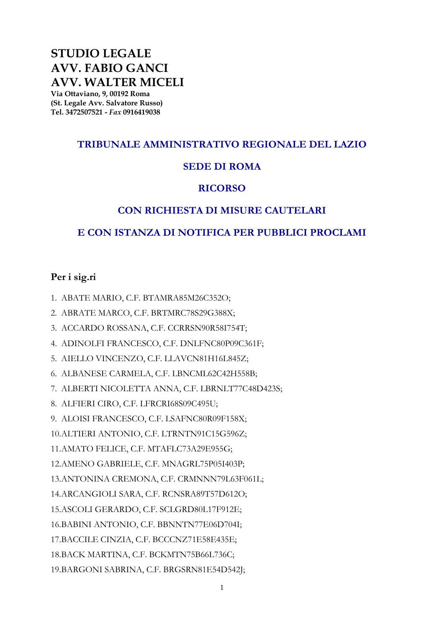## **STUDIO LEGALE AVV. FABIO GANCI AVV. WALTER MICELI**

**Via Ottaviano, 9, 00192 Roma (St. Legale Avv. Salvatore Russo) Tel. 3472507521 -** *Fax* **0916419038**

## **TRIBUNALE AMMINISTRATIVO REGIONALE DEL LAZIO**

## **SEDE DI ROMA**

## **RICORSO**

## **CON RICHIESTA DI MISURE CAUTELARI**

## **E CON ISTANZA DI NOTIFICA PER PUBBLICI PROCLAMI**

## **Per i sig.ri**

1. ABATE MARIO, C.F. BTAMRA85M26C352O;

- 2. ABRATE MARCO, C.F. BRTMRC78S29G388X;
- 3. ACCARDO ROSSANA, C.F. CCRRSN90R58I754T;
- 4. ADINOLFI FRANCESCO, C.F. DNLFNC80P09C361F;
- 5. AIELLO VINCENZO, C.F. LLAVCN81H16L845Z;
- 6. ALBANESE CARMELA, C.F. LBNCML62C42H558B;
- 7. ALBERTI NICOLETTA ANNA, C.F. LBRNLT77C48D423S;
- 8. ALFIERI CIRO, C.F. LFRCRI68S09C495U;
- 9. ALOISI FRANCESCO, C.F. LSAFNC80R09F158X;
- 10.ALTIERI ANTONIO, C.F. LTRNTN91C15G596Z;
- 11.AMATO FELICE, C.F. MTAFLC73A29E955G;
- 12.AMENO GABRIELE, C.F. MNAGRL75P05I403P;
- 13.ANTONINA CREMONA, C.F. CRMNNN79L63F061L;
- 14.ARCANGIOLI SARA, C.F. RCNSRA89T57D612O;
- 15.ASCOLI GERARDO, C.F. SCLGRD80L17F912E;
- 16.BABINI ANTONIO, C.F. BBNNTN77E06D704I;
- 17.BACCILE CINZIA, C.F. BCCCNZ71E58E435E;
- 18.BACK MARTINA, C.F. BCKMTN75B66L736C;
- 19.BARGONI SABRINA, C.F. BRGSRN81E54D542J;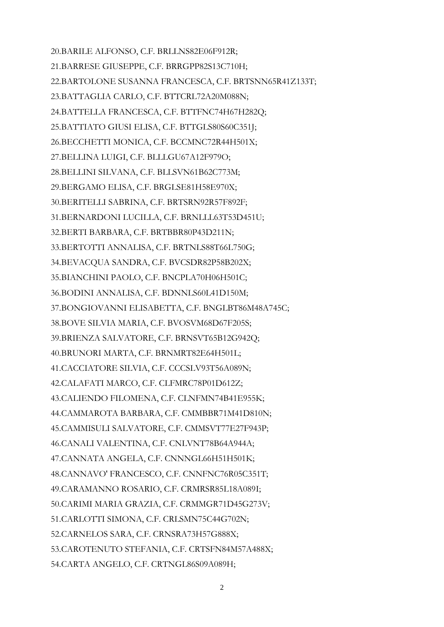20.BARILE ALFONSO, C.F. BRLLNS82E06F912R; 21.BARRESE GIUSEPPE, C.F. BRRGPP82S13C710H; 22.BARTOLONE SUSANNA FRANCESCA, C.F. BRTSNN65R41Z133T; 23.BATTAGLIA CARLO, C.F. BTTCRL72A20M088N; 24.BATTELLA FRANCESCA, C.F. BTTFNC74H67H282Q; 25.BATTIATO GIUSI ELISA, C.F. BTTGLS80S60C351J; 26.BECCHETTI MONICA, C.F. BCCMNC72R44H501X; 27.BELLINA LUIGI, C.F. BLLLGU67A12F979O; 28.BELLINI SILVANA, C.F. BLLSVN61B62C773M; 29.BERGAMO ELISA, C.F. BRGLSE81H58E970X; 30.BERITELLI SABRINA, C.F. BRTSRN92R57F892F; 31.BERNARDONI LUCILLA, C.F. BRNLLL63T53D451U; 32.BERTI BARBARA, C.F. BRTBBR80P43D211N; 33.BERTOTTI ANNALISA, C.F. BRTNLS88T66L750G; 34.BEVACQUA SANDRA, C.F. BVCSDR82P58B202X; 35.BIANCHINI PAOLO, C.F. BNCPLA70H06H501C; 36.BODINI ANNALISA, C.F. BDNNLS60L41D150M; 37.BONGIOVANNI ELISABETTA, C.F. BNGLBT86M48A745C; 38.BOVE SILVIA MARIA, C.F. BVOSVM68D67F205S; 39.BRIENZA SALVATORE, C.F. BRNSVT65B12G942Q; 40.BRUNORI MARTA, C.F. BRNMRT82E64H501L; 41.CACCIATORE SILVIA, C.F. CCCSLV93T56A089N; 42.CALAFATI MARCO, C.F. CLFMRC78P01D612Z; 43.CALIENDO FILOMENA, C.F. CLNFMN74B41E955K; 44.CAMMAROTA BARBARA, C.F. CMMBBR71M41D810N; 45.CAMMISULI SALVATORE, C.F. CMMSVT77E27F943P; 46.CANALI VALENTINA, C.F. CNLVNT78B64A944A; 47.CANNATA ANGELA, C.F. CNNNGL66H51H501K; 48.CANNAVO' FRANCESCO, C.F. CNNFNC76R05C351T; 49.CARAMANNO ROSARIO, C.F. CRMRSR85L18A089I; 50.CARIMI MARIA GRAZIA, C.F. CRMMGR71D45G273V; 51.CARLOTTI SIMONA, C.F. CRLSMN75C44G702N; 52.CARNELOS SARA, C.F. CRNSRA73H57G888X; 53.CAROTENUTO STEFANIA, C.F. CRTSFN84M57A488X; 54.CARTA ANGELO, C.F. CRTNGL86S09A089H;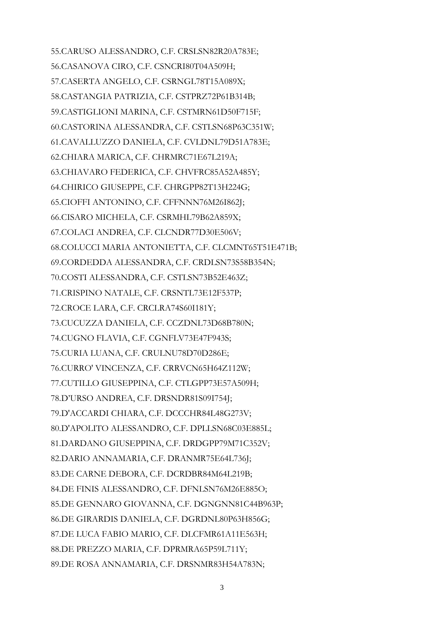55.CARUSO ALESSANDRO, C.F. CRSLSN82R20A783E; 56.CASANOVA CIRO, C.F. CSNCRI80T04A509H; 57.CASERTA ANGELO, C.F. CSRNGL78T15A089X; 58.CASTANGIA PATRIZIA, C.F. CSTPRZ72P61B314B; 59.CASTIGLIONI MARINA, C.F. CSTMRN61D50F715F; 60.CASTORINA ALESSANDRA, C.F. CSTLSN68P63C351W; 61.CAVALLUZZO DANIELA, C.F. CVLDNL79D51A783E; 62.CHIARA MARICA, C.F. CHRMRC71E67L219A; 63.CHIAVARO FEDERICA, C.F. CHVFRC85A52A485Y; 64.CHIRICO GIUSEPPE, C.F. CHRGPP82T13H224G; 65.CIOFFI ANTONINO, C.F. CFFNNN76M26I862J; 66.CISARO MICHELA, C.F. CSRMHL79B62A859X; 67.COLACI ANDREA, C.F. CLCNDR77D30E506V; 68.COLUCCI MARIA ANTONIETTA, C.F. CLCMNT65T51E471B; 69.CORDEDDA ALESSANDRA, C.F. CRDLSN73S58B354N; 70.COSTI ALESSANDRA, C.F. CSTLSN73B52E463Z; 71.CRISPINO NATALE, C.F. CRSNTL73E12F537P; 72.CROCE LARA, C.F. CRCLRA74S60I181Y; 73.CUCUZZA DANIELA, C.F. CCZDNL73D68B780N; 74.CUGNO FLAVIA, C.F. CGNFLV73E47F943S; 75.CURIA LUANA, C.F. CRULNU78D70D286E; 76.CURRO' VINCENZA, C.F. CRRVCN65H64Z112W; 77.CUTILLO GIUSEPPINA, C.F. CTLGPP73E57A509H; 78.D'URSO ANDREA, C.F. DRSNDR81S09I754J; 79.D'ACCARDI CHIARA, C.F. DCCCHR84L48G273V; 80.D'APOLITO ALESSANDRO, C.F. DPLLSN68C03E885L; 81.DARDANO GIUSEPPINA, C.F. DRDGPP79M71C352V; 82.DARIO ANNAMARIA, C.F. DRANMR75E64L736J; 83.DE CARNE DEBORA, C.F. DCRDBR84M64L219B; 84.DE FINIS ALESSANDRO, C.F. DFNLSN76M26E885O; 85.DE GENNARO GIOVANNA, C.F. DGNGNN81C44B963P; 86.DE GIRARDIS DANIELA, C.F. DGRDNL80P63H856G; 87.DE LUCA FABIO MARIO, C.F. DLCFMR61A11E563H; 88.DE PREZZO MARIA, C.F. DPRMRA65P59L711Y; 89.DE ROSA ANNAMARIA, C.F. DRSNMR83H54A783N;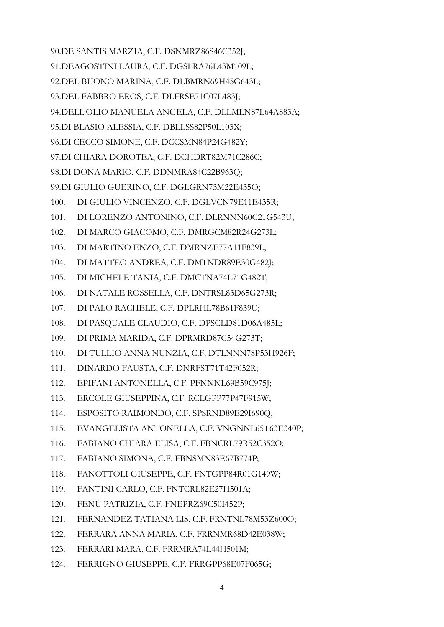90.DE SANTIS MARZIA, C.F. DSNMRZ86S46C352J; 91.DEAGOSTINI LAURA, C.F. DGSLRA76L43M109L; 92.DEL BUONO MARINA, C.F. DLBMRN69H45G643L; 93.DEL FABBRO EROS, C.F. DLFRSE71C07L483J; 94.DELL'OLIO MANUELA ANGELA, C.F. DLLMLN87L64A883A; 95.DI BLASIO ALESSIA, C.F. DBLLSS82P50L103X; 96.DI CECCO SIMONE, C.F. DCCSMN84P24G482Y; 97.DI CHIARA DOROTEA, C.F. DCHDRT82M71C286C; 98.DI DONA MARIO, C.F. DDNMRA84C22B963Q; 99.DI GIULIO GUERINO, C.F. DGLGRN73M22E435O; 100. DI GIULIO VINCENZO, C.F. DGLVCN79E11E435R; 101. DI LORENZO ANTONINO, C.F. DLRNNN60C21G543U; 102. DI MARCO GIACOMO, C.F. DMRGCM82R24G273L; 103. DI MARTINO ENZO, C.F. DMRNZE77A11F839L; 104. DI MATTEO ANDREA, C.F. DMTNDR89E30G482J; 105. DI MICHELE TANIA, C.F. DMCTNA74L71G482T; 106. DI NATALE ROSSELLA, C.F. DNTRSL83D65G273R; 107. DI PALO RACHELE, C.F. DPLRHL78B61F839U; 108. DI PASQUALE CLAUDIO, C.F. DPSCLD81D06A485L; 109. DI PRIMA MARIDA, C.F. DPRMRD87C54G273T; 110. DI TULLIO ANNA NUNZIA, C.F. DTLNNN78P53H926F; 111. DINARDO FAUSTA, C.F. DNRFST71T42F052R; 112. EPIFANI ANTONELLA, C.F. PFNNNL69B59C975J; 113. ERCOLE GIUSEPPINA, C.F. RCLGPP77P47F915W; 114. ESPOSITO RAIMONDO, C.F. SPSRND89E29I690Q; 115. EVANGELISTA ANTONELLA, C.F. VNGNNL65T63E340P; 116. FABIANO CHIARA ELISA, C.F. FBNCRL79R52C352O; 117. FABIANO SIMONA, C.F. FBNSMN83E67B774P; 118. FANOTTOLI GIUSEPPE, C.F. FNTGPP84R01G149W; 119. FANTINI CARLO, C.F. FNTCRL82E27H501A; 120. FENU PATRIZIA, C.F. FNEPRZ69C50I452P; 121. FERNANDEZ TATIANA LIS, C.F. FRNTNL78M53Z600O; 122. FERRARA ANNA MARIA, C.F. FRRNMR68D42E038W; 123. FERRARI MARA, C.F. FRRMRA74L44H501M; 124. FERRIGNO GIUSEPPE, C.F. FRRGPP68E07F065G;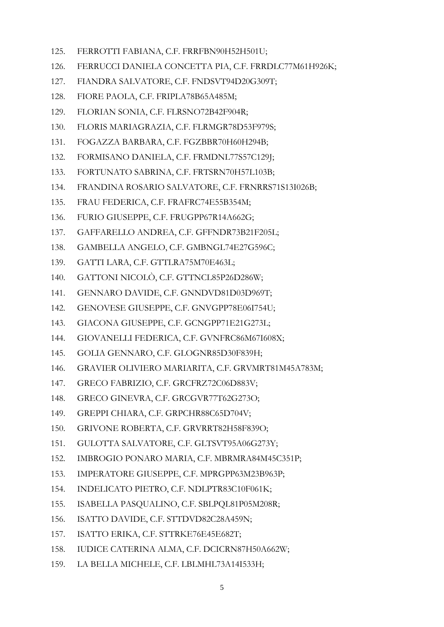- 125. FERROTTI FABIANA, C.F. FRRFBN90H52H501U;
- 126. FERRUCCI DANIELA CONCETTA PIA, C.F. FRRDLC77M61H926K;
- 127. FIANDRA SALVATORE, C.F. FNDSVT94D20G309T;
- 128. FIORE PAOLA, C.F. FRIPLA78B65A485M;
- 129. FLORIAN SONIA, C.F. FLRSNO72B42F904R;
- 130. FLORIS MARIAGRAZIA, C.F. FLRMGR78D53F979S;
- 131. FOGAZZA BARBARA, C.F. FGZBBR70H60H294B;
- 132. FORMISANO DANIELA, C.F. FRMDNL77S57C129J;
- 133. FORTUNATO SABRINA, C.F. FRTSRN70H57L103B;
- 134. FRANDINA ROSARIO SALVATORE, C.F. FRNRRS71S13I026B;
- 135. FRAU FEDERICA, C.F. FRAFRC74E55B354M;
- 136. FURIO GIUSEPPE, C.F. FRUGPP67R14A662G;
- 137. GAFFARELLO ANDREA, C.F. GFFNDR73B21F205L;
- 138. GAMBELLA ANGELO, C.F. GMBNGL74E27G596C;
- 139. GATTI LARA, C.F. GTTLRA75M70E463L;
- 140. GATTONI NICOLÒ, C.F. GTTNCL85P26D286W;
- 141. GENNARO DAVIDE, C.F. GNNDVD81D03D969T;
- 142. GENOVESE GIUSEPPE, C.F. GNVGPP78E06I754U;
- 143. GIACONA GIUSEPPE, C.F. GCNGPP71E21G273L;
- 144. GIOVANELLI FEDERICA, C.F. GVNFRC86M67I608X;
- 145. GOLIA GENNARO, C.F. GLOGNR85D30F839H;
- 146. GRAVIER OLIVIERO MARIARITA, C.F. GRVMRT81M45A783M;
- 147. GRECO FABRIZIO, C.F. GRCFRZ72C06D883V;
- 148. GRECO GINEVRA, C.F. GRCGVR77T62G273O;
- 149. GREPPI CHIARA, C.F. GRPCHR88C65D704V;
- 150. GRIVONE ROBERTA, C.F. GRVRRT82H58F839O;
- 151. GULOTTA SALVATORE, C.F. GLTSVT95A06G273Y;
- 152. IMBROGIO PONARO MARIA, C.F. MBRMRA84M45C351P;
- 153. IMPERATORE GIUSEPPE, C.F. MPRGPP63M23B963P;
- 154. INDELICATO PIETRO, C.F. NDLPTR83C10F061K;
- 155. ISABELLA PASQUALINO, C.F. SBLPQL81P05M208R;
- 156. ISATTO DAVIDE, C.F. STTDVD82C28A459N;
- 157. ISATTO ERIKA, C.F. STTRKE76E45E682T;
- 158. IUDICE CATERINA ALMA, C.F. DCICRN87H50A662W;
- 159. LA BELLA MICHELE, C.F. LBLMHL73A14I533H;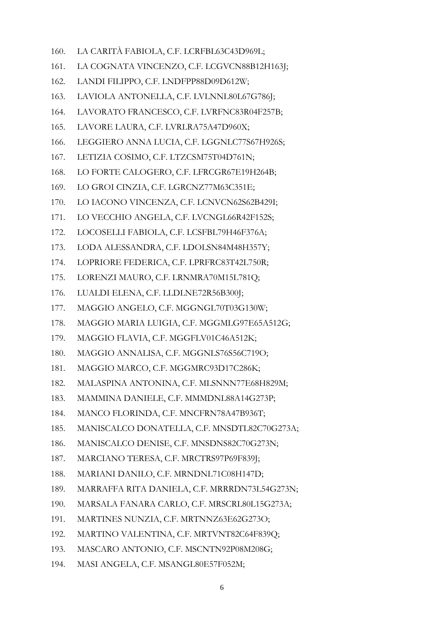- 160. LA CARITÀ FABIOLA, C.F. LCRFBL63C43D969L;
- 161. LA COGNATA VINCENZO, C.F. LCGVCN88B12H163J;
- 162. LANDI FILIPPO, C.F. LNDFPP88D09D612W;
- 163. LAVIOLA ANTONELLA, C.F. LVLNNL80L67G786J;
- 164. LAVORATO FRANCESCO, C.F. LVRFNC83R04F257B;
- 165. LAVORE LAURA, C.F. LVRLRA75A47D960X;
- 166. LEGGIERO ANNA LUCIA, C.F. LGGNLC77S67H926S;
- 167. LETIZIA COSIMO, C.F. LTZCSM75T04D761N;
- 168. LO FORTE CALOGERO, C.F. LFRCGR67E19H264B;
- 169. LO GROI CINZIA, C.F. LGRCNZ77M63C351E;
- 170. LO IACONO VINCENZA, C.F. LCNVCN62S62B429I;
- 171. LO VECCHIO ANGELA, C.F. LVCNGL66R42F152S;
- 172. LOCOSELLI FABIOLA, C.F. LCSFBL79H46F376A;
- 173. LODA ALESSANDRA, C.F. LDOLSN84M48H357Y;
- 174. LOPRIORE FEDERICA, C.F. LPRFRC83T42L750R;
- 175. LORENZI MAURO, C.F. LRNMRA70M15L781Q;
- 176. LUALDI ELENA, C.F. LLDLNE72R56B300J;
- 177. MAGGIO ANGELO, C.F. MGGNGL70T03G130W;
- 178. MAGGIO MARIA LUIGIA, C.F. MGGMLG97E65A512G;
- 179. MAGGIO FLAVIA, C.F. MGGFLV01C46A512K;
- 180. MAGGIO ANNALISA, C.F. MGGNLS76S56C719O;
- 181. MAGGIO MARCO, C.F. MGGMRC93D17C286K;
- 182. MALASPINA ANTONINA, C.F. MLSNNN77E68H829M;
- 183. MAMMINA DANIELE, C.F. MMMDNL88A14G273P;
- 184. MANCO FLORINDA, C.F. MNCFRN78A47B936T;
- 185. MANISCALCO DONATELLA, C.F. MNSDTL82C70G273A;
- 186. MANISCALCO DENISE, C.F. MNSDNS82C70G273N;
- 187. MARCIANO TERESA, C.F. MRCTRS97P69F839J;
- 188. MARIANI DANILO, C.F. MRNDNL71C08H147D;
- 189. MARRAFFA RITA DANIELA, C.F. MRRRDN73L54G273N;
- 190. MARSALA FANARA CARLO, C.F. MRSCRL80L15G273A;
- 191. MARTINES NUNZIA, C.F. MRTNNZ63E62G273O;
- 192. MARTINO VALENTINA, C.F. MRTVNT82C64F839Q;
- 193. MASCARO ANTONIO, C.F. MSCNTN92P08M208G;
- 194. MASI ANGELA, C.F. MSANGL80E57F052M;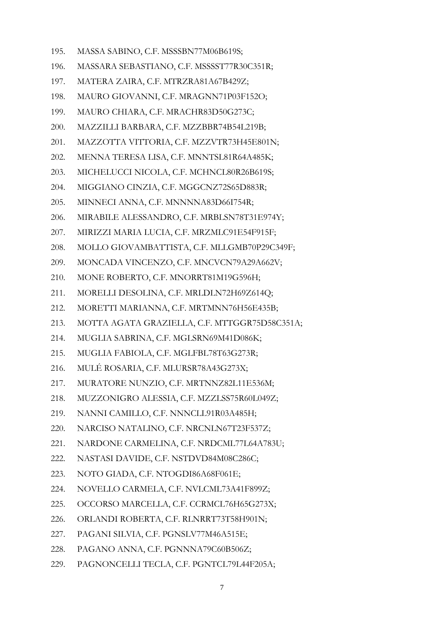- 195. MASSA SABINO, C.F. MSSSBN77M06B619S;
- 196. MASSARA SEBASTIANO, C.F. MSSSST77R30C351R;
- 197. MATERA ZAIRA, C.F. MTRZRA81A67B429Z;
- 198. MAURO GIOVANNI, C.F. MRAGNN71P03F152O;
- 199. MAURO CHIARA, C.F. MRACHR83D50G273C;
- 200. MAZZILLI BARBARA, C.F. MZZBBR74B54L219B;
- 201. MAZZOTTA VITTORIA, C.F. MZZVTR73H45E801N;
- 202. MENNA TERESA LISA, C.F. MNNTSL81R64A485K;
- 203. MICHELUCCI NICOLA, C.F. MCHNCL80R26B619S;
- 204. MIGGIANO CINZIA, C.F. MGGCNZ72S65D883R;
- 205. MINNECI ANNA, C.F. MNNNNA83D66I754R;
- 206. MIRABILE ALESSANDRO, C.F. MRBLSN78T31E974Y;
- 207. MIRIZZI MARIA LUCIA, C.F. MRZMLC91E54F915F;
- 208. MOLLO GIOVAMBATTISTA, C.F. MLLGMB70P29C349F;
- 209. MONCADA VINCENZO, C.F. MNCVCN79A29A662V;
- 210. MONE ROBERTO, C.F. MNORRT81M19G596H;
- 211. MORELLI DESOLINA, C.F. MRLDLN72H69Z614Q;
- 212. MORETTI MARIANNA, C.F. MRTMNN76H56E435B;
- 213. MOTTA AGATA GRAZIELLA, C.F. MTTGGR75D58C351A;
- 214. MUGLIA SABRINA, C.F. MGLSRN69M41D086K;
- 215. MUGLIA FABIOLA, C.F. MGLFBL78T63G273R;
- 216. MULÉ ROSARIA, C.F. MLURSR78A43G273X;
- 217. MURATORE NUNZIO, C.F. MRTNNZ82L11E536M;
- 218. MUZZONIGRO ALESSIA, C.F. MZZLSS75R60L049Z;
- 219. NANNI CAMILLO, C.F. NNNCLL91R03A485H;
- 220. NARCISO NATALINO, C.F. NRCNLN67T23F537Z;
- 221. NARDONE CARMELINA, C.F. NRDCML77L64A783U;
- 222. NASTASI DAVIDE, C.F. NSTDVD84M08C286C;
- 223. NOTO GIADA, C.F. NTOGDI86A68F061E;
- 224. NOVELLO CARMELA, C.F. NVLCML73A41F899Z;
- 225. OCCORSO MARCELLA, C.F. CCRMCL76H65G273X;
- 226. ORLANDI ROBERTA, C.F. RLNRRT73T58H901N;
- 227. PAGANI SILVIA, C.F. PGNSLV77M46A515E;
- 228. PAGANO ANNA, C.F. PGNNNA79C60B506Z;
- 229. PAGNONCELLI TECLA, C.F. PGNTCL79L44F205A;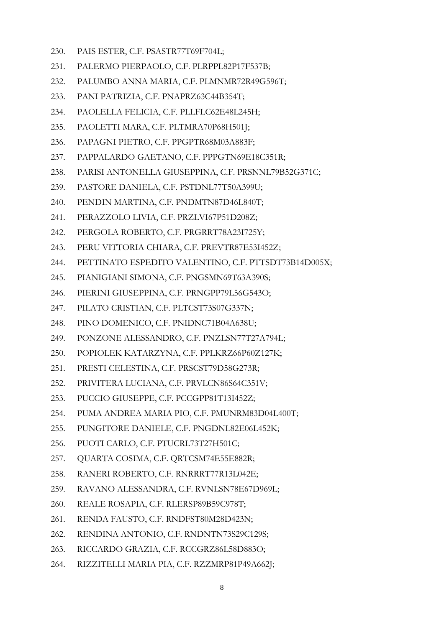- 230. PAIS ESTER, C.F. PSASTR77T69F704L;
- 231. PALERMO PIERPAOLO, C.F. PLRPPL82P17F537B;
- 232. PALUMBO ANNA MARIA, C.F. PLMNMR72R49G596T;
- 233. PANI PATRIZIA, C.F. PNAPRZ63C44B354T;
- 234. PAOLELLA FELICIA, C.F. PLLFLC62E48L245H;
- 235. PAOLETTI MARA, C.F. PLTMRA70P68H501J;
- 236. PAPAGNI PIETRO, C.F. PPGPTR68M03A883F;
- 237. PAPPALARDO GAETANO, C.F. PPPGTN69E18C351R;
- 238. PARISI ANTONELLA GIUSEPPINA, C.F. PRSNNL79B52G371C;
- 239. PASTORE DANIELA, C.F. PSTDNL77T50A399U;
- 240. PENDIN MARTINA, C.F. PNDMTN87D46L840T;
- 241. PERAZZOLO LIVIA, C.F. PRZLVI67P51D208Z;
- 242. PERGOLA ROBERTO, C.F. PRGRRT78A23I725Y;
- 243. PERU VITTORIA CHIARA, C.F. PREVTR87E53I452Z;
- 244. PETTINATO ESPEDITO VALENTINO, C.F. PTTSDT73B14D005X;
- 245. PIANIGIANI SIMONA, C.F. PNGSMN69T63A390S;
- 246. PIERINI GIUSEPPINA, C.F. PRNGPP79L56G543O;
- 247. PILATO CRISTIAN, C.F. PLTCST73S07G337N;
- 248. PINO DOMENICO, C.F. PNIDNC71B04A638U;
- 249. PONZONE ALESSANDRO, C.F. PNZLSN77T27A794L;
- 250. POPIOLEK KATARZYNA, C.F. PPLKRZ66P60Z127K;
- 251. PRESTI CELESTINA, C.F. PRSCST79D58G273R;
- 252. PRIVITERA LUCIANA, C.F. PRVLCN86S64C351V;
- 253. PUCCIO GIUSEPPE, C.F. PCCGPP81T13I452Z;
- 254. PUMA ANDREA MARIA PIO, C.F. PMUNRM83D04L400T;
- 255. PUNGITORE DANIELE, C.F. PNGDNL82E06L452K;
- 256. PUOTI CARLO, C.F. PTUCRL73T27H501C;
- 257. QUARTA COSIMA, C.F. QRTCSM74E55E882R;
- 258. RANERI ROBERTO, C.F. RNRRRT77R13L042E;
- 259. RAVANO ALESSANDRA, C.F. RVNLSN78E67D969L;
- 260. REALE ROSAPIA, C.F. RLERSP89B59C978T;
- 261. RENDA FAUSTO, C.F. RNDFST80M28D423N;
- 262. RENDINA ANTONIO, C.F. RNDNTN73S29C129S;
- 263. RICCARDO GRAZIA, C.F. RCCGRZ86L58D883O;
- 264. RIZZITELLI MARIA PIA, C.F. RZZMRP81P49A662J;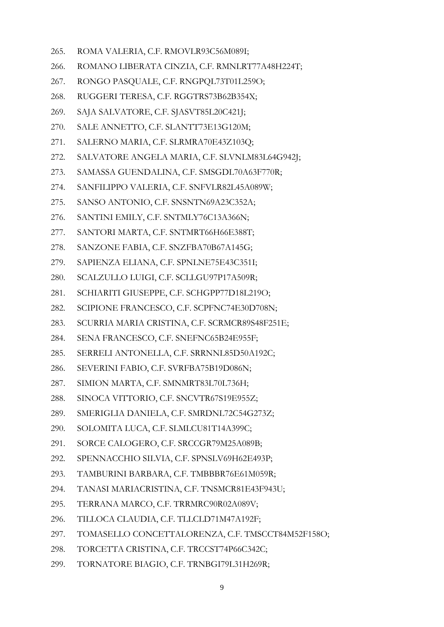- 265. ROMA VALERIA, C.F. RMOVLR93C56M089I;
- 266. ROMANO LIBERATA CINZIA, C.F. RMNLRT77A48H224T;
- 267. RONGO PASQUALE, C.F. RNGPQL73T01L259O;
- 268. RUGGERI TERESA, C.F. RGGTRS73B62B354X;
- 269. SAJA SALVATORE, C.F. SJASVT85L20C421J;
- 270. SALE ANNETTO, C.F. SLANTT73E13G120M;
- 271. SALERNO MARIA, C.F. SLRMRA70E43Z103Q;
- 272. SALVATORE ANGELA MARIA, C.F. SLVNLM83L64G942J;
- 273. SAMASSA GUENDALINA, C.F. SMSGDL70A63F770R;
- 274. SANFILIPPO VALERIA, C.F. SNFVLR82L45A089W;
- 275. SANSO ANTONIO, C.F. SNSNTN69A23C352A;
- 276. SANTINI EMILY, C.F. SNTMLY76C13A366N;
- 277. SANTORI MARTA, C.F. SNTMRT66H66E388T;
- 278. SANZONE FABIA, C.F. SNZFBA70B67A145G;
- 279. SAPIENZA ELIANA, C.F. SPNLNE75E43C351I;
- 280. SCALZULLO LUIGI, C.F. SCLLGU97P17A509R;
- 281. SCHIARITI GIUSEPPE, C.F. SCHGPP77D18L219O;
- 282. SCIPIONE FRANCESCO, C.F. SCPFNC74E30D708N;
- 283. SCURRIA MARIA CRISTINA, C.F. SCRMCR89S48F251E;
- 284. SENA FRANCESCO, C.F. SNEFNC65B24E955F;
- 285. SERRELI ANTONELLA, C.F. SRRNNL85D50A192C;
- 286. SEVERINI FABIO, C.F. SVRFBA75B19D086N;
- 287. SIMION MARTA, C.F. SMNMRT83L70L736H;
- 288. SINOCA VITTORIO, C.F. SNCVTR67S19E955Z;
- 289. SMERIGLIA DANIELA, C.F. SMRDNL72C54G273Z;
- 290. SOLOMITA LUCA, C.F. SLMLCU81T14A399C;
- 291. SORCE CALOGERO, C.F. SRCCGR79M25A089B;
- 292. SPENNACCHIO SILVIA, C.F. SPNSLV69H62E493P;
- 293. TAMBURINI BARBARA, C.F. TMBBBR76E61M059R;
- 294. TANASI MARIACRISTINA, C.F. TNSMCR81E43F943U;
- 295. TERRANA MARCO, C.F. TRRMRC90R02A089V;
- 296. TILLOCA CLAUDIA, C.F. TLLCLD71M47A192F;
- 297. TOMASELLO CONCETTALORENZA, C.F. TMSCCT84M52F158O;
- 298. TORCETTA CRISTINA, C.F. TRCCST74P66C342C;
- 299. TORNATORE BIAGIO, C.F. TRNBGI79L31H269R;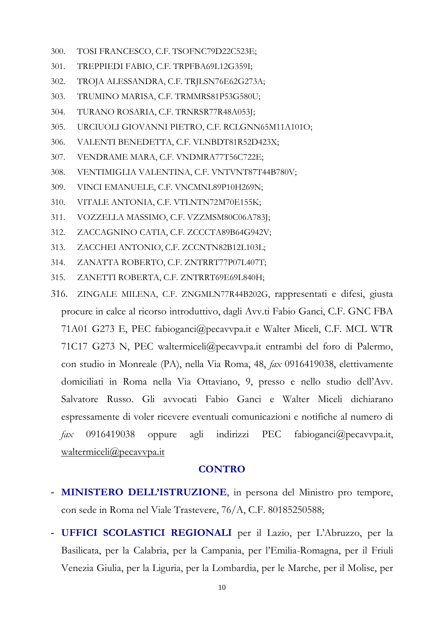- 300. TOSI FRANCESCO, C.F. TSOFNC79D22C523E;
- 301. TREPPIEDI FABIO, C.F. TRPFBA69L12G359I;
- 302. TROJA ALESSANDRA, C.F. TRJLSN76E62G273A;
- 303. TRUMINO MARISA, C.F. TRMMRS81P53G580U;
- 304. TURANO ROSARIA, C.F. TRNRSR77R48A053J;
- 305. URCIUOLI GIOVANNI PIETRO, C.F. RCLGNN65M11A101O;
- 306. VALENTI BENEDETTA, C.F. VLNBDT81R52D423X;
- 307. VENDRAME MARA, C.F. VNDMRA77T56C722E;
- 308. VENTIMIGLIA VALENTINA, C.F. VNTVNT87T44B780V;
- 309. VINCI EMANUELE, C.F. VNCMNL89P10H269N;
- 310. VITALE ANTONIA, C.F. VTLNTN72M70E155K;
- 311. VOZZELLA MASSIMO, C.F. VZZMSM80C06A783J;
- 312. ZACCAGNINO CATIA, C.F. ZCCCTA89B64G942V;
- 313. ZACCHEI ANTONIO, C.F. ZCCNTN82B12L103L;
- 314. ZANATTA ROBERTO, C.F. ZNTRRT77P07L407T;
- 315. ZANETTI ROBERTA, C.F. ZNTRRT69E69L840H;
- 316. ZINGALE MILENA, C.F. ZNGMLN77R44B202G, rappresentati e difesi, giusta procure in calce al ricorso introduttivo, dagli Avv.ti Fabio Ganci, C.F. GNC FBA 71A01 G273 E, PEC fabioganci@pecavvpa.it e Walter Miceli, C.F. MCL WTR 71C17 G273 N, PEC waltermiceli@pecavvpa.it entrambi del foro di Palermo, con studio in Monreale (PA), nella Via Roma, 48, *fax* 0916419038, elettivamente domiciliati in Roma nella Via Ottaviano, 9, presso e nello studio dell'Avv. Salvatore Russo. Gli avvocati Fabio Ganci e Walter Miceli dichiarano espressamente di voler ricevere eventuali comunicazioni e notifiche al numero di *fax* 0916419038 oppure agli indirizzi PEC fabioganc[i@pecavvpa.it,](mailto:waltermiceli@pecavvpa.it) [waltermiceli@pecavvpa.it](mailto:waltermiceli@pecavvpa.it)

## **CONTRO**

- **MINISTERO DELL'ISTRUZIONE**, in persona del Ministro pro tempore, con sede in Roma nel Viale Trastevere, 76/A, C.F. 80185250588;
- **UFFICI SCOLASTICI REGIONALI** per il Lazio, per L'Abruzzo, per la Basilicata, per la Calabria, per la Campania, per l'Emilia-Romagna, per il Friuli Venezia Giulia, per la Liguria, per la Lombardia, per le Marche, per il Molise, per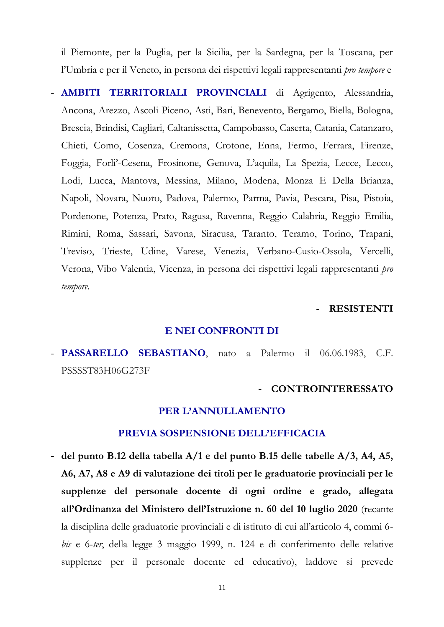il Piemonte, per la Puglia, per la Sicilia, per la Sardegna, per la Toscana, per l'Umbria e per il Veneto, in persona dei rispettivi legali rappresentanti *pro tempore* e

- **AMBITI TERRITORIALI PROVINCIALI** di Agrigento, Alessandria, Ancona, Arezzo, Ascoli Piceno, Asti, Bari, Benevento, Bergamo, Biella, Bologna, Brescia, Brindisi, Cagliari, Caltanissetta, Campobasso, Caserta, Catania, Catanzaro, Chieti, Como, Cosenza, Cremona, Crotone, Enna, Fermo, Ferrara, Firenze, Foggia, Forli'-Cesena, Frosinone, Genova, L'aquila, La Spezia, Lecce, Lecco, Lodi, Lucca, Mantova, Messina, Milano, Modena, Monza E Della Brianza, Napoli, Novara, Nuoro, Padova, Palermo, Parma, Pavia, Pescara, Pisa, Pistoia, Pordenone, Potenza, Prato, Ragusa, Ravenna, Reggio Calabria, Reggio Emilia, Rimini, Roma, Sassari, Savona, Siracusa, Taranto, Teramo, Torino, Trapani, Treviso, Trieste, Udine, Varese, Venezia, Verbano-Cusio-Ossola, Vercelli, Verona, Vibo Valentia, Vicenza, in persona dei rispettivi legali rappresentanti *pro tempore.*

#### - **RESISTENTI**

#### **E NEI CONFRONTI DI**

- **PASSARELLO SEBASTIANO**, nato a Palermo il 06.06.1983, C.F. PSSSST83H06G273F

#### - **CONTROINTERESSATO**

#### **PER L'ANNULLAMENTO**

#### **PREVIA SOSPENSIONE DELL'EFFICACIA**

- **del punto B.12 della tabella A/1 e del punto B.15 delle tabelle A/3, A4, A5, A6, A7, A8 e A9 di valutazione dei titoli per le graduatorie provinciali per le supplenze del personale docente di ogni ordine e grado, allegata all'Ordinanza del Ministero dell'Istruzione n. 60 del 10 luglio 2020** (recante la disciplina delle graduatorie provinciali e di istituto di cui all'articolo 4, commi 6 *bis* e 6-*ter*, della legge 3 maggio 1999, n. 124 e di conferimento delle relative supplenze per il personale docente ed educativo), laddove si prevede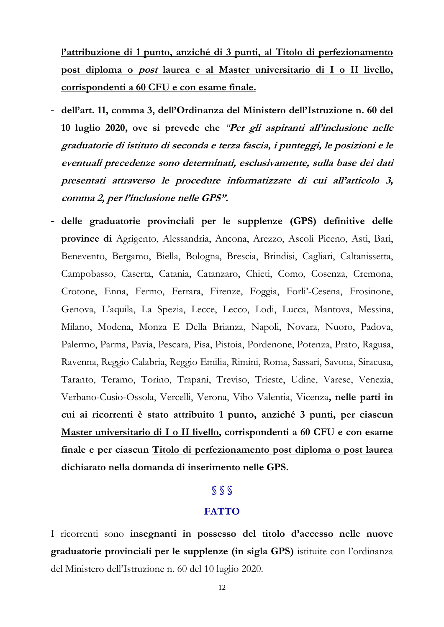**l'attribuzione di 1 punto, anziché di 3 punti, al Titolo di perfezionamento post diploma o post laurea e al Master universitario di I o II livello, corrispondenti a 60 CFU e con esame finale.**

- **dell'art. 11, comma 3, dell'Ordinanza del Ministero dell'Istruzione n. 60 del 10 luglio 2020, ove si prevede che** *"***Per gli aspiranti all'inclusione nelle graduatorie di istituto di seconda e terza fascia, i punteggi, le posizioni e le eventuali precedenze sono determinati, esclusivamente, sulla base dei dati presentati attraverso le procedure informatizzate di cui all'articolo 3, comma 2, per l'inclusione nelle GPS".**
- **delle graduatorie provinciali per le supplenze (GPS) definitive delle province di** Agrigento, Alessandria, Ancona, Arezzo, Ascoli Piceno, Asti, Bari, Benevento, Bergamo, Biella, Bologna, Brescia, Brindisi, Cagliari, Caltanissetta, Campobasso, Caserta, Catania, Catanzaro, Chieti, Como, Cosenza, Cremona, Crotone, Enna, Fermo, Ferrara, Firenze, Foggia, Forli'-Cesena, Frosinone, Genova, L'aquila, La Spezia, Lecce, Lecco, Lodi, Lucca, Mantova, Messina, Milano, Modena, Monza E Della Brianza, Napoli, Novara, Nuoro, Padova, Palermo, Parma, Pavia, Pescara, Pisa, Pistoia, Pordenone, Potenza, Prato, Ragusa, Ravenna, Reggio Calabria, Reggio Emilia, Rimini, Roma, Sassari, Savona, Siracusa, Taranto, Teramo, Torino, Trapani, Treviso, Trieste, Udine, Varese, Venezia, Verbano-Cusio-Ossola, Vercelli, Verona, Vibo Valentia, Vicenza**, nelle parti in cui ai ricorrenti è stato attribuito 1 punto, anziché 3 punti, per ciascun Master universitario di I o II livello, corrispondenti a 60 CFU e con esame finale e per ciascun Titolo di perfezionamento post diploma o post laurea dichiarato nella domanda di inserimento nelle GPS.**

## **§ § §**

## **FATTO**

I ricorrenti sono **insegnanti in possesso del titolo d'accesso nelle nuove graduatorie provinciali per le supplenze (in sigla GPS)** istituite con l'ordinanza del Ministero dell'Istruzione n. 60 del 10 luglio 2020.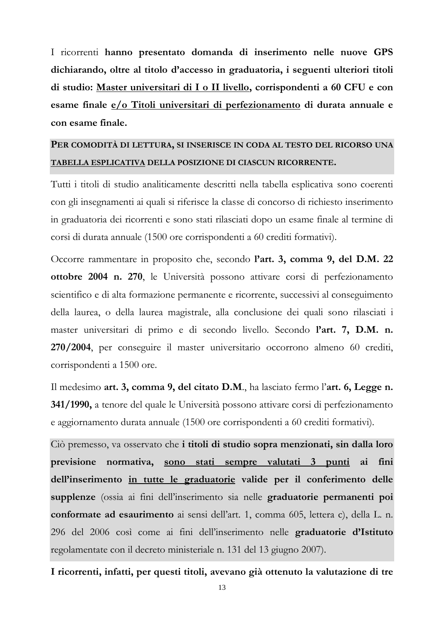I ricorrenti **hanno presentato domanda di inserimento nelle nuove GPS dichiarando, oltre al titolo d'accesso in graduatoria, i seguenti ulteriori titoli di studio: Master universitari di I o II livello, corrispondenti a 60 CFU e con esame finale e/o Titoli universitari di perfezionamento di durata annuale e con esame finale.**

## **PER COMODITÀ DI LETTURA, SI INSERISCE IN CODA AL TESTO DEL RICORSO UNA TABELLA ESPLICATIVA DELLA POSIZIONE DI CIASCUN RICORRENTE.**

Tutti i titoli di studio analiticamente descritti nella tabella esplicativa sono coerenti con gli insegnamenti ai quali si riferisce la classe di concorso di richiesto inserimento in graduatoria dei ricorrenti e sono stati rilasciati dopo un esame finale al termine di corsi di durata annuale (1500 ore corrispondenti a 60 crediti formativi).

Occorre rammentare in proposito che, secondo **l'art. 3, comma 9, del D.M. 22 ottobre 2004 n. 270**, le Università possono attivare corsi di perfezionamento scientifico e di alta formazione permanente e ricorrente, successivi al conseguimento della laurea, o della laurea magistrale, alla conclusione dei quali sono rilasciati i master universitari di primo e di secondo livello. Secondo **l'art. 7, D.M. n. 270/2004**, per conseguire il master universitario occorrono almeno 60 crediti, corrispondenti a 1500 ore.

Il medesimo **art. 3, comma 9, del citato D.M**., ha lasciato fermo l'**art. 6, Legge n. 341/1990,** a tenore del quale le Università possono attivare corsi di perfezionamento e aggiornamento durata annuale (1500 ore corrispondenti a 60 crediti formativi).

Ciò premesso, va osservato che **i titoli di studio sopra menzionati, sin dalla loro previsione normativa, sono stati sempre valutati 3 punti ai fini dell'inserimento in tutte le graduatorie valide per il conferimento delle supplenze** (ossia ai fini dell'inserimento sia nelle **graduatorie permanenti poi conformate ad esaurimento** ai sensi dell'art. 1, comma 605, lettera c), della L. n. 296 del 2006 così come ai fini dell'inserimento nelle **graduatorie d'Istituto** regolamentate con il decreto ministeriale n. 131 del 13 giugno 2007).

**I ricorrenti, infatti, per questi titoli, avevano già ottenuto la valutazione di tre**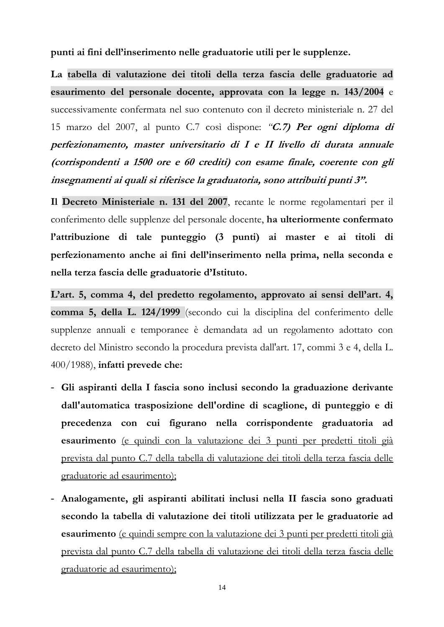**punti ai fini dell'inserimento nelle graduatorie utili per le supplenze.**

**La tabella di valutazione dei titoli della terza fascia delle graduatorie ad esaurimento del personale docente, approvata con la legge n. 143/2004** e successivamente confermata nel suo contenuto con il decreto ministeriale n. 27 del 15 marzo del 2007, al punto C.7 così dispone: *"***C.7) Per ogni diploma di perfezionamento, master universitario di I e II livello di durata annuale (corrispondenti a 1500 ore e 60 crediti) con esame finale, coerente con gli insegnamenti ai quali si riferisce la graduatoria, sono attribuiti punti 3".**

**Il Decreto Ministeriale n. 131 del 2007**, recante le norme regolamentari per il conferimento delle supplenze del personale docente, **ha ulteriormente confermato l'attribuzione di tale punteggio (3 punti) ai master e ai titoli di perfezionamento anche ai fini dell'inserimento nella prima, nella seconda e nella terza fascia delle graduatorie d'Istituto.**

**L'art. 5, comma 4, del predetto regolamento, approvato ai sensi dell'art. 4, comma 5, della [L. 124/1999](http://www.normattiva.it/uri-res/N2Ls?urn:nir:stato:legge:1999;124)** (secondo cui la disciplina del conferimento delle supplenze annuali e temporanee è demandata ad un regolamento adottato con decreto del Ministro secondo la procedura prevista dall'art. 17, commi 3 e 4, della [L.](https://www.normattiva.it/uri-res/N2Ls?urn:nir:stato:legge:1988-08-23;400!vig=)  [400/1988\)](https://www.normattiva.it/uri-res/N2Ls?urn:nir:stato:legge:1988-08-23;400!vig=), **infatti prevede che:**

- **Gli aspiranti della I fascia sono inclusi secondo la graduazione derivante dall'automatica trasposizione dell'ordine di scaglione, di punteggio e di precedenza con cui figurano nella corrispondente graduatoria ad esaurimento** (e quindi con la valutazione dei 3 punti per predetti titoli già prevista dal punto C.7 della tabella di valutazione dei titoli della terza fascia delle graduatorie ad esaurimento);
- **Analogamente, gli aspiranti abilitati inclusi nella II fascia sono graduati secondo la tabella di valutazione dei titoli utilizzata per le graduatorie ad esaurimento** (e quindi sempre con la valutazione dei 3 punti per predetti titoli già prevista dal punto C.7 della tabella di valutazione dei titoli della terza fascia delle graduatorie ad esaurimento);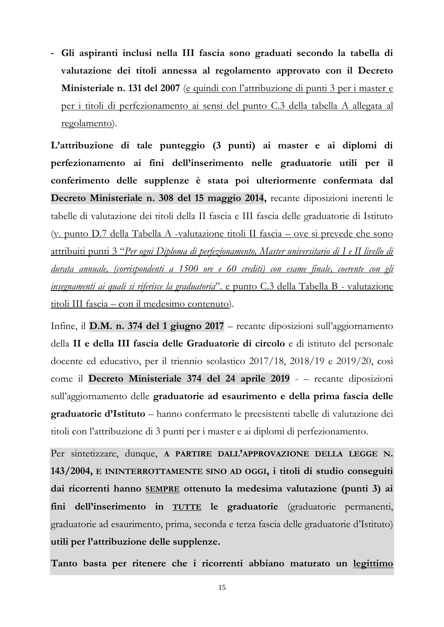- **Gli aspiranti inclusi nella III fascia sono graduati secondo la tabella di valutazione dei titoli annessa al regolamento approvato con il Decreto Ministeriale n. 131 del 2007** (e quindi con l'attribuzione di punti 3 per i master e per i titoli di perfezionamento ai sensi del punto C.3 della tabella A allegata al regolamento).

**L'attribuzione di tale punteggio (3 punti) ai master e ai diplomi di perfezionamento ai fini dell'inserimento nelle graduatorie utili per il conferimento delle supplenze è stata poi ulteriormente confermata dal Decreto Ministeriale n. 308 del 15 maggio 2014,** recante diposizioni inerenti le tabelle di valutazione dei titoli della II fascia e III fascia delle graduatorie di Istituto (v. punto D.7 della Tabella A -valutazione titoli II fascia – ove si prevede che sono attribuiti punti 3 "*Per ogni Diploma di perfezionamento, Master universitario di I e II livello di durata annuale, (corrispondenti a 1500 ore e 60 crediti) con esame finale, coerente con gli insegnamenti ai quali si riferisce la graduatoria*". e punto C.3 della Tabella B - valutazione titoli III fascia – con il medesimo contenuto).

Infine, il **D.M. n. 374 del 1 giugno 2017** – recante diposizioni sull'aggiornamento della **II e della III fascia delle Graduatorie di circolo** e di istituto del personale docente ed educativo, per il triennio scolastico 2017/18, 2018/19 e 2019/20, così come il **Decreto Ministeriale 374 del 24 aprile 2019** - – recante diposizioni sull'aggiornamento delle **graduatorie ad esaurimento e della prima fascia delle graduatorie d'Istituto** – hanno confermato le preesistenti tabelle di valutazione dei titoli con l'attribuzione di 3 punti per i master e ai diplomi di perfezionamento.

Per sintetizzare, dunque, **A PARTIRE DALL'APPROVAZIONE DELLA LEGGE N. 143/2004, E ININTERROTTAMENTE SINO AD OGGI, i titoli di studio conseguiti dai ricorrenti hanno SEMPRE ottenuto la medesima valutazione (punti 3) ai fini dell'inserimento in TUTTE le graduatorie** (graduatorie permanenti, graduatorie ad esaurimento, prima, seconda e terza fascia delle graduatorie d'Istituto) **utili per l'attribuzione delle supplenze.**

**Tanto basta per ritenere che i ricorrenti abbiano maturato un legittimo**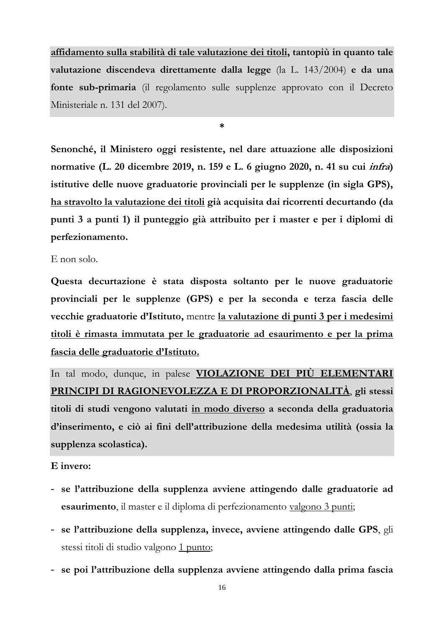**affidamento sulla stabilità di tale valutazione dei titoli, tantopiù in quanto tale valutazione discendeva direttamente dalla legge** (la L. 143/2004) **e da una fonte sub-primaria** (il regolamento sulle supplenze approvato con il Decreto Ministeriale n. 131 del 2007).

**\***

**Senonché, il Ministero oggi resistente, nel dare attuazione alle disposizioni normative (L. 20 dicembre 2019, n. 159 e L. 6 giugno 2020, n. 41 su cui infra) istitutive delle nuove graduatorie provinciali per le supplenze (in sigla GPS), ha stravolto la valutazione dei titoli già acquisita dai ricorrenti decurtando (da punti 3 a punti 1) il punteggio già attribuito per i master e per i diplomi di perfezionamento.**

E non solo.

**Questa decurtazione è stata disposta soltanto per le nuove graduatorie provinciali per le supplenze (GPS) e per la seconda e terza fascia delle vecchie graduatorie d'Istituto,** mentre **la valutazione di punti 3 per i medesimi titoli è rimasta immutata per le graduatorie ad esaurimento e per la prima fascia delle graduatorie d'Istituto.**

In tal modo, dunque, in palese **VIOLAZIONE DEI PIÙ ELEMENTARI PRINCIPI DI RAGIONEVOLEZZA E DI PROPORZIONALITÀ**, **gli stessi titoli di studi vengono valutati in modo diverso a seconda della graduatoria d'inserimento, e ciò ai fini dell'attribuzione della medesima utilità (ossia la supplenza scolastica).**

**E invero:**

- **se l'attribuzione della supplenza avviene attingendo dalle graduatorie ad esaurimento**, il master e il diploma di perfezionamento valgono 3 punti;
- **se l'attribuzione della supplenza, invece, avviene attingendo dalle GPS**, gli stessi titoli di studio valgono 1 punto;
- **se poi l'attribuzione della supplenza avviene attingendo dalla prima fascia**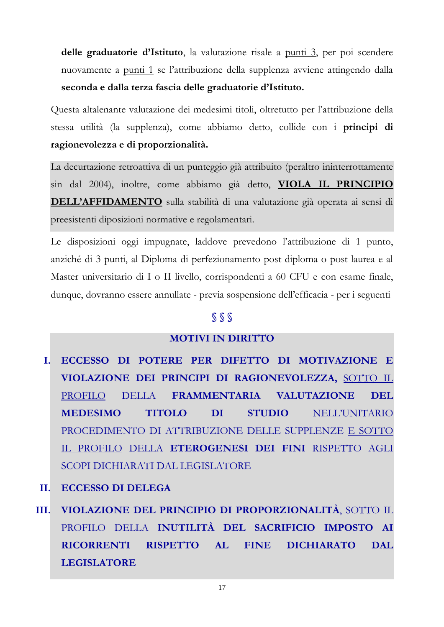**delle graduatorie d'Istituto**, la valutazione risale a punti 3, per poi scendere nuovamente a punti 1 se l'attribuzione della supplenza avviene attingendo dalla **seconda e dalla terza fascia delle graduatorie d'Istituto.**

Questa altalenante valutazione dei medesimi titoli, oltretutto per l'attribuzione della stessa utilità (la supplenza), come abbiamo detto, collide con i **principi di ragionevolezza e di proporzionalità.**

La decurtazione retroattiva di un punteggio già attribuito (peraltro ininterrottamente sin dal 2004), inoltre, come abbiamo già detto, **VIOLA IL PRINCIPIO DELL'AFFIDAMENTO** sulla stabilità di una valutazione già operata ai sensi di preesistenti diposizioni normative e regolamentari.

Le disposizioni oggi impugnate, laddove prevedono l'attribuzione di 1 punto, anziché di 3 punti, al Diploma di perfezionamento post diploma o post laurea e al Master universitario di I o II livello, corrispondenti a 60 CFU e con esame finale, dunque, dovranno essere annullate - previa sospensione dell'efficacia - per i seguenti

## **§ § §**

## **MOTIVI IN DIRITTO**

- **I. ECCESSO DI POTERE PER DIFETTO DI MOTIVAZIONE E VIOLAZIONE DEI PRINCIPI DI RAGIONEVOLEZZA,** SOTTO IL PROFILO DELLA **FRAMMENTARIA VALUTAZIONE DEL MEDESIMO TITOLO DI STUDIO** NELL'UNITARIO PROCEDIMENTO DI ATTRIBUZIONE DELLE SUPPLENZE E SOTTO IL PROFILO DELLA **ETEROGENESI DEI FINI** RISPETTO AGLI SCOPI DICHIARATI DAL LEGISLATORE
- **II. ECCESSO DI DELEGA**
- **III. VIOLAZIONE DEL PRINCIPIO DI PROPORZIONALITÀ**, SOTTO IL PROFILO DELLA **INUTILITÀ DEL SACRIFICIO IMPOSTO AI RICORRENTI RISPETTO AL FINE DICHIARATO DAL LEGISLATORE**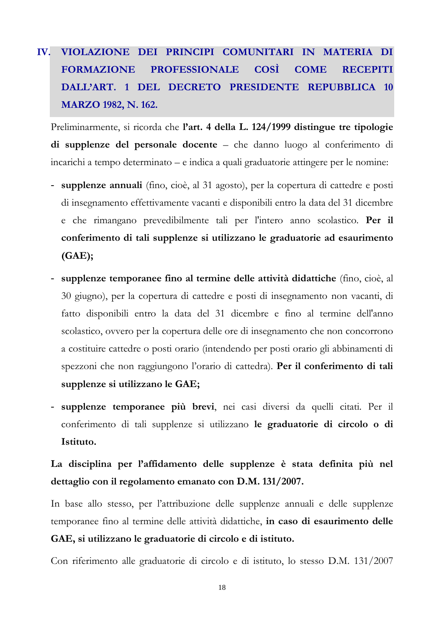## **IV. VIOLAZIONE DEI PRINCIPI COMUNITARI IN MATERIA DI FORMAZIONE PROFESSIONALE COSÌ COME RECEPITI DALL'ART. 1 DEL DECRETO PRESIDENTE REPUBBLICA 10 MARZO 1982, N. 162.**

Preliminarmente, si ricorda che **l'art. 4 della L. 124/1999 distingue tre tipologie di supplenze del personale docente** – che danno luogo al conferimento di incarichi a tempo determinato – e indica a quali graduatorie attingere per le nomine:

- **supplenze annuali** (fino, cioè, al 31 agosto), per la copertura di cattedre e posti di insegnamento effettivamente vacanti e disponibili entro la data del 31 dicembre e che rimangano prevedibilmente tali per l'intero anno scolastico. **Per il conferimento di tali supplenze si utilizzano le graduatorie ad esaurimento (GAE);**
- **supplenze temporanee fino al termine delle attività didattiche** (fino, cioè, al 30 giugno), per la copertura di cattedre e posti di insegnamento non vacanti, di fatto disponibili entro la data del 31 dicembre e fino al termine dell'anno scolastico, ovvero per la copertura delle ore di insegnamento che non concorrono a costituire cattedre o posti orario (intendendo per posti orario gli abbinamenti di spezzoni che non raggiungono l'orario di cattedra). **Per il conferimento di tali supplenze si utilizzano le GAE;**
- **supplenze temporanee più brevi**, nei casi diversi da quelli citati. Per il conferimento di tali supplenze si utilizzano **le graduatorie di circolo o di Istituto.**

## **La disciplina per l'affidamento delle supplenze è stata definita più nel dettaglio con il regolamento emanato con D.M. 131/2007.**

In base allo stesso, per l'attribuzione delle supplenze annuali e delle supplenze temporanee fino al termine delle attività didattiche, **in caso di esaurimento delle GAE, si utilizzano le graduatorie di circolo e di istituto.**

Con riferimento alle graduatorie di circolo e di istituto, lo stesso D.M. 131/2007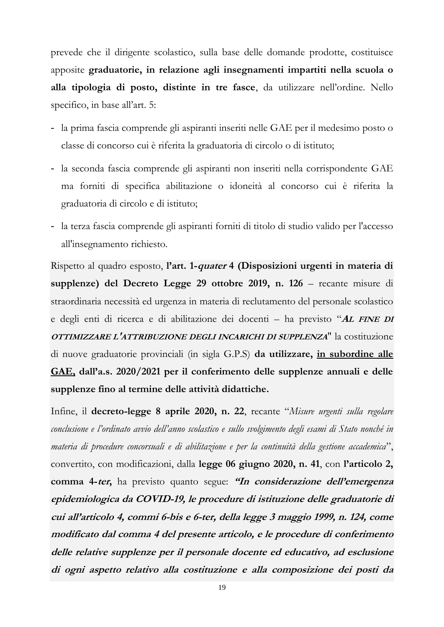prevede che il dirigente scolastico, sulla base delle domande prodotte, costituisce apposite **graduatorie, in relazione agli insegnamenti impartiti nella scuola o alla tipologia di posto, distinte in tre fasce**, da utilizzare nell'ordine. Nello specifico, in base all'art. 5:

- la prima fascia comprende gli aspiranti inseriti nelle GAE per il medesimo posto o classe di concorso cui è riferita la graduatoria di circolo o di istituto;
- la seconda fascia comprende gli aspiranti non inseriti nella corrispondente GAE ma forniti di specifica abilitazione o idoneità al concorso cui è riferita la graduatoria di circolo e di istituto;
- la terza fascia comprende gli aspiranti forniti di titolo di studio valido per l'accesso all'insegnamento richiesto.

Rispetto al quadro esposto, **l'art. 1-quater 4 (Disposizioni urgenti in materia di supplenze) del Decreto Legge 29 ottobre 2019, n. 126** – recante misure di straordinaria necessità ed urgenza in materia di reclutamento del personale scolastico e degli enti di ricerca e di abilitazione dei docenti – ha previsto "**<sup>A</sup>L FINE DI OTTIMIZZARE L'ATTRIBUZIONE DEGLI INCARICHI DI SUPPLENZA**" la costituzione di nuove graduatorie provinciali (in sigla G.P.S) **da utilizzare, in subordine alle GAE, dall'a.s. 2020/2021 per il conferimento delle supplenze annuali e delle supplenze fino al termine delle attività didattiche.**

Infine, il **decreto-legge 8 aprile 2020, n. 22**, recante "*Misure urgenti sulla regolare conclusione e l'ordinato avvio dell'anno scolastico e sullo svolgimento degli esami di Stato nonché in materia di procedure concorsuali e di abilitazione e per la continuità della gestione accademica*", convertito, con modificazioni, dalla **legge 06 giugno 2020, n. 41**, con **l'articolo 2, comma 4-ter,** ha previsto quanto segue: **"In considerazione dell'emergenza epidemiologica da COVID-19, le procedure di istituzione delle graduatorie di cui all'articolo 4, commi 6-bis e 6-ter, della legge 3 maggio 1999, n. 124, come modificato dal comma 4 del presente articolo, e le procedure di conferimento delle relative supplenze per il personale docente ed educativo, ad esclusione di ogni aspetto relativo alla costituzione e alla composizione dei posti da**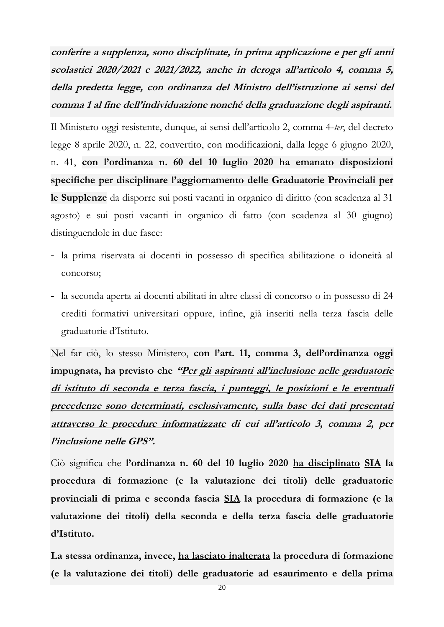**conferire a supplenza, sono disciplinate, in prima applicazione e per gli anni scolastici 2020/2021 e 2021/2022, anche in deroga all'articolo 4, comma 5, della predetta legge, con ordinanza del Ministro dell'istruzione ai sensi del comma 1 al fine dell'individuazione nonché della graduazione degli aspiranti.**

Il Ministero oggi resistente, dunque, ai sensi dell'articolo 2, comma 4-*ter*, del decreto legge 8 aprile 2020, n. 22, convertito, con modificazioni, dalla legge 6 giugno 2020, n. 41, **con l'ordinanza n. 60 del 10 luglio 2020 ha emanato disposizioni specifiche per disciplinare l'aggiornamento delle Graduatorie Provinciali per le Supplenze** da disporre sui posti vacanti in organico di diritto (con scadenza al 31 agosto) e sui posti vacanti in organico di fatto (con scadenza al 30 giugno) distinguendole in due fasce:

- la prima riservata ai docenti in possesso di specifica abilitazione o idoneità al concorso;
- la seconda aperta ai docenti abilitati in altre classi di concorso o in possesso di 24 crediti formativi universitari oppure, infine, già inseriti nella terza fascia delle graduatorie d'Istituto.

Nel far ciò, lo stesso Ministero, **con l'art. 11, comma 3, dell'ordinanza oggi impugnata, ha previsto che "Per gli aspiranti all'inclusione nelle graduatorie di istituto di seconda e terza fascia, i punteggi, le posizioni e le eventuali precedenze sono determinati, esclusivamente, sulla base dei dati presentati attraverso le procedure informatizzate di cui all'articolo 3, comma 2, per l'inclusione nelle GPS".**

Ciò significa che **l'ordinanza n. 60 del 10 luglio 2020 ha disciplinato SIA la procedura di formazione (e la valutazione dei titoli) delle graduatorie provinciali di prima e seconda fascia SIA la procedura di formazione (e la valutazione dei titoli) della seconda e della terza fascia delle graduatorie d'Istituto.**

**La stessa ordinanza, invece, ha lasciato inalterata la procedura di formazione (e la valutazione dei titoli) delle graduatorie ad esaurimento e della prima**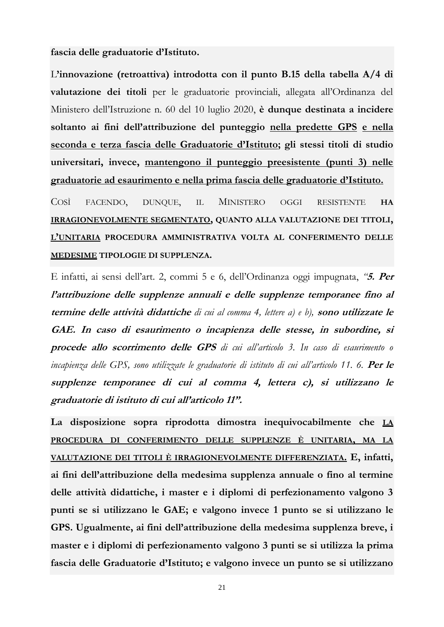**fascia delle graduatorie d'Istituto.**

L**'innovazione (retroattiva) introdotta con il punto B.15 della tabella A/4 di valutazione dei titoli** per le graduatorie provinciali, allegata all'Ordinanza del Ministero dell'Istruzione n. 60 del 10 luglio 2020, **è dunque destinata a incidere soltanto ai fini dell'attribuzione del punteggio nella predette GPS e nella seconda e terza fascia delle Graduatorie d'Istituto; gli stessi titoli di studio universitari, invece, mantengono il punteggio preesistente (punti 3) nelle graduatorie ad esaurimento e nella prima fascia delle graduatorie d'Istituto.**

COSÌ FACENDO, DUNQUE, IL MINISTERO OGGI RESISTENTE **HA IRRAGIONEVOLMENTE SEGMENTATO, QUANTO ALLA VALUTAZIONE DEI TITOLI, L'UNITARIA PROCEDURA AMMINISTRATIVA VOLTA AL CONFERIMENTO DELLE MEDESIME TIPOLOGIE DI SUPPLENZA.**

E infatti, ai sensi dell'art. 2, commi 5 e 6, dell'Ordinanza oggi impugnata, *"***5. Per l'attribuzione delle supplenze annuali e delle supplenze temporanee fino al termine delle attività didattiche** *di cui al comma 4, lettere a) e b),* **sono utilizzate le GAE. In caso di esaurimento o incapienza delle stesse, in subordine, si procede allo scorrimento delle GPS** *di cui all'articolo 3. In caso di esaurimento o incapienza delle GPS, sono utilizzate le graduatorie di istituto di cui all'articolo 11. 6.* **Per le supplenze temporanee di cui al comma 4, lettera c), si utilizzano le graduatorie di istituto di cui all'articolo 11".**

**La disposizione sopra riprodotta dimostra inequivocabilmente che LA PROCEDURA DI CONFERIMENTO DELLE SUPPLENZE È UNITARIA, MA LA VALUTAZIONE DEI TITOLI È IRRAGIONEVOLMENTE DIFFERENZIATA. E, infatti, ai fini dell'attribuzione della medesima supplenza annuale o fino al termine delle attività didattiche, i master e i diplomi di perfezionamento valgono 3 punti se si utilizzano le GAE; e valgono invece 1 punto se si utilizzano le GPS. Ugualmente, ai fini dell'attribuzione della medesima supplenza breve, i master e i diplomi di perfezionamento valgono 3 punti se si utilizza la prima fascia delle Graduatorie d'Istituto; e valgono invece un punto se si utilizzano**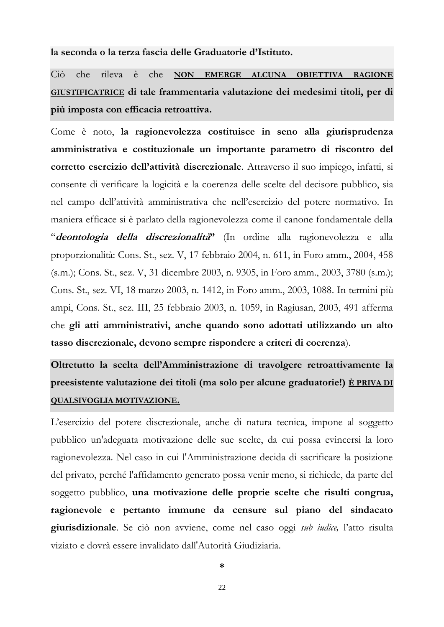**la seconda o la terza fascia delle Graduatorie d'Istituto.**

Ciò che rileva è che **NON EMERGE ALCUNA OBIETTIVA RAGIONE GIUSTIFICATRICE di tale frammentaria valutazione dei medesimi titoli, per di più imposta con efficacia retroattiva.**

Come è noto, **la ragionevolezza costituisce in seno alla giurisprudenza amministrativa e costituzionale un importante parametro di riscontro del corretto esercizio dell'attività discrezionale**. Attraverso il suo impiego, infatti, si consente di verificare la logicità e la coerenza delle scelte del decisore pubblico, sia nel campo dell'attività amministrativa che nell'esercizio del potere normativo. In maniera efficace si è parlato della ragionevolezza come il canone fondamentale della "**deontologia della discrezionalità"** (In ordine alla ragionevolezza e alla proporzionalità: Cons. St., sez. V, 17 febbraio 2004, n. 611, in Foro amm., 2004, 458 (s.m.); Cons. St., sez. V, 31 dicembre 2003, n. 9305, in Foro amm., 2003, 3780 (s.m.); Cons. St., sez. VI, 18 marzo 2003, n. 1412, in Foro amm., 2003, 1088. In termini più ampi, Cons. St., sez. III, 25 febbraio 2003, n. 1059, in Ragiusan, 2003, 491 afferma che **gli atti amministrativi, anche quando sono adottati utilizzando un alto tasso discrezionale, devono sempre rispondere a criteri di coerenza**).

**Oltretutto la scelta dell'Amministrazione di travolgere retroattivamente la preesistente valutazione dei titoli (ma solo per alcune graduatorie!) È PRIVA DI QUALSIVOGLIA MOTIVAZIONE.**

L'esercizio del potere discrezionale, anche di natura tecnica, impone al soggetto pubblico un'adeguata motivazione delle sue scelte, da cui possa evincersi la loro ragionevolezza. Nel caso in cui l'Amministrazione decida di sacrificare la posizione del privato, perché l'affidamento generato possa venir meno, si richiede, da parte del soggetto pubblico, **una motivazione delle proprie scelte che risulti congrua, ragionevole e pertanto immune da censure sul piano del sindacato giurisdizionale**. Se ciò non avviene, come nel caso oggi *sub iudice,* l'atto risulta viziato e dovrà essere invalidato dall'Autorità Giudiziaria.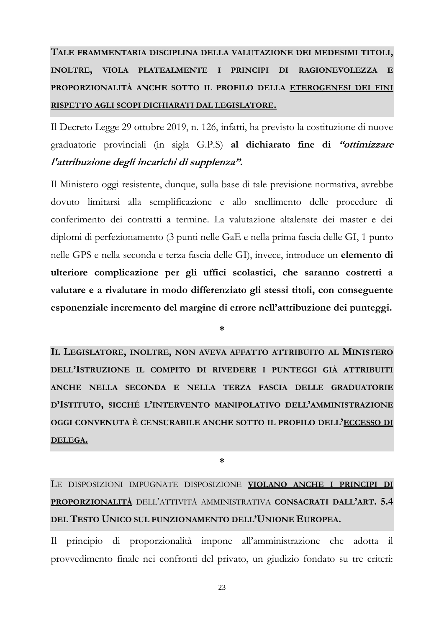## **TALE FRAMMENTARIA DISCIPLINA DELLA VALUTAZIONE DEI MEDESIMI TITOLI, INOLTRE, VIOLA PLATEALMENTE I PRINCIPI DI RAGIONEVOLEZZA E PROPORZIONALITÀ ANCHE SOTTO IL PROFILO DELLA ETEROGENESI DEI FINI RISPETTO AGLI SCOPI DICHIARATI DAL LEGISLATORE.**

Il Decreto Legge 29 ottobre 2019, n. 126, infatti, ha previsto la costituzione di nuove graduatorie provinciali (in sigla G.P.S) **al dichiarato fine di "ottimizzare l'attribuzione degli incarichi di supplenza".**

Il Ministero oggi resistente, dunque, sulla base di tale previsione normativa, avrebbe dovuto limitarsi alla semplificazione e allo snellimento delle procedure di conferimento dei contratti a termine. La valutazione altalenate dei master e dei diplomi di perfezionamento (3 punti nelle GaE e nella prima fascia delle GI, 1 punto nelle GPS e nella seconda e terza fascia delle GI), invece, introduce un **elemento di ulteriore complicazione per gli uffici scolastici, che saranno costretti a valutare e a rivalutare in modo differenziato gli stessi titoli, con conseguente esponenziale incremento del margine di errore nell'attribuzione dei punteggi.**

**\***

**IL LEGISLATORE, INOLTRE, NON AVEVA AFFATTO ATTRIBUITO AL MINISTERO DELL'ISTRUZIONE IL COMPITO DI RIVEDERE I PUNTEGGI GIÀ ATTRIBUITI ANCHE NELLA SECONDA E NELLA TERZA FASCIA DELLE GRADUATORIE D'ISTITUTO, SICCHÉ L'INTERVENTO MANIPOLATIVO DELL'AMMINISTRAZIONE OGGI CONVENUTA È CENSURABILE ANCHE SOTTO IL PROFILO DELL'ECCESSO DI DELEGA.**

**\***

LE DISPOSIZIONI IMPUGNATE DISPOSIZIONE **VIOLANO ANCHE I PRINCIPI DI PROPORZIONALITÀ** DELL'ATTIVITÀ AMMINISTRATIVA **CONSACRATI DALL'ART. 5.4 DEL TESTO UNICO SUL FUNZIONAMENTO DELL'UNIONE EUROPEA.**

Il principio di proporzionalità impone all'amministrazione che adotta il provvedimento finale nei confronti del privato, un giudizio fondato su tre criteri:

23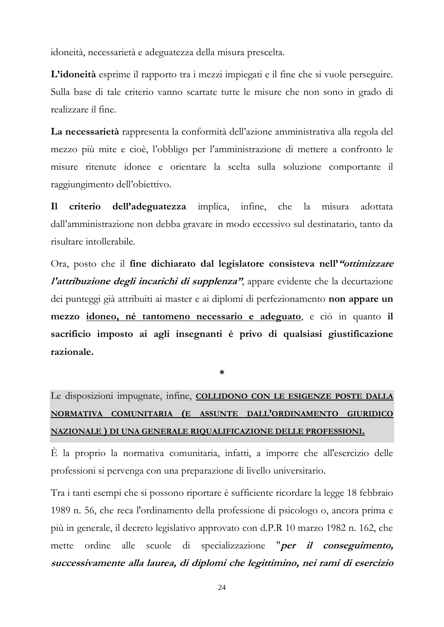idoneità, necessarietà e adeguatezza della misura prescelta.

**L'idoneità** esprime il rapporto tra i mezzi impiegati e il fine che si vuole perseguire. Sulla base di tale criterio vanno scartate tutte le misure che non sono in grado di realizzare il fine.

**La necessarietà** rappresenta la conformità dell'azione amministrativa alla regola del mezzo più mite e cioè, l'obbligo per l'amministrazione di mettere a confronto le misure ritenute idonee e orientare la scelta sulla soluzione comportante il raggiungimento dell'obiettivo.

**Il criterio dell'adeguatezza** implica, infine, che la misura adottata dall'amministrazione non debba gravare in modo eccessivo sul destinatario, tanto da risultare intollerabile.

Ora, posto che il **fine dichiarato dal legislatore consisteva nell'"ottimizzare l'attribuzione degli incarichi di supplenza"**, appare evidente che la decurtazione dei punteggi già attribuiti ai master e ai diplomi di perfezionamento **non appare un mezzo idoneo, né tantomeno necessario e adeguato**, e ciò in quanto **il sacrificio imposto ai agli insegnanti è privo di qualsiasi giustificazione razionale.**

**\***

Le disposizioni impugnate, infine, **COLLIDONO CON LE ESIGENZE POSTE DALLA NORMATIVA COMUNITARIA (E ASSUNTE DALL'ORDINAMENTO GIURIDICO NAZIONALE ) DI UNA GENERALE RIQUALIFICAZIONE DELLE PROFESSIONI.**

È la proprio la normativa comunitaria, infatti, a imporre che all'esercizio delle professioni si pervenga con una preparazione di livello universitario.

Tra i tanti esempi che si possono riportare è sufficiente ricordare la legge 18 febbraio 1989 n. 56, che reca l'ordinamento della professione di psicologo o, ancora prima e più in generale, il decreto legislativo approvato con d.P.R 10 marzo 1982 n. 162, che mette ordine alle scuole di specializzazione "**per il conseguimento, successivamente alla laurea, di diplomi che legittimino, nei rami di esercizio**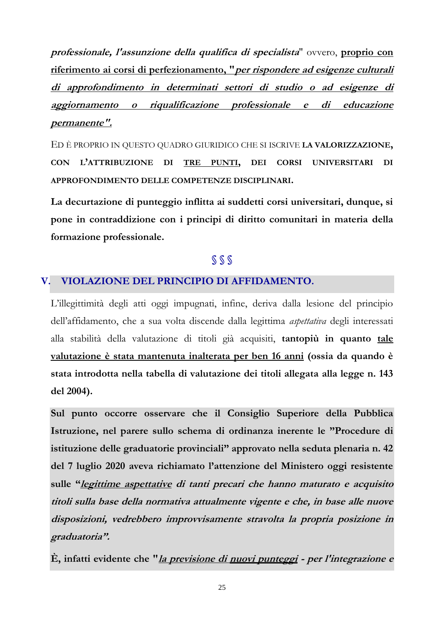**professionale, l'assunzione della qualifica di specialista**" ovvero, **proprio con riferimento ai corsi di perfezionamento, "per rispondere ad esigenze culturali di approfondimento in determinati settori di studio o ad esigenze di aggiornamento o riqualificazione professionale e di educazione permanente".**

ED È PROPRIO IN QUESTO QUADRO GIURIDICO CHE SI ISCRIVE **LA VALORIZZAZIONE, CON L'ATTRIBUZIONE DI TRE PUNTI, DEI CORSI UNIVERSITARI DI APPROFONDIMENTO DELLE COMPETENZE DISCIPLINARI.**

**La decurtazione di punteggio inflitta ai suddetti corsi universitari, dunque, si pone in contraddizione con i principi di diritto comunitari in materia della formazione professionale.**

## **§ § §**

## **V. VIOLAZIONE DEL PRINCIPIO DI AFFIDAMENTO.**

L'illegittimità degli atti oggi impugnati, infine, deriva dalla lesione del principio dell'affidamento, che a sua volta discende dalla legittima *aspettativa* degli interessati alla stabilità della valutazione di titoli già acquisiti, **tantopiù in quanto tale valutazione è stata mantenuta inalterata per ben 16 anni (ossia da quando è stata introdotta nella tabella di valutazione dei titoli allegata alla legge n. 143 del 2004).**

**Sul punto occorre osservare che il Consiglio Superiore della Pubblica Istruzione, nel parere sullo schema di ordinanza inerente le "Procedure di istituzione delle graduatorie provinciali" approvato nella seduta plenaria n. 42 del 7 luglio 2020 aveva richiamato l'attenzione del Ministero oggi resistente sulle "legittime aspettative di tanti precari che hanno maturato e acquisito titoli sulla base della normativa attualmente vigente e che, in base alle nuove disposizioni, vedrebbero improvvisamente stravolta la propria posizione in graduatoria".**

**È, infatti evidente che "la previsione di nuovi punteggi - per l'integrazione e**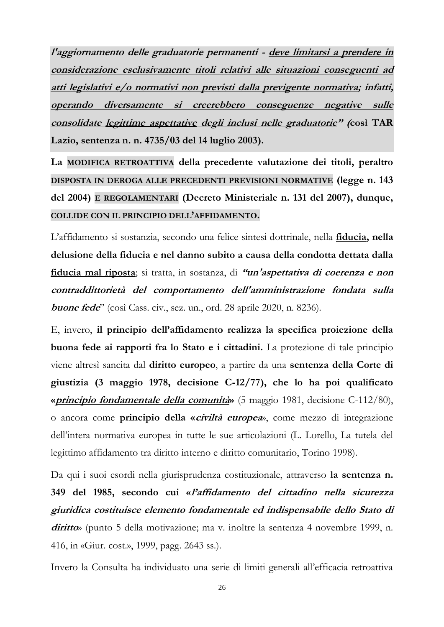**l'aggiornamento delle graduatorie permanenti - deve limitarsi a prendere in considerazione esclusivamente titoli relativi alle situazioni conseguenti ad atti legislativi e/o normativi non previsti dalla previgente normativa; infatti, operando diversamente si creerebbero conseguenze negative sulle consolidate legittime aspettative degli inclusi nelle graduatorie" (così TAR Lazio, sentenza n. n. 4735/03 del 14 luglio 2003).**

**La MODIFICA RETROATTIVA della precedente valutazione dei titoli, peraltro DISPOSTA IN DEROGA ALLE PRECEDENTI PREVISIONI NORMATIVE (legge n. 143 del 2004) E REGOLAMENTARI (Decreto Ministeriale n. 131 del 2007), dunque, COLLIDE CON IL PRINCIPIO DELL'AFFIDAMENTO.**

L'affidamento si sostanzia, secondo una felice sintesi dottrinale, nella **fiducia, nella delusione della fiducia e nel danno subito a causa della condotta dettata dalla fiducia mal riposta**; si tratta, in sostanza, di **"un'aspettativa di coerenza e non contraddittorietà del comportamento dell'amministrazione fondata sulla buone fede**" (così Cass. civ., sez. un., ord. 28 aprile 2020, n. 8236).

E, invero, **il principio dell'affidamento realizza la specifica proiezione della buona fede ai rapporti fra lo Stato e i cittadini.** La protezione di tale principio viene altresì sancita dal **diritto europeo**, a partire da una **sentenza della Corte di giustizia (3 maggio 1978, decisione C-12/77), che lo ha poi qualificato «principio fondamentale della comunità»** (5 maggio 1981, decisione C-112/80), o ancora come **principio della «civiltà europea**», come mezzo di integrazione dell'intera normativa europea in tutte le sue articolazioni (L. Lorello, La tutela del legittimo affidamento tra diritto interno e diritto comunitario, Torino 1998).

Da qui i suoi esordi nella giurisprudenza costituzionale, attraverso **la sentenza n. 349 del 1985, secondo cui «l'affidamento del cittadino nella sicurezza giuridica costituisce elemento fondamentale ed indispensabile dello Stato di diritto**» (punto 5 della motivazione; ma v. inoltre la sentenza 4 novembre 1999, n. 416, in «Giur. cost.», 1999, pagg. 2643 ss.).

Invero la Consulta ha individuato una serie di limiti generali all'efficacia retroattiva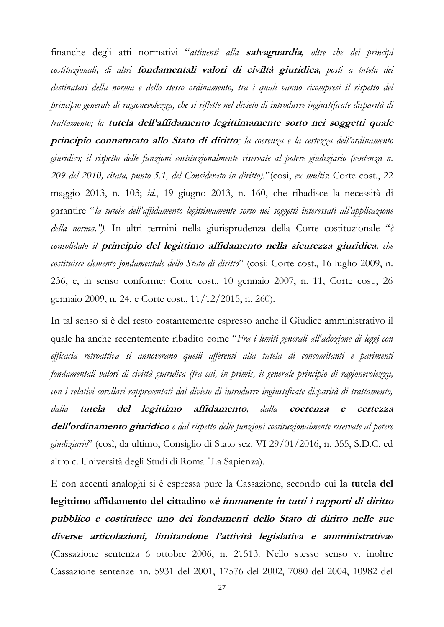finanche degli atti normativi "*attinenti alla* **salvaguardia***, oltre che dei principi costituzionali, di altri* **fondamentali valori di civiltà giuridica***, posti a tutela dei destinatari della norma e dello stesso ordinamento, tra i quali vanno ricompresi il rispetto del principio generale di ragionevolezza, che si riflette nel divieto di introdurre ingiustificate disparità di trattamento; la* **tutela dell'affidamento legittimamente sorto nei soggetti quale principio connaturato allo Stato di diritto***; la coerenza e la certezza dell'ordinamento giuridico; il rispetto delle funzioni costituzionalmente riservate al potere giudiziario (sentenza n. 209 del 2010, citata, punto 5.1, del Considerato in diritto).*"(così, *ex multis*: Corte cost., 22 maggio 2013, n. 103; *id*., 19 giugno 2013, n. 160, che ribadisce la necessità di garantire "*la tutela dell'affidamento legittimamente sorto nei soggetti interessati all'applicazione della norma.").* In altri termini nella giurisprudenza della Corte costituzionale "*è consolidato il* **principio del legittimo affidamento nella sicurezza giuridica***, che costituisce elemento fondamentale dello Stato di diritto*" (così: Corte cost., 16 luglio 2009, n. 236, e, in senso conforme: Corte cost., 10 gennaio 2007, n. 11, Corte cost., 26 gennaio 2009, n. 24, e Corte cost., 11/12/2015, n. 260).

In tal senso si è del resto costantemente espresso anche il Giudice amministrativo il quale ha anche recentemente ribadito come "*Fra i limiti generali all'adozione di leggi con efficacia retroattiva si annoverano quelli afferenti alla tutela di concomitanti e parimenti fondamentali valori di civiltà giuridica (fra cui, in primis, il generale principio di ragionevolezza, con i relativi corollari rappresentati dal divieto di introdurre ingiustificate disparità di trattamento, dalla* **tutela del legittimo affidamento***, dalla* **coerenza e certezza dell'ordinamento giuridico** *e dal rispetto delle funzioni costituzionalmente riservate al potere giudiziario*" (così, da ultimo, Consiglio di Stato sez. VI 29/01/2016, n. 355, S.D.C. ed altro c. Università degli Studi di Roma "La Sapienza).

E con accenti analoghi si è espressa pure la Cassazione, secondo cui **la tutela del legittimo affidamento del cittadino «è immanente in tutti i rapporti di diritto pubblico e costituisce uno dei fondamenti dello Stato di diritto nelle sue diverse articolazioni, limitandone l'attività legislativa e amministrativa**» (Cassazione sentenza 6 ottobre 2006, n. 21513. Nello stesso senso v. inoltre Cassazione sentenze nn. 5931 del 2001, 17576 del 2002, 7080 del 2004, 10982 del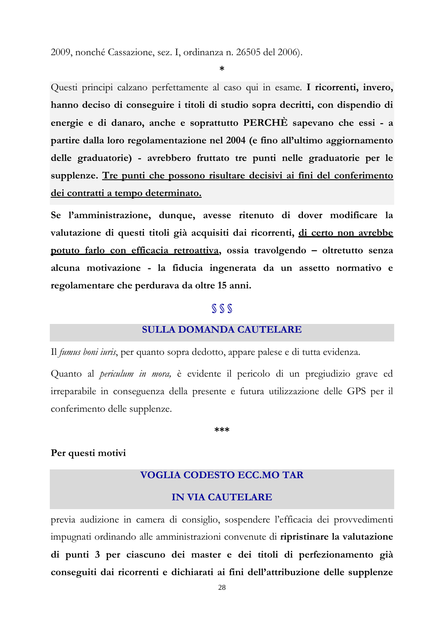2009, nonché Cassazione, sez. I, ordinanza n. 26505 del 2006).

**\***

Questi principi calzano perfettamente al caso qui in esame. **I ricorrenti, invero, hanno deciso di conseguire i titoli di studio sopra decritti, con dispendio di energie e di danaro, anche e soprattutto PERCHÈ sapevano che essi - a partire dalla loro regolamentazione nel 2004 (e fino all'ultimo aggiornamento delle graduatorie) - avrebbero fruttato tre punti nelle graduatorie per le supplenze. Tre punti che possono risultare decisivi ai fini del conferimento dei contratti a tempo determinato.**

**Se l'amministrazione, dunque, avesse ritenuto di dover modificare la valutazione di questi titoli già acquisiti dai ricorrenti, di certo non avrebbe potuto farlo con efficacia retroattiva, ossia travolgendo – oltretutto senza alcuna motivazione - la fiducia ingenerata da un assetto normativo e regolamentare che perdurava da oltre 15 anni.**

## **§ § §**

#### **SULLA DOMANDA CAUTELARE**

Il *fumus boni iuris*, per quanto sopra dedotto, appare palese e di tutta evidenza.

Quanto al *periculum in mora,* è evidente il pericolo di un pregiudizio grave ed irreparabile in conseguenza della presente e futura utilizzazione delle GPS per il conferimento delle supplenze.

**\*\*\***

#### **Per questi motivi**

## **VOGLIA CODESTO ECC.MO TAR**

## **IN VIA CAUTELARE**

previa audizione in camera di consiglio, sospendere l'efficacia dei provvedimenti impugnati ordinando alle amministrazioni convenute di **ripristinare la valutazione di punti 3 per ciascuno dei master e dei titoli di perfezionamento già conseguiti dai ricorrenti e dichiarati ai fini dell'attribuzione delle supplenze**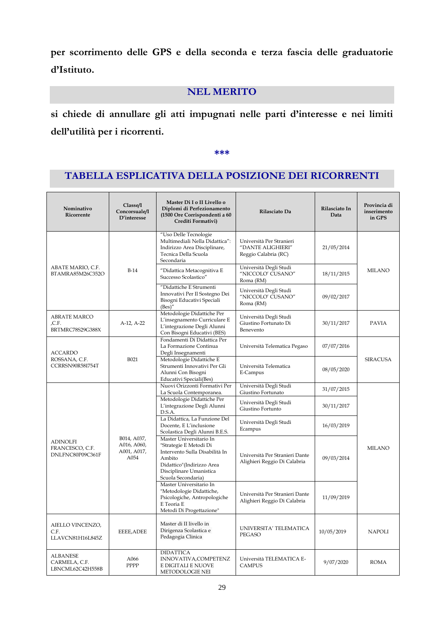**per scorrimento delle GPS e della seconda e terza fascia delle graduatorie d'Istituto.**

## **NEL MERITO**

**si chiede di annullare gli atti impugnati nelle parti d'interesse e nei limiti dell'utilità per i ricorrenti.**

**\*\*\***

## **TABELLA ESPLICATIVA DELLA POSIZIONE DEI RICORRENTI**

| Nominativo<br>Ricorrente                               | Classe/I<br>Concorsuale/I<br>D'interesse          | Master Di I o II Livello o<br>Diplomi di Perfezionamento<br>(1500 Ore Corrispondenti a 60<br>Crediti Formativi)                                                             | Rilasciato Da                                                         | Rilasciato In<br>Data | Provincia di<br>inserimento<br>in GPS |
|--------------------------------------------------------|---------------------------------------------------|-----------------------------------------------------------------------------------------------------------------------------------------------------------------------------|-----------------------------------------------------------------------|-----------------------|---------------------------------------|
|                                                        |                                                   | "Uso Delle Tecnologie<br>Multimediali Nella Didattica":<br>Indirizzo Area Disciplinare,<br>Tecnica Della Scuola<br>Secondaria                                               | Università Per Stranieri<br>"DANTE ALIGHIERI"<br>Reggio Calabria (RC) | 21/05/2014            |                                       |
| ABATE MARIO, C.F.<br>BTAMRA85M26C352O                  | $B-14$                                            | "Didattica Metacognitiva E<br>Successo Scolastico"                                                                                                                          | Università Degli Studi<br>"NICCOLO' CUSANO"<br>Roma (RM)              | 18/11/2015            | <b>MILANO</b>                         |
|                                                        |                                                   | "Didattiche E Strumenti<br>Innovativi Per Il Sostegno Dei<br>Bisogni Educativi Speciali<br>(Bes)''                                                                          | Università Degli Studi<br>"NICCOLO' CUSANO"<br>Roma (RM)              | 09/02/2017            |                                       |
| <b>ABRATE MARCO</b><br>,C.F.<br>BRTMRC78S29G388X       | A-12, A-22                                        | Metodologie Didattiche Per<br>L'insegnamento Curriculare E<br>L'integrazione Degli Alunni<br>Con Bisogni Educativi (BES)                                                    | Università Degli Studi<br>Giustino Fortunato Di<br>Benevento          | 30/11/2017            | <b>PAVIA</b>                          |
| <b>ACCARDO</b>                                         |                                                   | Fondamenti Di Didattica Per<br>La Formazione Continua<br>Degli Insegnamenti                                                                                                 | Università Telematica Pegaso                                          | 07/07/2016            |                                       |
| ROSSANA, C.F.<br>CCRRSN90R58I754T                      | B021                                              | Metodologie Didattiche E<br>Strumenti Innovativi Per Gli<br>Alunni Con Bisogni<br>Educativi Speciali(Bes)                                                                   | Università Telematica<br>E-Campus                                     | 08/05/2020            | <b>SIRACUSA</b>                       |
|                                                        | B014, A037,<br>A016, A060,<br>A001, A017,<br>A054 | Nuovi Orizzonti Formativi Per<br>La Scuola Contemporanea.                                                                                                                   | Università Degli Studi<br>Giustino Fortunato                          | 31/07/2015            |                                       |
|                                                        |                                                   | Metodologie Didattiche Per<br>L'integrazione Degli Alunni<br>D.S.A.                                                                                                         | Università Degli Studi<br>Giustino Fortunto                           | 30/11/2017            | <b>MILANO</b>                         |
|                                                        |                                                   | La Didattica, La Funzione Del<br>Docente, E L'inclusione<br>Scolastica Degli Alunni B.E.S.                                                                                  | Università Degli Studi<br>Ecampus                                     | 16/03/2019            |                                       |
| <b>ADINOLFI</b><br>FRANCESCO, C.F.<br>DNLFNC80P09C361F |                                                   | Master Universitario In<br>"Strategie E Metodi Di<br>Intervento Sulla Disabilità In<br>Ambito<br>Didattico"(Indirizzo Area<br>Disciplinare Umanistica<br>Scuola Secondaria) | Università Per Stranieri Dante<br>Alighieri Reggio Di Calabria        | 09/03/2014            |                                       |
|                                                        |                                                   | Master Universitario In<br>"Metodologie Didattiche,<br>Psicologiche, Antropologiche<br>E Teoria E<br>Metodi Di Progettazione"                                               | Università Per Stranieri Dante<br>Alighieri Reggio Di Calabria        | 11/09/2019            |                                       |
| AIELLO VINCENZO,<br>C.F.<br>LLAVCN81H16L845Z           | EEEE, ADEE                                        | Master di II livello in<br>Dirigenza Scolastica e<br>Pedagogia Clinica                                                                                                      | UNIVERSITA' TELEMATICA<br>PEGASO                                      | 10/05/2019            | <b>NAPOLI</b>                         |
| <b>ALBANESE</b><br>CARMELA, C.F.<br>LBNCML62C42H558B   | A066<br>PPPP                                      | <b>DIDATTICA</b><br>INNOVATIVA, COMPETENZ<br>E DIGITALI E NUOVE<br>METODOLOGIE NEI                                                                                          | Università TELEMATICA E-<br><b>CAMPUS</b>                             | 9/07/2020             | <b>ROMA</b>                           |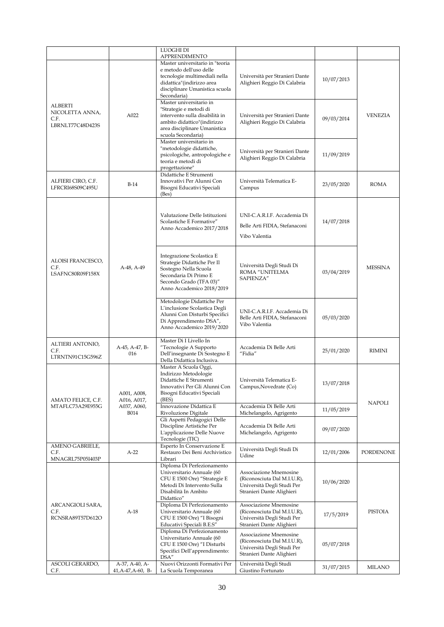|                                                               |                                        | LUOGHI DI                                                                                                                                                                                         |                                                                                                                  |            |                |
|---------------------------------------------------------------|----------------------------------------|---------------------------------------------------------------------------------------------------------------------------------------------------------------------------------------------------|------------------------------------------------------------------------------------------------------------------|------------|----------------|
|                                                               |                                        | <b>APPRENDIMENTO</b><br>Master universitario in "teoria<br>e metodo dell'uso delle<br>tecnologie multimediali nella<br>didattica"(indirizzo area<br>disciplinare Umanistica scuola<br>Secondaria) | Università per Stranieri Dante<br>Alighieri Reggio Di Calabria                                                   | 10/07/2013 |                |
| <b>ALBERTI</b><br>NICOLETTA ANNA,<br>C.F.<br>LBRNLT77C48D423S | A022                                   | Master universitario in<br>"Strategie e metodi di<br>intervento sulla disabilità in<br>ambito didattico"(indirizzo<br>area disciplinare Umanistica<br>scuola Secondaria)                          | Università per Stranieri Dante<br>Alighieri Reggio Di Calabria                                                   | 09/03/2014 | <b>VENEZIA</b> |
|                                                               |                                        | Master universitario in<br>"metodologie didattiche,<br>psicologiche, antropologiche e<br>teoria e metodi di<br>progettazione"                                                                     | Università per Stranieri Dante<br>Alighieri Reggio Di Calabria                                                   | 11/09/2019 |                |
| ALFIERI CIRO, C.F.<br>LFRCRI68S09C495U                        | $B-14$                                 | Didattiche E Strumenti<br>Innovativi Per Alunni Con<br>Bisogni Educativi Speciali<br>(Bes)                                                                                                        | Università Telematica E-<br>Campus                                                                               | 23/05/2020 | <b>ROMA</b>    |
|                                                               |                                        | Valutazione Delle Istituzioni<br>Scolastiche E Formative"<br>Anno Accademico 2017/2018                                                                                                            | UNI-C.A.R.I.F. Accademia Di<br>Belle Arti FIDIA, Stefanaconi<br>Vibo Valentia                                    | 14/07/2018 |                |
| ALOISI FRANCESCO,<br>C.F.<br>LSAFNC80R09F158X                 | A-48, A-49                             | Integrazione Scolastica E<br>Strategie Didattiche Per Il<br>Sostegno Nella Scuola<br>Secondaria Di Primo E<br>Secondo Grado (TFA 03)"<br>Anno Accademico 2018/2019                                | Università Degli Studi Di<br>ROMA "UNITELMA<br>SAPIENZA"                                                         | 03/04/2019 | <b>MESSINA</b> |
|                                                               |                                        | Metodologie Didattiche Per<br>L'inclusione Scolastica Degli<br>Alunni Con Disturbi Specifici<br>Di Apprendimento DSA",<br>Anno Accademico 2019/2020                                               | UNI-C.A.R.I.F. Accademia Di<br>Belle Arti FIDIA, Stefanaconi<br>Vibo Valentia                                    | 05/03/2020 |                |
| ALTIERI ANTONIO,<br>C.F.<br>LTRNTN91C15G596Z                  | A-45, A-47, B-<br>016                  | Master Di I Livello In<br>"Tecnologie A Supporto<br>Dell'insegnante Di Sostegno E<br>Della Didattica Inclusiva.                                                                                   | Accademia Di Belle Arti<br>"Fidia"                                                                               | 25/01/2020 | <b>RIMINI</b>  |
| AMATO FELICE, C.F.                                            | A001, A008,<br>A016, A017,             | Master A Scuola Oggi,<br>Indirizzo Metodologie<br>Didattiche E Strumenti<br>Innovativi Per Gli Alunni Con<br>Bisogni Educativi Speciali<br>(BES)                                                  | Università Telematica E-<br>Campus, Novedrate (Co)                                                               | 13/07/2018 | NAPOLI         |
| MTAFLC73A29E955G                                              | A037, A060,<br><b>B014</b>             | Innovazione Didattica E<br>Rivoluzione Digitale                                                                                                                                                   | Accademia Di Belle Arti<br>Michelangelo, Agrigento                                                               | 11/05/2019 |                |
|                                                               |                                        | Gli Aspetti Pedagogici Delle<br>Discipline Artistiche Per<br>L'applicazione Delle Nuove<br>Tecnologie (TIC)                                                                                       | Accademia Di Belle Arti<br>Michelangelo, Agrigento                                                               | 09/07/2020 |                |
| AMENO GABRIELE,<br>C.F.<br>MNAGRL75P05I403P                   | $A-22$                                 | Esperto In Conservazione E<br>Restauro Dei Beni Archivistico<br>Librari                                                                                                                           | Università Degli Studi Di<br>Udine                                                                               | 12/01/2006 | PORDENONE      |
|                                                               |                                        | Diploma Di Perfezionamento<br>Universitario Annuale (60<br>CFU E 1500 Ore) "Strategie E<br>Metodi Di Intervento Sulla<br>Disabilità In Ambito<br>Didattico"                                       | Associazione Mnemosine<br>(Riconosciuta Dal M.I.U.R),<br>Università Degli Studi Per<br>Stranieri Dante Alighieri | 10/06/2020 |                |
| ARCANGIOLI SARA,<br>C.F.<br>RCNSRA89T57D612O                  | $A-18$                                 | Diploma Di Perfezionamento<br>Universitario Annuale (60<br>CFU E 1500 Ore) "I Bisogni<br>Educativi Speciali B.E.S"                                                                                | Associazione Mnemosine<br>(Riconosciuta Dal M.I.U.R),<br>Università Degli Studi Per<br>Stranieri Dante Alighieri | 17/5/2019  | PISTOIA        |
|                                                               |                                        | Diploma Di Perfezionamento<br>Universitario Annuale (60<br>CFU E 1500 Ore) "I Disturbi<br>Specifici Dell'apprendimento:<br>DSA"                                                                   | Associazione Mnemosine<br>(Riconosciuta Dal M.I.U.R),<br>Università Degli Studi Per<br>Stranieri Dante Alighieri | 05/07/2018 |                |
| ASCOLI GERARDO,<br>C.F.                                       | A-37, A-40, A-<br>$41, A-47, A-60, B-$ | Nuovi Orizzonti Formativi Per<br>La Scuola Temporanea                                                                                                                                             | Università Degli Studi<br>Giustino Fortunato                                                                     | 31/07/2015 | <b>MILANO</b>  |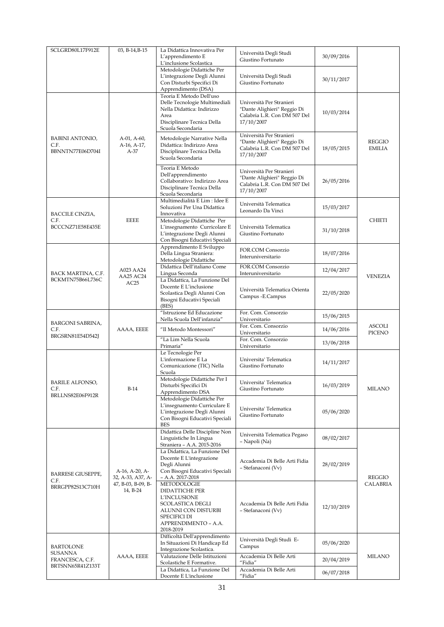| SCLGRD80L17F912E                                   | 03, B-14, B-15                             | La Didattica Innovativa Per<br>L'apprendimento E<br>L'inclusione Scolastica                                                                          | Università Degli Studi<br>Giustino Fortunato                                                          | 30/09/2016 |                                |
|----------------------------------------------------|--------------------------------------------|------------------------------------------------------------------------------------------------------------------------------------------------------|-------------------------------------------------------------------------------------------------------|------------|--------------------------------|
|                                                    |                                            | Metodologie Didattiche Per<br>L'integrazione Degli Alunni<br>Con Disturbi Specifici Di<br>Apprendimento (DSA)                                        | Università Degli Studi<br>Giustino Fortunato                                                          | 30/11/2017 |                                |
|                                                    |                                            | Teoria E Metodo Dell'uso<br>Delle Tecnologie Multimediali<br>Nella Didattica: Indirizzo<br>Area<br>Disciplinare Tecnica Della<br>Scuola Secondaria   | Università Per Stranieri<br>"Dante Alighieri" Reggio Di<br>Calabria L.R. Con DM 507 Del<br>17/10/2007 | 10/03/2014 |                                |
| <b>BABINI ANTONIO,</b><br>C.F.<br>BBNNTN77E06D704I | $A-01$ , $A-60$ ,<br>A-16, A-17,<br>$A-37$ | Metodologie Narrative Nella<br>Didattica: Indirizzo Area<br>Disciplinare Tecnica Della<br>Scuola Secondaria                                          | Università Per Stranieri<br>"Dante Alighieri" Reggio Di<br>Calabria L.R. Con DM 507 Del<br>17/10/2007 | 18/05/2015 | <b>REGGIO</b><br><b>EMILIA</b> |
|                                                    |                                            | Teoria E Metodo<br>Dell'apprendimento<br>Collaborativo: Indirizzo Area<br>Disciplinare Tecnica Della<br>Scuola Secondaria                            | Università Per Stranieri<br>"Dante Alighieri" Reggio Di<br>Calabria L.R. Con DM 507 Del<br>17/10/2007 | 26/05/2016 |                                |
| BACCILE CINZIA,                                    |                                            | Multimedialità E Lim : Idee E<br>Soluzioni Per Una Didattica<br>Innovativa                                                                           | Università Telematica<br>Leonardo Da Vinci                                                            | 15/03/2017 |                                |
| C.F.<br>BCCCNZ71E58E435E                           | <b>EEEE</b>                                | Metodologie Didattiche Per<br>L'insegnamento Curricolare E<br>L'integrazione Degli Alunni<br>Con Bisogni Educativi Speciali                          | Università Telematica<br>Giustino Fortunato                                                           | 31/10/2018 | <b>CHIETI</b>                  |
|                                                    |                                            | Apprendimento E Sviluppo<br>Della Lingua Straniera:<br>Metodologie Didattiche                                                                        | <b>FOR.COM Consorzio</b><br>Interuniversitario                                                        | 18/07/2016 |                                |
| BACK MARTINA, C.F.                                 | A023 AA24                                  | Didattica Dell'italiano Come<br>Lingua Seconda                                                                                                       | FOR.COM Consorzio<br>Interuniversitario                                                               | 12/04/2017 |                                |
| BCKMTN75B66L736C                                   | AA25 AC24<br>AC25                          | La Didattica, La Funzione Del<br>Docente E L'inclusione<br>Scolastica Degli Alunni Con<br>Bisogni Educativi Speciali<br>(BES)                        | Università Telematica Orienta<br>Campus - E. Campus                                                   | 22/05/2020 | <b>VENEZIA</b>                 |
|                                                    |                                            | "Istruzione Ed Educazione<br>Nella Scuola Dell'infanzia"                                                                                             | For. Com. Consorzio<br>Universitario                                                                  | 15/06/2015 |                                |
| BARGONI SABRINA,<br>C.F.                           | AAAA, EEEE                                 | "Il Metodo Montessori"                                                                                                                               | For. Com. Consorzio<br>Universitario                                                                  | 14/06/2016 | <b>ASCOLI</b><br>PICENO        |
| BRGSRN81E54D542J                                   |                                            | "La Lim Nella Scuola<br>Primaria"                                                                                                                    | For. Com. Consorzio<br>Universitario                                                                  | 13/06/2018 |                                |
|                                                    |                                            | Le Tecnologie Per<br>L'informazione E La<br>Comunicazione (TIC) Nella<br>Scuola                                                                      | Universita' Telematica<br>Giustino Fortunato                                                          | 14/11/2017 |                                |
| BARILE ALFONSO,<br>C.F.                            | $B-14$                                     | Metodologie Didattiche Per I<br>Disturbi Specifici Di<br>Apprendimento DSA                                                                           | Universita' Telematica<br>Giustino Fortunato                                                          | 16/03/2019 | <b>MILANO</b>                  |
| BRLLNS82E06F912R                                   |                                            | Metodologie Didattiche Per<br>L'insegnamento Curriculare E<br>L'integrazione Degli Alunni<br>Con Bisogni Educativi Speciali<br><b>BES</b>            | Universita' Telematica<br>Giustino Fortunato                                                          | 05/06/2020 |                                |
|                                                    |                                            | Didattica Delle Discipline Non<br>Linguistiche In Lingua<br>Straniera - A.A. 2015-2016                                                               | Università Telematica Pegaso<br>- Napoli (Na)                                                         | 08/02/2017 |                                |
| <b>BARRESE GIUSEPPE,</b><br>C.F.                   | A-16, A-20, A-<br>32, A-33, A37, A-        | La Didattica, La Funzione Del<br>Docente E L'integrazione<br>Degli Alunni<br>Con Bisogni Educativi Speciali<br>$-$ A.A. 2017-2018                    | Accademia Di Belle Arti Fidia<br>- Stefanaconi (Vv)                                                   | 28/02/2019 | REGGIO                         |
| BRRGPP82S13C710H                                   | 47, B-03, B-09, B-<br>14, B-24             | METODOLOGIE<br><b>DIDATTICHE PER</b><br>L'INCLUSIONE<br>SCOLASTICA DEGLI<br>ALUNNI CON DISTURBI<br>SPECIFICI DI<br>APPRENDIMENTO - A.A.<br>2018-2019 | Accademia Di Belle Arti Fidia<br>- Stefanaconi (Vv)                                                   | 12/10/2019 | CALABRIA                       |
| BARTOLONE<br>SUSANNA                               |                                            | Difficoltà Dell'apprendimento<br>In Situazioni Di Handicap Ed<br>Integrazione Scolastica.                                                            | Università Degli Studi E-<br>Campus                                                                   | 05/06/2020 |                                |
| FRANCESCA, C.F.                                    | AAAA, EEEE                                 | Valutazione Delle Istituzioni<br>Scolastiche E Formative.                                                                                            | Accademia Di Belle Arti<br>"Fidia"                                                                    | 20/04/2019 | MILANO                         |
| BRTSNN65R41Z133T                                   |                                            | La Didattica, La Funzione Del<br>Docente E L'inclusione                                                                                              | Accademia Di Belle Arti<br>"Fidia"                                                                    | 06/07/2018 |                                |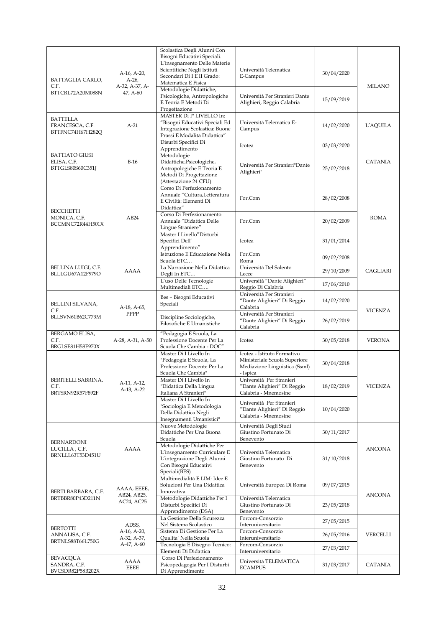|                          |                  | Scolastica Degli Alunni Con<br>Bisogni Educativi Speciali.  |                                                              |            |                |
|--------------------------|------------------|-------------------------------------------------------------|--------------------------------------------------------------|------------|----------------|
|                          |                  | L'insegnamento Delle Materie                                |                                                              |            |                |
|                          | A-16, A-20,      | Scientifiche Negli Istituti                                 | Università Telematica                                        | 30/04/2020 |                |
| BATTAGLIA CARLO,         | $A-26$           | Secondari Di I E II Grado:                                  | E-Campus                                                     |            |                |
| C.F.                     | A-32, A-37, A-   | Matematica E Fisica<br>Metodologie Didattiche,              |                                                              |            | <b>MILANO</b>  |
| BTTCRL72A20M088N         | 47, A-60         | Psicologiche, Antropologiche                                | Università Per Stranieri Dante                               |            |                |
|                          |                  | E Teoria E Metodi Di                                        | Alighieri, Reggio Calabria                                   | 15/09/2019 |                |
|                          |                  | Progettazione                                               |                                                              |            |                |
| <b>BATTELLA</b>          |                  | MASTER Di Iº LIVELLO In:<br>"Bisogni Educativi Speciali Ed  | Università Telematica E-                                     |            |                |
| FRANCESCA, C.F.          | $A-21$           | Integrazione Scolastica: Buone                              | Campus                                                       | 14/02/2020 | L'AQUILA       |
| BTTFNC74H67H282Q         |                  | Prassi E Modalità Didattica"                                |                                                              |            |                |
|                          |                  | Disurbi Specifici Di                                        | Icotea                                                       | 03/03/2020 |                |
| <b>BATTIATO GIUSI</b>    |                  | Apprendimento<br>Metodologie                                |                                                              |            |                |
| ELISA, C.F.              | $B-16$           | Didattiche, Psicologiche,                                   |                                                              |            | <b>CATANIA</b> |
| BTTGLS80S60C351J         |                  | Antropologiche E Teoria E                                   | Università Per Stranieri"Dante<br>Alighieri"                 | 25/02/2018 |                |
|                          |                  | Metodi Di Progettazione                                     |                                                              |            |                |
|                          |                  | (Attestazione 24 CFU)<br>Corso Di Perfezionamento           |                                                              |            |                |
|                          |                  | Annuale "Cultura,Letteratura                                |                                                              |            |                |
|                          |                  | E Civiltà: Elementi Di                                      | For.Com                                                      | 28/02/2008 |                |
| <b>BECCHETTI</b>         |                  | Didattica"                                                  |                                                              |            |                |
| MONICA, C.F.             | AB24             | Corso Di Perfezionamento<br>Annuale "Didattica Delle        | For.Com                                                      | 20/02/2009 | <b>ROMA</b>    |
| BCCMNC72R44H501X         |                  | Lingue Straniere"                                           |                                                              |            |                |
|                          |                  | Master I Livello"Disturbi                                   |                                                              |            |                |
|                          |                  | Specifici Dell'                                             | Icotea                                                       | 31/01/2014 |                |
|                          |                  | Apprendimento"<br>Istruzione E Educazione Nella             |                                                              |            |                |
|                          |                  | Scuola ETC                                                  | For.Com<br>Roma                                              | 09/02/2008 |                |
| BELLINA LUIGI, C.F.      |                  | La Narrazione Nella Didattica                               | Università Del Salento                                       |            |                |
| BLLLGU67A12F979O         | AAAA             | Degli In ETC                                                | Lecce                                                        | 29/10/2009 | CAGLIARI       |
|                          |                  | L'uso Delle Tecnologie                                      | Università "Dante Alighieri"                                 | 17/06/2010 |                |
|                          |                  | Multimediali ETC                                            | Reggio Di Calabria<br>Università Per Stranieri               |            |                |
|                          |                  | Bes - Bisogni Educativi                                     | "Dante Alighieri" Di Reggio                                  | 14/02/2020 |                |
| BELLINI SILVANA,<br>C.F. | A-18, A-65,      | Speciali                                                    | Calabria                                                     |            | <b>VICENZA</b> |
| BLLSVN61B62C773M         | PPPP             | Discipline Sociologiche,                                    | Università Per Stranieri                                     |            |                |
|                          |                  | Filosofiche E Umanistiche                                   | "Dante Alighieri" Di Reggio<br>Calabria                      | 26/02/2019 |                |
| BERGAMO ELISA,           |                  | "Pedagogia E Scuola, La                                     |                                                              |            |                |
| C.F.                     | A-28, A-31, A-50 | Professione Docente Per La                                  | Icotea                                                       | 30/05/2018 | <b>VERONA</b>  |
| BRGLSE81H58E970X         |                  | Scuola Che Cambia - DOC"                                    |                                                              |            |                |
|                          |                  | Master Di I Livello In<br>"Pedagogia E Scuola, La           | Icotea - Istituto Formativo<br>Ministeriale Scuola Superiore |            |                |
|                          |                  | Professione Docente Per La                                  | Mediazione Linguistica (Ssml)                                | 30/04/2018 |                |
|                          |                  | Scuola Che Cambia"                                          | - Ispica                                                     |            |                |
| BERITELLI SABRINA,       | A-11, A-12,      | Master Di I Livello In                                      | Università Per Stranieri                                     |            |                |
| C.F.<br>BRTSRN92R57F892F | A-13, A-22       | "Didattica Della Lingua<br>Italiana A Stranieri"            | "Dante Alighieri" Di Reggio<br>Calabria - Mnemosine          | 18/02/2019 | <b>VICENZA</b> |
|                          |                  | Master Di I Livello In                                      |                                                              |            |                |
|                          |                  | "Sociologia E Metodologia                                   | Università Per Stranieri<br>"Dante Alighieri" Di Reggio      | 10/04/2020 |                |
|                          |                  | Della Didattica Negli                                       | Calabria - Mnemosine                                         |            |                |
|                          |                  | Insegnamenti Umanistici"<br>Nuove Metodologie               | Università Degli Studi                                       |            |                |
|                          |                  | Didattiche Per Una Buona                                    | Giustino Fortunato Di                                        | 30/11/2017 |                |
| BERNARDONI               |                  | Scuola                                                      | Benevento                                                    |            |                |
| LUCILLA , C.F.           | AAAA             | Metodologie Didattiche Per                                  |                                                              |            | <b>ANCONA</b>  |
| BRNLLL63T53D451U         |                  | L'insegnamento Curriculare E<br>L'integrazione Degli Alunni | Università Telematica<br>Giustino Fortunato Di               | 31/10/2018 |                |
|                          |                  | Con Bisogni Educativi                                       | Benevento                                                    |            |                |
|                          |                  | Speciali(BES)                                               |                                                              |            |                |
|                          |                  | Multimedialità E LIM: Idee E                                |                                                              |            |                |
| BERTI BARBARA, C.F.      | AAAA, EEEE,      | Soluzioni Per Una Didattica<br>Innovativa                   | Università Europea Di Roma                                   | 09/07/2015 |                |
| BRTBBR80P43D211N         | AB24, AB25,      | Metodologie Didattiche Per I                                | Università Telematica                                        |            | <b>ANCONA</b>  |
|                          | AC24, AC25       | Disturbi Specifici Di                                       | Giustino Fortunato Di                                        | 23/05/2018 |                |
|                          |                  | Apprendimento (DSA)                                         | Benevento                                                    |            |                |
|                          | ADSS,            | La Gestione Della Sicurezza<br>Nel Sistema Scolastico       | Forcom-Consorzio<br>Interuniversitario                       | 27/05/2015 |                |
| <b>BERTOTTI</b>          | A-16, A-20,      | Sistema Di Gestione Per La                                  | Forcom-Consorzio                                             |            |                |
| ANNALISA, C.F.           |                  |                                                             | Interuniversitario                                           | 26/05/2016 | VERCELLI       |
|                          | A-32, A-37,      | Qualita' Nella Scuola                                       |                                                              |            |                |
| BRTNLS88T66L750G         | A-47, A-60       | Tecnologia E Disegno Tecnico:                               | Forcom-Consorzio                                             | 27/03/2017 |                |
|                          |                  | Elementi Di Didattica                                       | Interuniversitario                                           |            |                |
| BEVACQUA<br>SANDRA, C.F. | AAAA<br>EEEE     | Corso Di Perfezionamento<br>Psicopedagogia Per I Disturbi   | Università TELEMATICA<br><b>ECAMPUS</b>                      | 31/03/2017 | CATANIA        |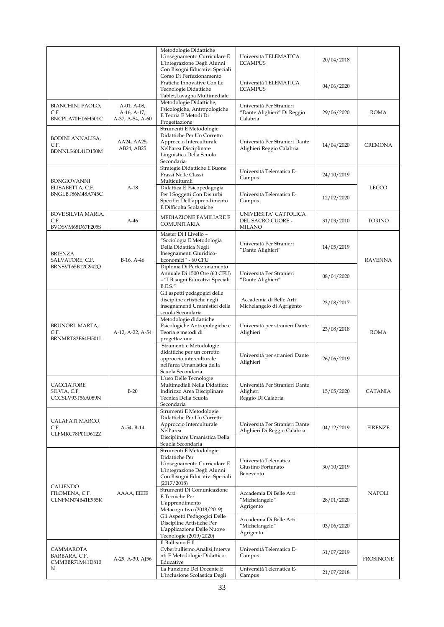|                                                     |                                                | Metodologie Didattiche<br>L'insegnamento Curriculare E<br>L'integrazione Degli Alunni<br>Con Bisogni Educativi Speciali                                   | Università TELEMATICA<br><b>ECAMPUS</b>                             | 20/04/2018 |                  |
|-----------------------------------------------------|------------------------------------------------|-----------------------------------------------------------------------------------------------------------------------------------------------------------|---------------------------------------------------------------------|------------|------------------|
|                                                     |                                                | Corso Di Perfezionamento<br>Pratiche Innovative Con Le<br>Tecnologie Didattiche<br>Tablet, Lavagna Multimediale.                                          | Università TELEMATICA<br><b>ECAMPUS</b>                             | 04/06/2020 |                  |
| BIANCHINI PAOLO,<br>C.F.<br>BNCPLA70H06H501C        | A-01, A-08,<br>A-16, A-17,<br>A-37, A-54, A-60 | Metodologie Didattiche,<br>Psicologiche, Antropologiche<br>E Teoria E Metodi Di<br>Progettazione                                                          | Università Per Stranieri<br>"Dante Alighieri" Di Reggio<br>Calabria | 29/06/2020 | ROMA             |
| <b>BODINI ANNALISA,</b><br>C.F.<br>BDNNLS60L41D150M | AA24, AA25,<br>AB24, AB25                      | Strumenti E Metodologie<br>Didattiche Per Un Corretto<br>Approccio Interculturale<br>Nell'area Disciplinare<br>Linguistica Della Scuola<br>Secondaria     | Università Per Stranieri Dante<br>Alighieri Reggio Calabria         | 14/04/2020 | <b>CREMONA</b>   |
| <b>BONGIOVANNI</b>                                  |                                                | Strategie Didattiche E Buone<br>Prassi Nelle Classi<br>Multiculturali                                                                                     | Università Telematica E-<br>Campus                                  | 24/10/2019 |                  |
| ELISABETTA, C.F.<br>BNGLBT86M48A745C                | $A-18$                                         | Didattica E Psicopedagogia<br>Per I Soggetti Con Disturbi<br>Specifici Dell'apprendimento<br>E Difficoltà Scolastiche                                     | Università Telematica E-<br>Campus                                  | 12/02/2020 | LECCO            |
| BOVE SILVIA MARIA,<br>C.F.<br>BVOSVM68D67F205S      | A-46                                           | MEDIAZIONE FAMILIARE E<br>COMUNITARIA                                                                                                                     | UNIVERSITA' CATTOLICA<br>DEL SACRO CUORE -<br><b>MILANO</b>         | 31/03/2010 | <b>TORINO</b>    |
| <b>BRIENZA</b><br>SALVATORE, C.F.                   | B-16, A-46                                     | Master Di I Livello -<br>"Sociologia E Metodologia<br>Della Didattica Negli<br>Insegnamenti Giuridico-<br>Economici" - 60 CFU                             | Università Per Stranieri<br>"Dante Alighieri"                       | 14/05/2019 | <b>RAVENNA</b>   |
| BRNSVT65B12G942Q                                    |                                                | Diploma Di Perfezionamento<br>Annuale Di 1500 Ore (60 CFU)<br>- "I Bisogni Educativi Speciali<br><b>B.E.S."</b>                                           | Università Per Stranieri<br>"Dante Alighieri"                       | 08/04/2020 |                  |
|                                                     |                                                | Gli aspetti pedagogici delle<br>discipline artistiche negli<br>insegnamenti Umanistici della<br>scuola Secondaria                                         | Accademia di Belle Arti<br>Michelangelo di Agrigento                | 23/08/2017 |                  |
| BRUNORI MARTA,<br>C.F.<br>BRNMRT82E64H501L          | A-12, A-22, A-54                               | Metodologie didattiche<br>Psicologiche Antropologiche e<br>Teoria e metodi di<br>progettazione                                                            | Università per stranieri Dante<br>Alighieri                         | 23/08/2018 | <b>ROMA</b>      |
|                                                     |                                                | Strumenti e Metodologie<br>didattiche per un corretto<br>approccio interculturale<br>nell'area Umanistica della<br>Scuola Secondaria                      | Università per stranieri Dante<br>Alighieri                         | 26/06/2019 |                  |
| CACCIATORE<br>SILVIA, C.F.<br>CCCSLV93T56A089N      | $B-20$                                         | L'uso Delle Tecnologie<br>Multimediali Nella Didattica:<br>Indirizzo Area Disciplinare<br>Tecnica Della Scuola<br>Secondaria                              | Università Per Stranieri Dante<br>Aligheri<br>Reggio Di Calabria    | 15/05/2020 | <b>CATANIA</b>   |
| CALAFATI MARCO,<br>C.F.<br>CLFMRC78P01D612Z         | A-54, B-14                                     | Strumenti E Metodologie<br>Didattiche Per Un Corretto<br>Approccio Interculturale<br>Nell'area<br>Disciplinare Umanistica Della<br>Scuola Secondaria      | Università Per Stranieri Dante<br>Alighieri Di Reggio Calabria      | 04/12/2019 | <b>FIRENZE</b>   |
|                                                     |                                                | Strumenti E Metodologie<br>Didattiche Per<br>L'insegnamento Curriculare E<br>L'integrazione Degli Alunni<br>Con Bisogni Educativi Speciali<br>(2017/2018) | Università Telematica<br>Giustino Fortunato<br>Benevento            | 30/10/2019 |                  |
| CALIENDO<br>FILOMENA, C.F.<br>CLNFMN74B41E955K      | AAAA, EEEE                                     | Strumenti Di Comunicazione<br>E Tecniche Per<br>L'apprendimento<br>Metacognitivo (2018/2019)                                                              | Accademia Di Belle Arti<br>"Michelangelo"<br>Agrigento              | 28/01/2020 | <b>NAPOLI</b>    |
|                                                     |                                                | Gli Aspetti Pedagogici Delle<br>Discipline Artistiche Per<br>L'applicazione Delle Nuove<br>Tecnologie (2019/2020)                                         | Accademia Di Belle Arti<br>"Michelangelo"<br>Agrigento              | 03/06/2020 |                  |
| CAMMAROTA<br>BARBARA, C.F.<br>CMMBBR71M41D810       | A-29, A-30, AJ56                               | Il Bullismo E Il<br>Cyberbullismo.Analisi, Interve<br>nti E Metodologie Didattico-<br>Educative                                                           | Università Telematica E-<br>Campus                                  | 31/07/2019 | <b>FROSINONE</b> |
| N                                                   |                                                | La Funzione Del Docente E<br>L'inclusione Scolastica Degli                                                                                                | Università Telematica E-<br>Campus                                  | 21/07/2018 |                  |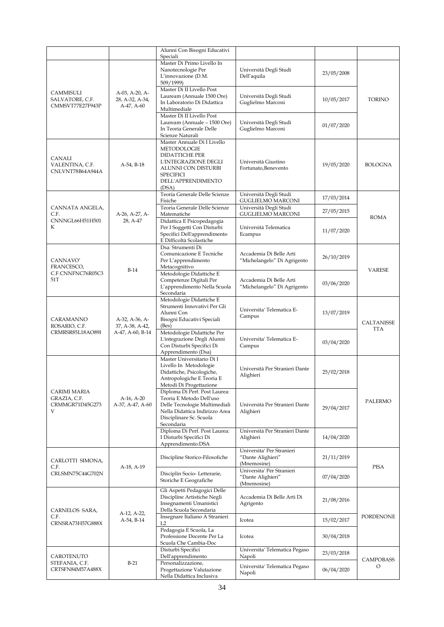|                                                      |                                                       | Alunni Con Bisogni Educativi<br>Speciali                                                                                                                                     |                                                               |            |                   |
|------------------------------------------------------|-------------------------------------------------------|------------------------------------------------------------------------------------------------------------------------------------------------------------------------------|---------------------------------------------------------------|------------|-------------------|
|                                                      |                                                       | Master Di Primo Livello In<br>Nanotecnologie Per<br>L'innovazione (D.M.<br>509/1999)                                                                                         | Università Degli Studi<br>Dell'aquila                         | 23/05/2008 |                   |
| CAMMISULI<br>SALVATORE, C.F.<br>CMMSVT77E27F943P     | A-03, A-20, A-<br>28, A-32, A-34,<br>A-47, A-60       | Master Di II Livello Post<br>Lauream (Annuale 1500 Ore)<br>In Laboratorio Di Didattica<br>Multimediale                                                                       | Università Degli Studi<br>Guglielmo Marconi                   | 10/05/2017 | TORINO            |
|                                                      |                                                       | Master Di II Livello Post<br>Lauream (Annuale - 1500 Ore)<br>In Teoria Generale Delle<br>Scienze Naturali                                                                    | Università Degli Studi<br>Guglielmo Marconi                   | 01/07/2020 |                   |
| CANALI<br>VALENTINA, C.F.<br>CNLVNT78B64A944A        | A-54, B-18                                            | Master Annuale Di I Livello<br><b>METODOLOGIE</b><br><b>DIDATTICHE PER</b><br>L'INTEGRAZIONE DEGLI<br>ALUNNI CON DISTURBI<br><b>SPECIFICI</b><br>DELL'APPRENDIMENTO<br>(DSA) | Università Giustino<br>Fortunato, Benevento                   | 19/05/2020 | <b>BOLOGNA</b>    |
|                                                      |                                                       | Teoria Generale Delle Scienze<br>Fisiche                                                                                                                                     | Università Degli Studi<br>GUGLIELMO MARCONI                   | 17/03/2014 |                   |
| CANNATA ANGELA,<br>C.F.                              | A-26, A-27, A-                                        | Teoria Generale Delle Scienze<br>Matematiche                                                                                                                                 | Università Degli Studi<br><b>GUGLIELMO MARCONI</b>            | 27/05/2015 |                   |
| CNNNGL66H51H501<br>K                                 | 28, A-47                                              | Didattica E Psicopedagogia<br>Per I Soggetti Con Disturbi<br>Specifici Dell'apprendimento<br>E Difficoltà Scolastiche                                                        | Università Telematica<br>Ecampus                              | 11/07/2020 | <b>ROMA</b>       |
| CANNAVO'<br>FRANCESCO,                               | $B-14$                                                | Dsa: Strumenti Di<br>Comunicazione E Tecniche<br>Per L'apprendimento<br>Metacognitivo                                                                                        | Accademia Di Belle Arti<br>"Michelangelo" Di Agrigento        | 26/10/2019 | VARESE            |
| C.F.CNNFNC76R05C3<br>51T                             |                                                       | Metodologie Didattiche E<br>Competenze Digitali Per<br>L'apprendimento Nella Scuola<br>Secondaria                                                                            | Accademia Di Belle Arti<br>"Michelangelo" Di Agrigento        | 03/06/2020 |                   |
| CARAMANNO<br>ROSARIO, C.F.                           | A-32, A-36, A-<br>37, A-38, A-42,<br>A-47, A-60, B-14 | Metodologie Didattiche E<br>Strumenti Innovativi Per Gli<br>Alunni Con<br>Bisogni Educativi Speciali<br>(Bes)                                                                | Universita' Telematica E-<br>Campus                           | 13/07/2019 | CALTANISSE<br>TTA |
| CRMRSR85L18AO89I                                     |                                                       | Metodologie Didattiche Per<br>L'integrazione Degli Alunni<br>Con Disturbi Specifici Di<br>Apprendimento (Dsa)                                                                | Universita' Telematica E-<br>Campus                           | 03/04/2020 |                   |
|                                                      |                                                       | Master Universitario Di I<br>Livello In Metodologie<br>Didattiche, Psicologiche,<br>Antropologiche E Teoria E<br>Metodi Di Progettazione                                     | Università Per Stranieri Dante<br>Alighieri                   | 25/02/2018 |                   |
| CARIMI MARIA<br>GRAZIA, C.F.<br>CRMMGR71D45G273<br>V | $A-16, A-20$<br>A-37, A-47, A-60                      | Diploma Di Perf. Post Laurea:<br>Teoria E Metodo Dell'uso<br>Delle Tecnologie Multimediali<br>Nella Didattica Indirizzo Area<br>Disciplinare Sc. Scuola<br>Secondaria        | Università Per Stranieri Dante<br>Alighieri                   | 29/04/2017 | <b>PALERMO</b>    |
|                                                      |                                                       | Diploma Di Perf. Post Laurea:<br>I Disturbi Specifici Di<br>Apprendimento:DSA                                                                                                | Università Per Stranieri Dante<br>Alighieri                   | 14/04/2020 |                   |
| CARLOTTI SIMONA,<br>C.F.                             | A-18, A-19                                            | Discipline Storico-Filosofiche                                                                                                                                               | Universita' Per Stranieri<br>"Dante Alighieri"<br>(Mnemosine) | 21/11/2019 | <b>PISA</b>       |
| CRLSMN75C44G702N                                     |                                                       | Disciplin Socio-Letterarie,<br>Storiche E Geografiche                                                                                                                        | Universita' Per Stranieri<br>"Dante Alighieri"<br>(Mnemosine) | 07/04/2020 |                   |
| CARNELOS SARA,                                       | A-12, A-22,                                           | Gli Aspetti Pedagogici Delle<br>Discipline Artistiche Negli<br>Insegnamenti Umanistici<br>Della Scuola Secondaria                                                            | Accademia Di Belle Arti Di<br>Agrigento                       | 21/08/2016 |                   |
| C.F.<br>CRNSRA73H57G888X                             | A-54, B-14                                            | Insegnare Italiano A Stranieri<br>L2                                                                                                                                         | Icotea                                                        | 15/02/2017 | <b>PORDENONE</b>  |
|                                                      |                                                       | Pedagogia E Scuola, La<br>Professione Docente Per La<br>Scuola Che Cambia-Doc                                                                                                | Icotea                                                        | 30/04/2018 |                   |
| CAROTENUTO                                           |                                                       | Disturbi Specifici<br>Dell'apprendimento                                                                                                                                     | Universita' Telematica Pegaso<br>Napoli                       | 23/03/2018 | <b>CAMPOBASS</b>  |
| STEFANIA, C.F.<br>CRTSFN84M57A488X                   | $B-21$                                                | Personalizzazione,<br>Progettazione Valutazione<br>Nella Didattica Inclusiva                                                                                                 | Universita' Telematica Pegaso<br>Napoli                       | 06/04/2020 | O                 |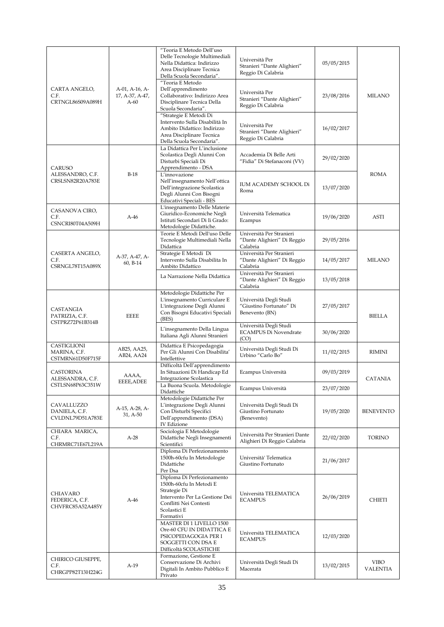|                                                 |                                             | "Teoria E Metodo Dell'uso<br>Delle Tecnologie Multimediali<br>Nella Didattica: Indirizzo<br>Area Disciplinare Tecnica<br>Della Scuola Secondaria".                     | Università Per<br>Stranieri "Dante Alighieri"<br>Reggio Di Calabria | 05/05/2015 |                         |
|-------------------------------------------------|---------------------------------------------|------------------------------------------------------------------------------------------------------------------------------------------------------------------------|---------------------------------------------------------------------|------------|-------------------------|
| CARTA ANGELO,<br>C.F.<br>CRTNGL86S09A089H       | A-01, A-16, A-<br>17, A-37, A-47,<br>$A-60$ | "Teoria E Metodo<br>Dell'apprendimento<br>Collaborativo: Indirizzo Area<br>Disciplinare Tecnica Della<br>Scuola Secondaria".                                           | Università Per<br>Stranieri "Dante Alighieri"<br>Reggio Di Calabria | 23/08/2016 | <b>MILANO</b>           |
|                                                 |                                             | "Strategie E Metodi Di<br>Intervento Sulla Disabilità In<br>Ambito Didattico: Indirizzo<br>Area Disciplinare Tecnica<br>Della Scuola Secondaria".                      | Università Per<br>Stranieri "Dante Alighieri"<br>Reggio Di Calabria | 16/02/2017 |                         |
| CARUSO                                          |                                             | La Didattica Per L'inclusione<br>Scolastica Degli Alunni Con<br>Disturbi Speciali Di<br>Apprendimento - DSA                                                            | Accademia Di Belle Arti<br>"Fidia" Di Stefanaconi (VV)              | 29/02/2020 |                         |
| ALESSANDRO, C.F.<br>CRSLSN82R20A783E            | $B-18$                                      | L'innovazione<br>Nell'insegnamento Nell'ottica<br>Dell'integrazione Scolastica<br>Degli Alunni Con Bisogni<br>Educativi Speciali - BES                                 | IUM ACADEMY SCHOOL Di<br>Roma                                       | 13/07/2020 | <b>ROMA</b>             |
| CASANOVA CIRO,<br>C.F.<br>CSNCRI80T04A509H      | $A-46$                                      | L'insegnamento Delle Materie<br>Giuridico-Economiche Negli<br>Istituti Secondari Di Ii Grado:<br>Metodologie Didattiche.                                               | Università Telematica<br>Ecampus                                    | 19/06/2020 | ASTI                    |
|                                                 |                                             | Teorie E Metodi Dell'uso Delle<br>Tecnologie Multimediali Nella<br>Didattica                                                                                           | Università Per Stranieri<br>"Dante Alighieri" Di Reggio<br>Calabria | 29/05/2016 |                         |
| CASERTA ANGELO,<br>C.F.<br>CSRNGL78T15A089X     | A-37, A-47, A-<br>60, B-14                  | Strategie E Metodi Di<br>Intervento Sulla Disabilita In<br>Ambito Didattico                                                                                            | Università Per Stranieri<br>"Dante Alighieri" Di Reggio<br>Calabria | 14/05/2017 | <b>MILANO</b>           |
|                                                 |                                             | La Narrazione Nella Didattica                                                                                                                                          | Università Per Stranieri<br>"Dante Alighieri" Di Reggio<br>Calabria | 13/05/2018 |                         |
| CASTANGIA<br>PATRIZIA, C.F.                     | <b>EEEE</b>                                 | Metodologie Didattiche Per<br>L'insegnamento Curriculare E<br>L'integrazione Degli Alunni<br>Con Bisogni Educativi Speciali<br>(BES)                                   | Università Degli Studi<br>"Giustino Fortunato" Di<br>Benevento (BN) | 27/05/2017 | <b>BIELLA</b>           |
| CSTPRZ72P61B314B                                |                                             | L'insegnamento Della Lingua<br>Italiana Agli Alunni Stranieri                                                                                                          | Università Degli Studi<br><b>ECAMPUS Di Novendrate</b><br>(CO)      | 30/06/2020 |                         |
| CASTIGLIONI<br>MARINA, C.F.<br>CSTMRN61D50F715F | AB25, AA25,<br>AB24, AA24                   | Didattica E Psicopedagogia<br>Per Gli Alunni Con Disabilita'<br>Intellettive                                                                                           | Università Degli Studi Di<br>Urbino "Carlo Bo"                      | 11/02/2015 | RIMINI                  |
| CASTORINA<br>ALESSANDRA, C.F.                   | AAAA,<br>EEEE, ADEE                         | Difficoltà Dell'apprendimento<br>In Situazioni Di Handicap Ed<br>Integrazione Scolastica                                                                               | Ecampus Università                                                  | 09/03/2019 | CATANIA                 |
| CSTLSN68P63C351W                                |                                             | La Buona Scuola. Metodologie<br>Didattiche                                                                                                                             | Ecampus Università                                                  | 23/07/2020 |                         |
| CAVALLUZZO<br>DANIELA, C.F.<br>CVLDNL79D51A783E | A-15, A-28, A-<br>31, A-50                  | Metodologie Didattiche Per<br>L'integrazione Degli Alunni<br>Con Disturbi Specifici<br>Dell'apprendimento (DSA)<br>IV Edizione                                         | Università Degli Studi Di<br>Giustino Fortunato<br>(Benevento)      | 19/05/2020 | <b>BENEVENTO</b>        |
| CHIARA MARICA,<br>C.F.<br>CHRMRC71E67L219A      | $A-28$                                      | Sociologia E Metodologie<br>Didattiche Negli Insegnamenti<br>Scientifici                                                                                               | Università Per Stranieri Dante<br>Alighieri Di Reggio Calabria      | 22/02/2020 | TORINO                  |
|                                                 |                                             | Diploma Di Perfezionamento<br>1500h-60cfu In Metodologie<br>Didattiche<br>Per Dsa                                                                                      | Università' Telematica<br>Giustino Fortunato                        | 21/06/2017 |                         |
| CHIAVARO<br>FEDERICA, C.F.<br>CHVFRC85A52A485Y  | $A-46$                                      | Diploma Di Perfezionamento<br>1500h-60cfu In Metodi ${\rm E}$<br>Strategie Di<br>Intervento Per La Gestione Dei<br>Conflitti Nei Contesti<br>Scolastici E<br>Formativi | Università TELEMATICA<br><b>ECAMPUS</b>                             | 26/06/2019 | CHIETI                  |
|                                                 |                                             | MASTER DI 1 LIVELLO 1500<br>Ore-60 CFU IN DIDATTICA E<br>PSICOPEDAGOGIA PER I<br>SOGGETTI CON DSA E<br>Difficoltà SCOLASTICHE                                          | Università TELEMATICA<br><b>ECAMPUS</b>                             | 12/03/2020 |                         |
| CHIRICO GIUSEPPE,<br>C.F.<br>CHRGPP82T13H224G   | A-19                                        | Formazione, Gestione E<br>Conservazione Di Archivi<br>Digitali In Ambito Pubblico E<br>Privato                                                                         | Università Degli Studi Di<br>Macerata                               | 13/02/2015 | <b>VIBO</b><br>VALENTIA |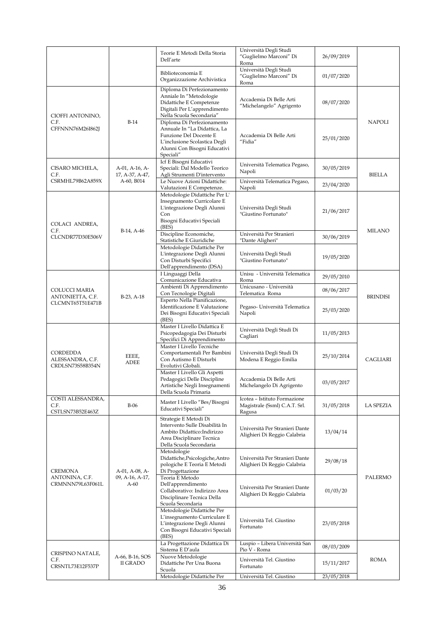|                                                  |                                   | Teorie E Metodi Della Storia<br>Dell'arte                                                                                                                          | Università Degli Studi<br>"Guglielmo Marconi" Di<br>Roma                | 26/09/2019 |                  |
|--------------------------------------------------|-----------------------------------|--------------------------------------------------------------------------------------------------------------------------------------------------------------------|-------------------------------------------------------------------------|------------|------------------|
|                                                  |                                   | Biblioteconomia E<br>Organizzazione Archivistica                                                                                                                   | Università Degli Studi<br>"Guglielmo Marconi" Di<br>Roma                | 01/07/2020 |                  |
| CIOFFI ANTONINO,                                 |                                   | Diploma Di Perfezionamento<br>Anniale In "Metodologie<br>Didattiche E Competenze<br>Digitali Per L'apprendimento<br>Nella Scuola Secondaria"                       | Accademia Di Belle Arti<br>"Michelangelo" Agrigento                     | 08/07/2020 |                  |
| C.F.<br>CFFNNN76M26I862J                         | $B-14$                            | Diploma Di Perfezionamento<br>Annuale In "La Didattica, La<br>Funzione Del Docente E<br>L'inclusione Scolastica Degli<br>Alunni Con Bisogni Educativi<br>Speciali" | Accademia Di Belle Arti<br>"Fidia"                                      | 25/01/2020 | <b>NAPOLI</b>    |
| CISARO MICHELA,<br>C.F.                          | A-01, A-16, A-<br>17, A-37, A-47, | Icf E Bisogni Educativi<br>Speciali: Dal Modello Teorico<br>Agli Strumenti D'intervento                                                                            | Università Telematica Pegaso,<br>Napoli                                 | 30/05/2019 | <b>BIELLA</b>    |
| CSRMHL79B62A859X                                 | A-60, B014                        | Le Nuove Azioni Didattiche:<br>Valutazioni E Competenze.                                                                                                           | Università Telematica Pegaso,<br>Napoli                                 | 23/04/2020 |                  |
| COLACI ANDREA,                                   | B-14, A-46                        | Metodologie Didattiche Per L'<br>Insegnamento Curricolare E<br>L'integrazione Degli Alunni<br>Con<br>Bisogni Educativi Speciali<br>(BES)                           | Università Degli Studi<br>"Giustino Fortunato"                          | 21/06/2017 | <b>MILANO</b>    |
| C.F.<br>CLCNDR77D30E506V                         |                                   | Discipline Economiche,<br>Statistiche E Giuridiche                                                                                                                 | Università Per Stranieri<br>"Dante Aligheri"                            | 30/06/2019 |                  |
|                                                  |                                   | Metodologie Didattiche Per<br>L'integrazione Degli Alunni<br>Con Disturbi Specifici<br>Dell'apprendimento (DSA)                                                    | Università Degli Studi<br>"Giustino Fortunato"                          | 19/05/2020 |                  |
|                                                  |                                   | I Linguaggi Della<br>Comunicazione Educativa                                                                                                                       | Unisu - Università Telematica<br>Roma                                   | 29/05/2010 |                  |
| COLUCCI MARIA                                    |                                   | Ambienti Di Apprendimento                                                                                                                                          | Unicusano - Università                                                  | 08/06/2017 |                  |
| ANTONIETTA, C.F.<br>CLCMNT65T51E471B             | $B-23, A-18$                      | Con Tecnologie Digitali<br>Esperto Nella Pianificazione,<br>Identificazione E Valutazione<br>Dei Bisogni Educativi Speciali<br>(BES)                               | Telematica Roma<br>Pegaso- Università Telematica<br>Napoli              | 25/03/2020 | <b>BRINDISI</b>  |
|                                                  |                                   | Master I Livello Didattica E<br>Psicopedagogia Dei Disturbi<br>Specifici Di Apprendimento                                                                          | Università Degli Studi Di<br>Cagliari                                   | 11/05/2013 |                  |
| CORDEDDA<br>ALESSANDRA, C.F.<br>CRDLSN73S58B354N | EEEE,<br><b>ADEE</b>              | Master I Livello Tecniche<br>Comportamentali Per Bambini<br>Con Autismo E Disturbi<br>Evolutivi Globali.                                                           | Università Degli Studi Di<br>Modena E Reggio Emilia                     | 25/10/2014 | CAGLIARI         |
|                                                  |                                   | Master I Livello Gli Aspetti<br>Pedagogici Delle Discipline<br>Artistiche Negli Insegnamenti<br>Della Scuola Primaria                                              | Accademia Di Belle Arti<br>Michelangelo Di Agrigento                    | 03/05/2017 |                  |
| COSTI ALESSANDRA,<br>C.F.<br>CSTLSN73B52E463Z    | <b>B-06</b>                       | Master I Livello "Bes/Bisogni<br>Educativi Speciali"                                                                                                               | Icotea - Istituto Formazione<br>Magistrale (Ssml) C.A.T. Srl.<br>Ragusa | 31/05/2018 | <b>LA SPEZIA</b> |
|                                                  |                                   | Strategie E Metodi Di<br>Intervento Sulle Disabilità In<br>Ambito Didattico:Indirizzo<br>Area Disciplinare Tecnica<br>Della Scuola Secondaria                      | Università Per Stranieri Dante<br>Alighieri Di Reggio Calabria          | 13/04/14   |                  |
| <b>CREMONA</b>                                   | A-01, A-08, A-                    | Metodologie<br>Didattiche, Psicologiche, Antro<br>pologiche E Teoria E Metodi<br>Di Progettazione                                                                  | Università Per Stranieri Dante<br>Alighieri Di Reggio Calabria          | 29/08/18   |                  |
| ANTONINA, C.F.<br>CRMNNN79L63F061L               | 09, A-16, A-17,<br>A-60           | Teoria E Metodo<br>Dell'apprendimento<br>Collaborativo: Indirizzo Area<br>Disciplinare Tecnica Della<br>Scuola Secondaria                                          | Università Per Stranieri Dante<br>Alighieri Di Reggio Calabria          | 01/03/20   | PALERMO          |
|                                                  |                                   | Metodologie Didattiche Per<br>L'insegnamento Curriculare E<br>L'integrazione Degli Alunni<br>Con Bisogni Educativi Speciali<br>(BES)                               | Università Tel. Giustino<br>Fortunato                                   | 23/05/2018 |                  |
|                                                  |                                   | La Progettazione Didattica Di<br>Sistema E D'aula                                                                                                                  | Luspio - Libera Università San<br>Pio V - Roma                          | 08/03/2009 |                  |
| CRISPINO NATALE,<br>C.F.<br>CRSNTL73E12F537P     | A-66, B-16, SOS<br>II GRADO       | Nuove Metodologie<br>Didattiche Per Una Buona<br>Scuola                                                                                                            | Università Tel. Giustino<br>Fortunato                                   | 15/11/2017 | ROMA             |
|                                                  |                                   | Metodologie Didattiche Per                                                                                                                                         | Università Tel. Giustino                                                | 23/05/2018 |                  |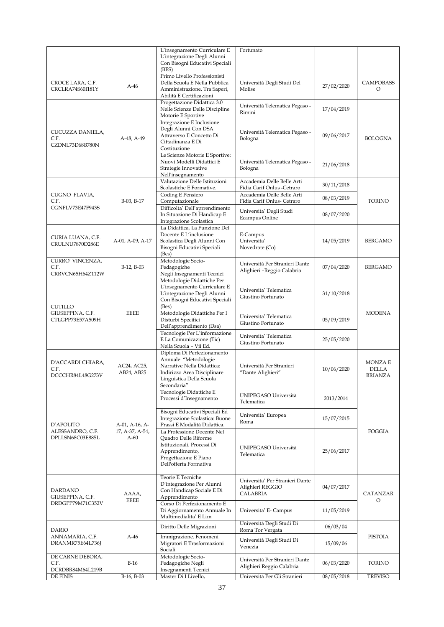|                                               |                           | L'insegnamento Curriculare E<br>L'integrazione Degli Alunni                                                                                                  | Fortunato                                                       |            |                                           |
|-----------------------------------------------|---------------------------|--------------------------------------------------------------------------------------------------------------------------------------------------------------|-----------------------------------------------------------------|------------|-------------------------------------------|
|                                               |                           | Con Bisogni Educativi Speciali<br>(BES)                                                                                                                      |                                                                 |            |                                           |
| CROCE LARA, C.F.<br>CRCLRA74S60I181Y          | $A-46$                    | Primo Livello Professionisti<br>Della Scuola E Nella Pubblica<br>Amministrazione, Tra Saperi,<br>Abilità E Certificazioni                                    | Università Degli Studi Del<br>Molise                            | 27/02/2020 | <b>CAMPOBASS</b><br>O                     |
|                                               |                           | Progettazione Didattica 3.0<br>Nelle Scienze Delle Discipline<br>Motorie E Sportive                                                                          | Università Telematica Pegaso -<br>Rimini                        | 17/04/2019 |                                           |
| CUCUZZA DANIELA,<br>C.F.<br>CZDNL73D68B780N   | A-48, A-49                | Integrazione E Inclusione<br>Degli Alunni Con DSA<br>Attraverso Il Concetto Di<br>Cittadinanza E Di<br>Costituzione                                          | Università Telematica Pegaso -<br>Bologna                       | 09/06/2017 | <b>BOLOGNA</b>                            |
|                                               |                           | Le Scienze Motorie E Sportive:<br>Nuovi Modelli Didattici E<br>Strategie Innovative<br>Nell'insegnamento                                                     | Università Telematica Pegaso -<br>Bologna                       | 21/06/2018 |                                           |
|                                               |                           | Valutazione Delle Istituzioni<br>Scolastiche E Formative.                                                                                                    | Accademia Delle Belle Arti<br>Fidia Carif Onlus - Cetraro       | 30/11/2018 |                                           |
| CUGNO FLAVIA,<br>C.F.                         | B-03, B-17                | Coding E Pensiero<br>Computazionale                                                                                                                          | Accademia Delle Belle Arti<br>Fidia Carif Onlus- Cetraro        | 08/03/2019 | <b>TORINO</b>                             |
| CGNFLV73E47F943S                              |                           | Difficolta' Dell'aprrendimento<br>In Situazione Di Handicap E<br>Integrazione Scolastica                                                                     | Universita' Degli Studi<br>Ecampus Online                       | 08/07/2020 |                                           |
| CURIA LUANA, C.F.<br>CRULNU7870D286E          | A-01, A-09, A-17          | La Didattica. La Funzione Del<br>Docente E L'inclusione<br>Scolastica Degli Alunni Con<br>Bisogni Educativi Speciali<br>(Bes)                                | E-Campus<br>Universita'<br>Novedrate (Co)                       | 14/05/2019 | BERGAMO                                   |
| CURRO' VINCENZA,<br>C.F.<br>CRRVCN65H64Z112W  | B-12, B-03                | Metodologie Socio-<br>Pedagogiche<br>Negli Insegnamenti Tecnici                                                                                              | Università Per Stranieri Dante<br>Alighieri -Reggio Calabria    | 07/04/2020 | <b>BERGAMO</b>                            |
| <b>CUTILLO</b>                                |                           | Metodologie Didattiche Per<br>L'insegnamento Curriculare E<br>L'integrazione Degli Alunni<br>Con Bisogni Educativi Speciali<br>(Bes)                         | Universita' Telematica<br>Giustino Fortunato                    | 31/10/2018 |                                           |
| GIUSEPPINA, C.F.<br>CTLGPP73E57A509H          | <b>EEEE</b>               | Metodologie Didattiche Per I<br>Disturbi Specifici<br>Dell'apprendimento (Dsa)                                                                               | Universita' Telematica<br>Giustino Fortunato                    | 05/09/2019 | <b>MODENA</b>                             |
|                                               |                           | Tecnologie Per L'informazione<br>E La Comunicazione (Tic)<br>Nella Scuola - Vii Ed.                                                                          | Universita' Telematica<br>Giustino Fortunato                    | 25/05/2020 |                                           |
| D'ACCARDI CHIARA,<br>C.F.<br>DCCCHR84L48G273V | AC24, AC25,<br>AB24, AB25 | Diploma Di Perfezionamento<br>Annuale "Metodologie<br>Narrative Nella Didattica:<br>Indirizzo Area Disciplinare<br>Linguistica Della Scuola<br>Secondaria"   | Università Per Stranieri<br>"Dante Alighieri"                   | 10/06/2020 | MONZA E<br><b>DELLA</b><br><b>BRIANZA</b> |
|                                               |                           | Tecnologie Didattiche E<br>Processi d'Insegnamento                                                                                                           | UNIPEGASO Università<br>Telematica                              | 2013/2014  |                                           |
| D'APOLITO                                     | A-01, A-16, A-            | Bisogni Educativi Speciali Ed<br>Integrazione Scolastica: Buone<br>Prassi E Modalità Didattica.                                                              | Universita' Europea<br>Roma                                     | 15/07/2015 |                                           |
| ALESSANDRO, C.F.<br>DPLLSN68C03E885L          | 17, A-37, A-54,<br>$A-60$ | La Professione Docente Nel<br><b>Ouadro Delle Riforme</b><br>Istituzionali. Processi Di<br>Apprendimento,<br>Progettazione E Piano<br>Dell'offerta Formativa | UNIPEGASO Università<br>Telematica                              | 25/06/2017 | FOGGIA                                    |
| <b>DARDANO</b><br>GIUSEPPINA, C.F.            | AAAA,<br><b>EEEE</b>      | Teorie E Tecniche<br>D'integrazione Per Alunni<br>Con Handicap Sociale E Di<br>Apprendimento                                                                 | Universita' Per Stranieri Dante<br>Alighieri REGGIO<br>CALABRIA | 04/07/2017 | CATANZAR<br>O                             |
| DRDGPP79M71C352V                              |                           | Corso Di Perfezionamento E<br>Di Aggiornamento Annuale In<br>Multimedialita' E Lim                                                                           | Universita' E- Campus                                           | 11/05/2019 |                                           |
| <b>DARIO</b>                                  |                           | Diritto Delle Migrazioni                                                                                                                                     | Università Degli Studi Di<br>Roma Tor Vergata                   | 06/03/04   |                                           |
| ANNAMARIA, C.F.<br>DRANMR75E64L736J           | $A-46$                    | Immigrazione. Fenomeni<br>Migratori E Trasformazioni<br>Sociali                                                                                              | Università Degli Studi Di<br>Venezia                            | 15/09/06   | PISTOIA                                   |
| DE CARNE DEBORA,<br>C.F.<br>DCRDBR84M64L219B  | $B-16$                    | Metodologie Socio-<br>Pedagogiche Negli<br>Insegnamenti Tecnici                                                                                              | Università Per Stranieri Dante<br>Alighieri Reggio Calabria     | 06/03/2020 | TORINO                                    |
| DE FINIS                                      | B-16, B-03                | Master Di I Livello,                                                                                                                                         | Università Per Gli Stranieri                                    | 08/05/2018 | <b>TREVISO</b>                            |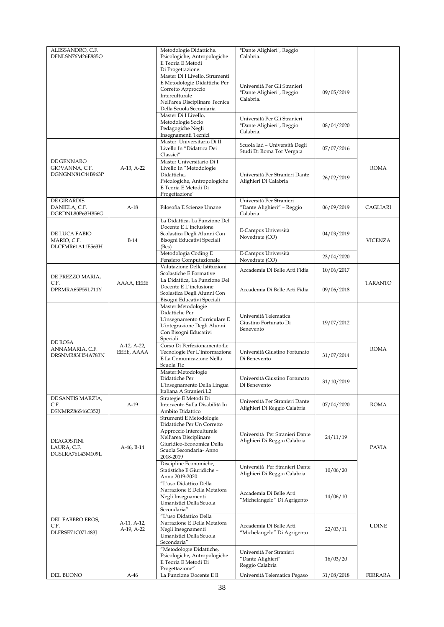| ALESSANDRO, C.F.                   |             | Metodologie Didattiche.                                        | "Dante Alighieri", Reggio                                  |            |                |
|------------------------------------|-------------|----------------------------------------------------------------|------------------------------------------------------------|------------|----------------|
| DFNLSN76M26E885O                   |             | Psicologiche, Antropologiche<br>E Teoria E Metodi              | Calabria.                                                  |            |                |
|                                    |             | Di Progettazione.                                              |                                                            |            |                |
|                                    |             | Master Di I Livello, Strumenti<br>E Metodologie Didattiche Per |                                                            |            |                |
|                                    |             | Corretto Approccio                                             | Università Per Gli Stranieri<br>"Dante Alighieri", Reggio  | 09/05/2019 |                |
|                                    |             | Interculturale<br>Nell'area Disciplinare Tecnica               | Calabria.                                                  |            |                |
|                                    |             | Della Scuola Secondaria                                        |                                                            |            |                |
|                                    |             | Master Di I Livello,<br>Metodologie Socio                      | Università Per Gli Stranieri                               |            |                |
|                                    |             | Pedagogiche Negli                                              | "Dante Alighieri", Reggio<br>Calabria.                     | 08/04/2020 |                |
|                                    |             | Insegnamenti Tecnici<br>Master Universitario Di II             |                                                            |            |                |
|                                    |             | Livello In "Didattica Dei<br>Classici"                         | Scuola Iad - Università Degli<br>Studi Di Roma Tor Vergata | 07/07/2016 |                |
| DE GENNARO                         |             | Master Universitario Di I                                      |                                                            |            |                |
| GIOVANNA, C.F.<br>DGNGNN81C44B963P | A-13, A-22  | Livello In "Metodologie<br>Didattiche,                         | Università Per Stranieri Dante                             |            | <b>ROMA</b>    |
|                                    |             | Psicologiche, Antropologiche                                   | Alighieri Di Calabria                                      | 26/02/2019 |                |
|                                    |             | E Teoria E Metodi Di<br>Progettazione"                         |                                                            |            |                |
| DE GIRARDIS                        |             |                                                                | Università Per Stranieri                                   |            |                |
| DANIELA, C.F.<br>DGRDNL80P63H856G  | $A-18$      | Filosofia E Scienze Umane                                      | "Dante Alighieri" - Reggio<br>Calabria                     | 06/09/2019 | CAGLIARI       |
|                                    |             | La Didattica, La Funzione Del                                  |                                                            |            |                |
| DE LUCA FABIO                      |             | Docente E L'inclusione<br>Scolastica Degli Alunni Con          | E-Campus Università                                        | 04/03/2019 |                |
| MARIO, C.F.                        | $B-14$      | Bisogni Educativi Speciali                                     | Novedrate (CO)                                             |            | <b>VICENZA</b> |
| DLCFMR61A11E563H                   |             | (Bes)<br>Metodologia Coding E                                  | E-Campus Università                                        |            |                |
|                                    |             | Pensiero Computazionale                                        | Novedrate (CO)                                             | 23/04/2020 |                |
|                                    |             | Valutazione Delle Istituzioni<br>Scolastiche E Formative       | Accademia Di Belle Arti Fidia                              | 10/06/2017 |                |
| DE PREZZO MARIA,<br>C.F.           | AAAA, EEEE  | La Didattica, La Funzione Del                                  |                                                            |            | <b>TARANTO</b> |
| DPRMRA65P59L711Y                   |             | Docente E L'inclusione<br>Scolastica Degli Alunni Con          | Accademia Di Belle Arti Fidia                              | 09/06/2018 |                |
|                                    |             | Bisogni Educativi Speciali                                     |                                                            |            |                |
|                                    |             | Master:Metodologie                                             |                                                            |            |                |
|                                    |             | Didattiche Per<br>L'insegnamento Curriculare E                 | Università Telematica                                      |            |                |
|                                    |             | L'integrazione Degli Alunni                                    | Giustino Fortunato Di<br>Benevento                         | 19/07/2012 |                |
|                                    |             | Con Bisogni Educativi<br>Speciali.                             |                                                            |            |                |
| DE ROSA<br>ANNAMARIA, C.F.         | A-12, A-22, | Corso Di Perfezionamento:Le                                    |                                                            |            | <b>ROMA</b>    |
| DRSNMR83H54A783N                   | EEEE, AAAA  | Tecnologie Per L'informazione<br>E La Comunicazione Nella      | Università Giustino Fortunato<br>Di Benevento              | 31/07/2014 |                |
|                                    |             | Scuola Tic                                                     |                                                            |            |                |
|                                    |             | Master:Metodologie<br>Didattiche Per                           | Università Giustino Fortunato                              |            |                |
|                                    |             | L'insegnamento Della Lingua                                    | Di Benevento                                               | 31/10/2019 |                |
|                                    |             | Italiana A Stranieri.L2                                        |                                                            |            |                |
| DE SANTIS MARZIA,<br>C.F.          | $A-19$      | Strategie E Metodi Di<br>Intervento Sulla Disabilità In        | Università Per Stranieri Dante                             | 07/04/2020 | ROMA           |
| DSNMRZ86S46C352J                   |             | Ambito Didattico                                               | Alighieri Di Reggio Calabria                               |            |                |
|                                    |             | Strumenti E Metodologie<br>Didattiche Per Un Corretto          |                                                            |            |                |
|                                    |             | Approccio Interculturale                                       | Università Per Stranieri Dante                             |            |                |
| DEAGOSTINI                         |             | Nell'area Disciplinare<br>Giuridico-Economica Della            | Alighieri Di Reggio Calabria                               | 24/11/19   |                |
| LAURA, C.F.<br>DGSLRA76L43M109L    | A-46, B-14  | Scuola Secondaria-Anno                                         |                                                            |            | <b>PAVIA</b>   |
|                                    |             | 2018-2019                                                      |                                                            |            |                |
|                                    |             | Discipline Economiche,<br>Statistiche E Giuridiche -           | Università Per Stranieri Dante                             | 10/06/20   |                |
|                                    |             | Anno 2019-2020                                                 | Alighieri Di Reggio Calabria                               |            |                |
|                                    |             | "L'uso Didattico Della<br>Narrazione E Della Metafora          |                                                            |            |                |
|                                    |             | Negli Insegnamenti                                             | Accademia Di Belle Arti<br>"Michelangelo" Di Agrigento     | 14/06/10   |                |
|                                    |             | Umanistici Della Scuola<br>Secondaria"                         |                                                            |            |                |
| DEL FABBRO EROS,                   |             | "L'uso Didattico Della                                         |                                                            |            |                |
| C.F.                               | A-11, A-12, | Narrazione E Della Metafora                                    | Accademia Di Belle Arti                                    |            | <b>UDINE</b>   |
| DLFRSE71C07L483J                   | A-19, A-22  | Negli Insegnamenti<br>Umanistici Della Scuola                  | "Michelangelo" Di Agrigento                                | 22/03/11   |                |
|                                    |             | Secondaria"                                                    |                                                            |            |                |
|                                    |             | "Metodologie Didattiche,<br>Psicologiche, Antropologiche       | Università Per Stranieri                                   |            |                |
|                                    |             | E Teoria E Metodi Di                                           | "Dante Alighieri"<br>Reggio Calabria                       | 16/03/20   |                |
| DEL BUONO                          | $A-46$      | Progettazione"<br>La Funzione Docente E Il                     | Università Telematica Pegaso                               | 31/08/2018 | <b>FERRARA</b> |
|                                    |             |                                                                |                                                            |            |                |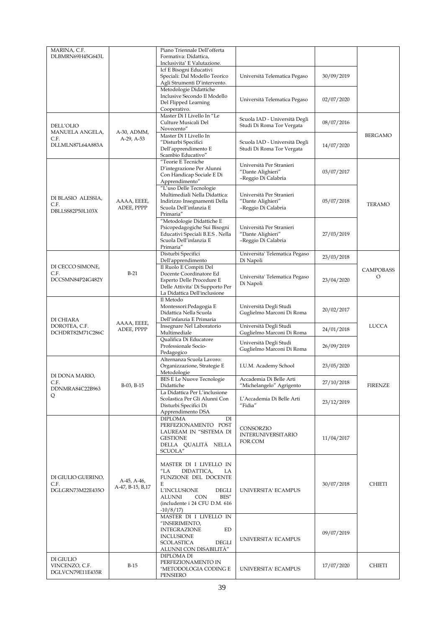| MARINA, C.F.<br>DLBMRN69H45G643L                |                                 | Piano Triennale Dell'offerta<br>Formativa: Didattica,<br>Inclusivita' E Valutazione.                                                                                                                                   |                                                                      |            |                       |
|-------------------------------------------------|---------------------------------|------------------------------------------------------------------------------------------------------------------------------------------------------------------------------------------------------------------------|----------------------------------------------------------------------|------------|-----------------------|
|                                                 |                                 | Icf E Bisogni Educativi<br>Speciali: Dal Modello Teorico<br>Agli Strumenti D'intervento.                                                                                                                               | Università Telematica Pegaso                                         | 30/09/2019 |                       |
|                                                 |                                 | Metodologie Didattiche<br>Inclusive Secondo Il Modello<br>Del Flipped Learning<br>Cooperativo.                                                                                                                         | Università Telematica Pegaso                                         | 02/07/2020 |                       |
| DELL'OLIO                                       |                                 | Master Di I Livello In "Le<br>Culture Musicali Del<br>Novecento"                                                                                                                                                       | Scuola IAD - Università Degli<br>Studi Di Roma Tor Vergata           | 08/07/2016 |                       |
| MANUELA ANGELA,<br>C.F.<br>DLLMLN87L64A883A     | A-30, ADMM,<br>A-29, A-53       | Master Di I Livello In<br>"Disturbi Specifici<br>Dell'apprendimento E<br>Scambio Educativo"                                                                                                                            | Scuola IAD - Università Degli<br>Studi Di Roma Tor Vergata           | 14/07/2020 | BERGAMO               |
|                                                 |                                 | "Teorie E Tecniche<br>D'integrazione Per Alunni<br>Con Handicap Sociale E Di<br>Apprendimento"                                                                                                                         | Università Per Stranieri<br>"Dante Alighieri"<br>-Reggio Di Calabria | 03/07/2017 |                       |
| DI BLASIO ALESSIA,<br>C.F.<br>DBLLSS82P50L103X  | AAAA, EEEE,<br>ADEE, PPPP       | "L'uso Delle Tecnologie<br>Multimediali Nella Didattica:<br>Indirizzo Insegnamenti Della<br>Scuola Dell'infanzia E<br>Primaria"                                                                                        | Università Per Stranieri<br>"Dante Alighieri"<br>-Reggio Di Calabria | 05/07/2018 | <b>TERAMO</b>         |
|                                                 |                                 | "Metodologie Didattiche E<br>Psicopedagogiche Sui Bisogni<br>Educativi Speciali B.E.S . Nella<br>Scuola Dell'infanzia E<br>Primaria"                                                                                   | Università Per Stranieri<br>"Dante Alighieri"<br>-Reggio Di Calabria | 27/03/2019 |                       |
|                                                 |                                 | Disturbi Specifici<br>Dell'apprendimento                                                                                                                                                                               | Universita' Telematica Pegaso<br>Di Napoli                           | 23/03/2018 |                       |
| DI CECCO SIMONE,<br>C.F.<br>DCCSMN84P24G482Y    | $B-21$                          | Il Ruolo E Compiti Del<br>Docente Coordinatore Ed<br>Esperto Delle Procedure E<br>Delle Attivita' Di Supporto Per<br>La Didattica Dell'inclusione                                                                      | Universita' Telematica Pegaso<br>Di Napoli                           | 23/04/2020 | <b>CAMPOBASS</b><br>O |
| DI CHIARA                                       |                                 | Il Metodo<br>Montessori: Pedagogia E<br>Didattica Nella Scuola<br>Dell'infanzia E Primaria                                                                                                                             | Università Degli Studi<br>Guglielmo Marconi Di Roma                  | 20/02/2017 |                       |
| DOROTEA, C.F.<br>DCHDRT82M71C286C               | AAAA, EEEE,<br>ADEE, PPPP       | Insegnare Nel Laboratorio<br>Multimediale                                                                                                                                                                              | Università Degli Studi<br>Guglielmo Marconi Di Roma                  | 24/01/2018 | <b>LUCCA</b>          |
|                                                 |                                 | Qualifica Di Educatore<br>Professionale Socio-<br>Pedagogico                                                                                                                                                           | Università Degli Studi<br>Guglielmo Marconi Di Roma                  | 26/09/2019 |                       |
| DI DONA MARIO,                                  |                                 | Alternanza Scuola Lavoro:<br>Organizzazione, Strategie E<br>Metodologie                                                                                                                                                | I.U.M. Academy School                                                | 23/05/2020 |                       |
| C.F.                                            | B-03, B-15                      | <b>BES E Le Nuove Tecnologie</b><br>Didattiche                                                                                                                                                                         | Accademia Di Belle Arti<br>"Michelangelo" Agrigento                  | 27/10/2018 | <b>FIRENZE</b>        |
| DDNMRA84C22B963<br>Q                            |                                 | La Didattica Per L'inclusione<br>Scolastica Per Gli Alunni Con<br>Disturbi Specifici Di<br>Apprendimento DSA                                                                                                           | L'Accademia Di Belle Arti<br>"Fidia"                                 | 23/12/2019 |                       |
|                                                 |                                 | <b>DIPLOMA</b><br>DI<br>PERFEZIONAMENTO POST<br>LAUREAM IN "SISTEMA DI<br><b>GESTIONE</b><br>DELLA QUALITÀ NELLA<br>SCUOLA"                                                                                            | CONSORZIO<br><b>INTERUNIVERSITARIO</b><br>FOR.COM                    | 11/04/2017 |                       |
| DI GIULIO GUERINO,<br>C.F.<br>DGLGRN73M22E435O  | A-45, A-46,<br>A-47, B-15, B,17 | MASTER DI I LIVELLO IN<br>$^{\prime\prime}$ LA<br>DIDATTICA,<br>LA<br>FUNZIONE DEL DOCENTE<br>E<br>L'INCLUSIONE<br><b>DEGLI</b><br>BES"<br><b>ALUNNI</b><br><b>CON</b><br>(includente i 24 CFU D.M. 616)<br>$-10/8/17$ | UNIVERSITA' ECAMPUS                                                  | 30/07/2018 | <b>CHIETI</b>         |
|                                                 |                                 | MASTER DI I LIVELLO IN<br>"INSERIMENTO,<br><b>INTEGRAZIONE</b><br>ED<br><b>INCLUSIONE</b><br><b>SCOLASTICA</b><br><b>DEGLI</b><br>ALUNNI CON DISABILITÀ"                                                               | UNIVERSITA' ECAMPUS                                                  | 09/07/2019 |                       |
| DI GIULIO<br>VINCENZO, C.F.<br>DGLVCN79E11E435R | $B-15$                          | DIPLOMA DI<br>PERFEZIONAMENTO IN<br>"METODOLOGIA CODING E<br>PENSIERO                                                                                                                                                  | UNIVERSITA' ECAMPUS                                                  | 17/07/2020 | CHIETI                |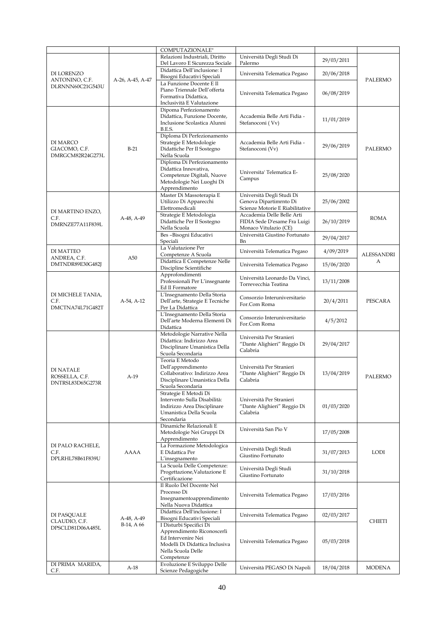|                                    |                  | COMPUTAZIONALE"                                                |                                                               |            |                   |
|------------------------------------|------------------|----------------------------------------------------------------|---------------------------------------------------------------|------------|-------------------|
|                                    |                  | Relazioni Industriali, Diritto                                 | Università Degli Studi Di                                     | 29/03/2011 |                   |
| DI LORENZO                         |                  | Del Lavoro E Sicurezza Sociale<br>Didattica Dell'inclusione: I | Palermo<br>Università Telematica Pegaso                       | 20/06/2018 |                   |
| ANTONINO, C.F.<br>DLRNNN60C21G543U | A-26, A-45, A-47 | Bisogni Educativi Speciali<br>La Funzione Docente E Il         |                                                               |            | PALERMO           |
|                                    |                  | Piano Triennale Dell'offerta<br>Formativa Didattica,           | Università Telematica Pegaso                                  | 06/08/2019 |                   |
|                                    |                  | Inclusività E Valutazione                                      |                                                               |            |                   |
|                                    |                  | Dipoma Perfezionamento<br>Didattica, Funzione Docente,         | Accademia Belle Arti Fidia -                                  |            |                   |
|                                    |                  | Inclusione Scolastica Alunni<br>B.E.S.                         | Stefanoconi (Vv)                                              | 11/01/2019 |                   |
|                                    |                  | Diploma Di Perfezionamento                                     |                                                               |            |                   |
| DI MARCO<br>GIACOMO, C.F.          | $B-21$           | Strategie E Metodologie<br>Didattiche Per Il Sostegno          | Accademia Belle Arti Fidia -<br>Stefanoconi (Vv)              | 29/06/2019 | PALERMO           |
| DMRGCM82R24G273L                   |                  | Nella Scuola<br>Diploma Di Perfezionamento                     |                                                               |            |                   |
|                                    |                  | Didattica Innovativa,                                          | Universita' Telematica E-                                     |            |                   |
|                                    |                  | Competenze Digitali, Nuove<br>Metodologie Nei Luoghi Di        | Campus                                                        | 25/08/2020 |                   |
|                                    |                  | Apprendimento<br>Master Di Massoterapia E                      | Università Degli Studi Di                                     |            |                   |
|                                    |                  | Utilizzo Di Apparecchi                                         | Genova Dipartimrnto Di                                        | 25/06/2002 |                   |
| DI MARTINO ENZO,                   |                  | Elettromedicali<br>Strategie E Metodologia                     | Scienze Motorie E Riabilitative<br>Accademia Delle Belle Arti |            |                   |
| C.F.<br>DMRNZE77A11F839L           | A-48, A-49       | Didattiche Per Il Sostegno                                     | FIDIA Sede D'esame Fra Luigi                                  | 26/10/2019 | <b>ROMA</b>       |
|                                    |                  | Nella Scuola<br>Bes-Bisogni Educativi                          | Monaco Vitulazio (CE)<br>Università Giustino Fortunato        | 29/04/2017 |                   |
|                                    |                  | Speciali<br>La Valutazione Per                                 | Bn                                                            |            |                   |
| DI MATTEO<br>ANDREA, C.F.          | A50              | Competenze A Scuola                                            | Università Telematica Pegaso                                  | 4/09/2019  | <b>ALESSANDRI</b> |
| DMTNDR89E30G482J                   |                  | Didattica E Competenze Nelle<br>Discipline Scientifiche        | Università Telematica Pegaso                                  | 15/06/2020 | А                 |
|                                    |                  | Approfondimenti<br>Professionali Per L'insegnante              | Università Leonardo Da Vinci,                                 | 13/11/2008 |                   |
|                                    |                  | Ed Il Formatore                                                | Torrevecchia Teatina                                          |            |                   |
| DI MICHELE TANIA,<br>C.F.          | A-54, A-12       | L'Insegnamento Della Storia<br>Dell'arte, Strategie E Tecniche | Consorzio Interuniversitario                                  | 20/4/2011  | PESCARA           |
| DMCTNA74L71G482T                   |                  | Per La Didattica<br>L'Insegnamento Della Storia                | For.Com Roma                                                  |            |                   |
|                                    |                  | Dell'arte Moderna Elementi Di                                  | Consorzio Interuniversitario<br>For.Com Roma                  | 4/5/2012   |                   |
|                                    |                  | Didattica<br>Metodologie Narrative Nella                       |                                                               |            |                   |
|                                    |                  | Didattica: Indirizzo Area<br>Disciplinare Umanistica Della     | Università Per Stranieri<br>"Dante Alighieri" Reggio Di       | 29/04/2017 |                   |
|                                    |                  | Scuola Secondaria                                              | Calabria                                                      |            |                   |
|                                    |                  | Teoria E Metodo<br>Dell'apprendimento                          | Università Per Stranieri                                      |            |                   |
| <b>DI NATALE</b><br>ROSSELLA, C.F. | A-19             | Collaborativo: Indirizzo Area                                  | "Dante Alighieri" Reggio Di<br>Calabria                       | 13/04/2019 | PALERMO           |
| DNTRSL83D65G273R                   |                  | Disciplinare Umanistica Della<br>Scuola Secondaria             |                                                               |            |                   |
|                                    |                  | Strategie E Metodi Di<br>Intervento Sulla Disabilità:          | Università Per Stranieri                                      |            |                   |
|                                    |                  | Indirizzo Area Disciplinare                                    | "Dante Alighieri" Reggio Di                                   | 01/03/2020 |                   |
|                                    |                  | Umanistica Della Scuola<br>Secondaria                          | Calabria                                                      |            |                   |
|                                    |                  | Dinamiche Relazionali E<br>Metodologie Nei Gruppi Di           | Università San Pio V                                          | 17/05/2008 |                   |
| DI PALO RACHELE,                   |                  | Apprendimento<br>La Formazione Metodologica                    |                                                               |            |                   |
| C.F.                               | AAAA             | E Didattica Per                                                | Università Degli Studi<br>Giustino Fortunato                  | 31/07/2013 | <b>LODI</b>       |
| DPLRHL78B61F839U                   |                  | L'insegnamento<br>La Scuola Delle Competenze:                  |                                                               |            |                   |
|                                    |                  | Progettazione, Valutazione E                                   | Università Degli Studi<br>Giustino Fortunato                  | 31/10/2018 |                   |
|                                    |                  | Certificazione<br>Il Ruolo Del Docente Nel                     |                                                               |            |                   |
|                                    |                  | Processo Di<br>Insegnamentoapprendimento                       | Università Telematica Pegaso                                  | 17/03/2016 |                   |
|                                    |                  | Nella Nuova Didattica                                          |                                                               |            |                   |
| DI PASQUALE                        | A-48, A-49       | Didattica Dell'inclusione: I<br>Bisogni Educativi Speciali     | Università Telematica Pegaso                                  | 02/03/2017 | <b>CHIETI</b>     |
| CLAUDIO, C.F.<br>DPSCLD81D06A485L  | $B-14$ , A 66    | I Disturbi Specifici Di<br>Apprendimento Riconoscerli          |                                                               |            |                   |
|                                    |                  | Ed Intervenire Nei                                             | Università Telematica Pegaso                                  | 05/03/2018 |                   |
|                                    |                  | Modelli Di Didattica Inclusiva<br>Nella Scuola Delle           |                                                               |            |                   |
| DI PRIMA MARIDA,                   |                  | Competenze<br>Evoluzione E Sviluppo Delle                      |                                                               |            |                   |
| C.F.                               | A-18             | Scienze Pedagogiche                                            | Università PEGASO Di Napoli                                   | 18/04/2018 | <b>MODENA</b>     |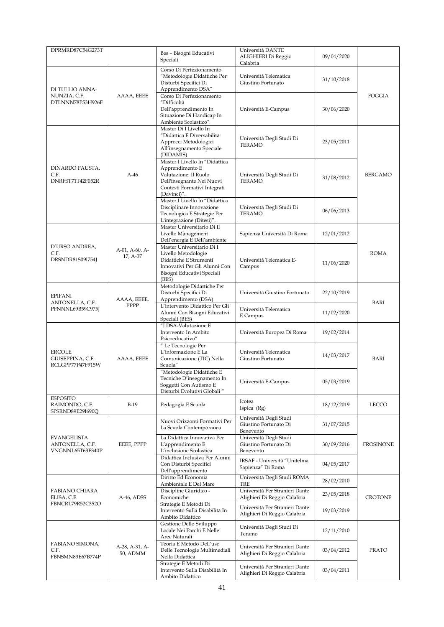| DPRMRD87C54G273T                                          |                            | Bes - Bisogni Educativi                                                                                                                                | Università DANTE<br>ALIGHIERI Di Reggio                                                        | 09/04/2020 |                  |
|-----------------------------------------------------------|----------------------------|--------------------------------------------------------------------------------------------------------------------------------------------------------|------------------------------------------------------------------------------------------------|------------|------------------|
|                                                           |                            | Speciali                                                                                                                                               | Calabria                                                                                       |            |                  |
| DI TULLIO ANNA-                                           |                            | Corso Di Perfezionamento<br>"Metodologie Didattiche Per<br>Disturbi Specifici Di<br>Apprendimento DSA"                                                 | Università Telematica<br>Giustino Fortunato                                                    | 31/10/2018 |                  |
| NUNZIA, C.F.<br>DTLNNN78P53H926F                          | AAAA, EEEE                 | Corso Di Perfezionamento<br>"Difficoltà<br>Dell'apprendimento In<br>Situazione Di Handicap In<br>Ambiente Scolastico"                                  | Università E-Campus                                                                            | 30/06/2020 | FOGGIA           |
|                                                           |                            | Master Di I Livello In<br>"Didattica E Diversabilità:<br>Approcci Metodologici<br>All'insegnamento Speciale<br>(DIDAMIS)                               | Università Degli Studi Di<br><b>TERAMO</b>                                                     | 23/05/2011 |                  |
| DINARDO FAUSTA,<br>C.F.<br>DNRFST71T42F052R               | $A-46$                     | Master I Livello In "Didattica<br>Apprendimento E<br>Valutazione: Il Ruolo<br>Dell'insegnante Nei Nuovi<br>Contesti Formativi Integrati<br>(Davinci)". | Università Degli Studi Di<br><b>TERAMO</b>                                                     | 31/08/2012 | <b>BERGAMO</b>   |
|                                                           |                            | Master I Livello In "Didattica<br>Disciplinare Innovazione<br>Tecnologica E Strategie Per<br>L'integrazione (Ditesi)".                                 | Università Degli Studi Di<br><b>TERAMO</b>                                                     | 06/06/2013 |                  |
|                                                           |                            | Master Universitario Di II<br>Livello Management<br>Dell'energia E Dell'ambiente                                                                       | Sapienza Università Di Roma                                                                    | 12/01/2012 |                  |
| D'URSO ANDREA,<br>C.F.<br>DRSNDR81S09I754J                | A-01, A-60, A-<br>17, A-37 | Master Universitario Di I<br>Livello Metodologie<br>Didattiche E Strumenti<br>Innovativi Per Gli Alunni Con<br>Bisogni Educativi Speciali<br>(BES)     | Università Telematica E-<br>Campus                                                             | 11/06/2020 | ROMA             |
| <b>EPIFANI</b>                                            | AAAA, EEEE,                | Metodologie Didattiche Per<br>Disturbi Specifici Di<br>Apprendimento (DSA)                                                                             | Università Giustino Fortunato                                                                  | 22/10/2019 | BARI             |
| ANTONELLA, C.F.<br>PFNNNL69B59C975J                       | PPPP                       | L'intervento Didattico Per Gli<br>Alunni Con Bisogni Educativi<br>Speciali (BES)                                                                       | Università Telematica<br>E Campus                                                              | 11/02/2020 |                  |
|                                                           |                            | "I DSA-Valutazione E<br>Intervento In Ambito<br>Psicoeducativo"                                                                                        | Università Europea Di Roma                                                                     | 19/02/2014 |                  |
| <b>ERCOLE</b><br>GIUSEPPINA, C.F.<br>RCLGPP77P47F915W     | AAAA, EEEE                 | " Le Tecnologie Per<br>L'informazione E La<br>Comunicazione (TIC) Nella<br>Scuola"                                                                     | Università Telematica<br>Giustino Fortunato                                                    | 14/03/2017 | BARI             |
|                                                           |                            | "Metodologie Didattiche E<br>Tecniche D'insegnamento In<br>Soggetti Con Autismo E<br>Disturbi Evolutivi Globali"                                       | Università E-Campus                                                                            | 05/03/2019 |                  |
| <b>ESPOSITO</b><br>RAIMONDO, C.F.<br>SPSRND89E29I690Q     | $B-19$                     | Pedagogia E Scuola                                                                                                                                     | Icotea<br>Ispica (Rg)                                                                          | 18/12/2019 | LECCO            |
|                                                           |                            | Nuovi Orizzonti Formativi Per<br>La Scuola Contemporanea                                                                                               | Università Degli Studi<br>Giustino Fortunato Di<br>Benevento                                   | 31/07/2015 |                  |
| <b>EVANGELISTA</b><br>ANTONELLA, C.F.<br>VNGNNL65T63E340P | EEEE, PPPP                 | La Didattica Innovativa Per<br>L'apprendimento E<br>L'inclusione Scolastica                                                                            | Università Degli Studi<br>Giustino Fortunato Di<br>Benevento                                   | 30/09/2016 | <b>FROSINONE</b> |
|                                                           |                            | Didattica Inclusiva Per Alunni<br>Con Disturbi Specifici<br>Dell'apprendimento                                                                         | IRSAF - Università "Unitelma<br>Sapienza" Di Roma                                              | 04/05/2017 |                  |
|                                                           |                            | Diritto Ed Economia<br>Ambientale E Del Mare                                                                                                           | Università Degli Studi ROMA<br>TRE                                                             | 28/02/2010 |                  |
| <b>FABIANO CHIARA</b>                                     |                            | Discipline Giuridico -                                                                                                                                 | Università Per Stranieri Dante                                                                 | 23/05/2018 |                  |
| ELISA, C.F.<br>FBNCRL79R52C352O                           | A-46, ADSS                 | Economiche<br>Strategie E Metodi Di<br>Intervento Sulla Disabilità In<br>Ambito Didattico                                                              | Alighieri Di Reggio Calabria<br>Università Per Stranieri Dante<br>Alighieri Di Reggio Calabria | 19/03/2019 | <b>CROTONE</b>   |
|                                                           |                            | Gestione Dello Sviluppo<br>Locale Nei Parchi E Nelle<br>Aree Naturali                                                                                  | Università Degli Studi Di<br>Teramo                                                            | 12/11/2010 |                  |
| FABIANO SIMONA,<br>C.F.<br>FBNSMN83E67B774P               | A-28, A-31, A-<br>50, ADMM | Teoria E Metodo Dell'uso<br>Delle Tecnologie Multimediali<br>Nella Didattica                                                                           | Università Per Stranieri Dante<br>Alighieri Di Reggio Calabria                                 | 03/04/2012 | <b>PRATO</b>     |
|                                                           |                            | Strategie E Metodi Di<br>Intervento Sulla Disabilità In<br>Ambito Didattico                                                                            | Università Per Stranieri Dante<br>Alighieri Di Reggio Calabria                                 | 03/04/2011 |                  |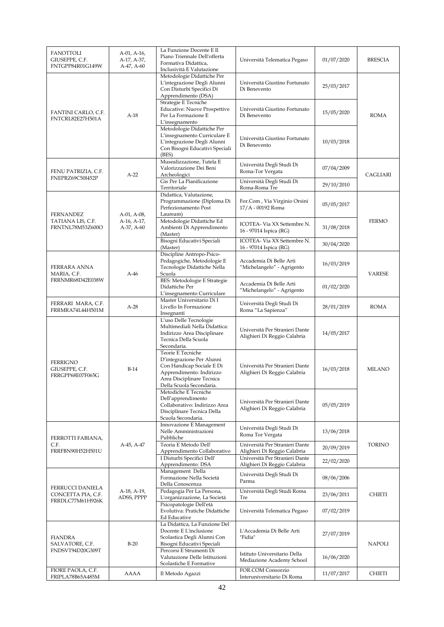| <b>FANOTTOLI</b><br>GIUSEPPE, C.F.<br>FNTGPP84R01G149W     | A-01, A-16,<br>A-17, A-37,<br>A-47, A-60 | La Funzione Docente E Il<br>Piano Triennale Dell'offerta<br>Formativa Didattica,<br>Inclusività E Valutazione                                                    | Università Telematica Pegaso                                   | 01/07/2020 | <b>BRESCIA</b> |
|------------------------------------------------------------|------------------------------------------|------------------------------------------------------------------------------------------------------------------------------------------------------------------|----------------------------------------------------------------|------------|----------------|
|                                                            |                                          | Metodologie Didattiche Per<br>L'integrazione Degli Alunni<br>Con Disturbi Specifici Di<br>Apprendimento (DSA)                                                    | Università Giustino Fortunato<br>Di Benevento                  | 25/03/2017 |                |
| FANTINI CARLO, C.F.<br>FNTCRL82E27H501A                    | $A-18$                                   | Strategie E Tecniche<br><b>Educative: Nuove Prospettive</b><br>Per La Formazione E<br>L'insegnamento                                                             | Università Giustino Fortunato<br>Di Benevento                  | 15/05/2020 | <b>ROMA</b>    |
|                                                            |                                          | Metodologie Didattiche Per<br>L'insegnamento Curriculare E<br>L'integrazione Degli Alunni<br>Con Bisogni Educativi Speciali<br>(BES)                             | Università Giustino Fortunato<br>Di Benevento                  | 10/03/2018 |                |
| FENU PATRIZIA, C.F.<br>FNEPRZ69C50I452P                    | $A-22$                                   | Musealizzazione, Tutela E<br>Valorizzazione Dei Beni<br>Archeologici                                                                                             | Università Degli Studi Di<br>Roma-Tor Vergata                  | 07/04/2009 | CAGLIARI       |
|                                                            |                                          | Gis Per La Pianificazione<br>Territoriale                                                                                                                        | Università Degli Studi Di<br>Roma-Roma Tre                     | 29/10/2010 |                |
| <b>FERNANDEZ</b>                                           | A-01, A-08,                              | Didattica, Valutazione,<br>Programmazione (Diploma Di<br>Perfezionamento Post<br>Lauream)                                                                        | For.Com, Via Virginio Orsini<br>17/A - 00192 Roma              | 05/05/2017 |                |
| TATIANA LIS, C.F.<br>FRNTNL78M53Z600O                      | A-16, A-17,<br>A-37, A-60                | Metodologie Didattiche Ed<br>Ambienti Di Apprendimento<br>(Master)                                                                                               | ICOTEA- Via XX Settembre N.<br>16 - 97014 Ispica (RG)          | 31/08/2018 | <b>FERMO</b>   |
|                                                            |                                          | Bisogni Educativi Speciali<br>(Master)                                                                                                                           | ICOTEA- Via XX Settembre N.<br>16 - 97014 Ispica (RG)          | 30/04/2020 |                |
| FERRARA ANNA<br>MARIA, C.F.                                | $A-46$                                   | Discipline Antropo-Psico-<br>Pedagogiche, Metodologie E<br>Tecnologie Didattiche Nella<br>Scuola                                                                 | Accademia Di Belle Arti<br>"Michelangelo" - Agrigento          | 16/03/2019 | <b>VARESE</b>  |
| FRRNMR68D42E038W                                           |                                          | <b>BES:</b> Metodologie E Strategie<br>Didattiche Per<br>L'insegnamento Curriculare                                                                              | Accademia Di Belle Arti<br>"Michelangelo" - Agrigento          | 01/02/2020 |                |
| FERRARI MARA, C.F.<br>FRRMRA74L44H501M                     | $A-28$                                   | Master Universitario Di I<br>Livello In Formazione<br>Insegnanti                                                                                                 | Università Degli Studi Di<br>Roma "La Sapienza"                | 28/01/2019 | <b>ROMA</b>    |
|                                                            |                                          | L'uso Delle Tecnologie<br>Multimediali Nella Didattica:<br>Indirizzo Area Disciplinare<br>Tecnica Della Scuola<br>Secondaria.                                    | Università Per Stranieri Dante<br>Alighieri Di Reggio Calabria | 14/05/2017 |                |
| <b>FERRIGNO</b><br>GIUSEPPE, C.F.<br>FRRGPP68E07F065G      | $B-14$                                   | Teorie E Tecniche<br>D'integrazione Per Alunni<br>Con Handicap Sociale E Di<br>Apprendimento: Indirizzo<br>Area Disciplinare Tecnica<br>Della Scuola Secondaria. | Università Per Stranieri Dante<br>Alighieri Di Reggio Calabria | 16/03/2018 | <b>MILANO</b>  |
|                                                            |                                          | Metodiche E Tecniche<br>Dell'apprendimento<br>Collaborativo: Indirizzo Area<br>Disciplinare Tecnica Della<br>Scuola Secondaria.                                  | Università Per Stranieri Dante<br>Alighieri Di Reggio Calabria | 05/05/2019 |                |
| FERROTTI FABIANA,                                          |                                          | Innovazione E Management<br>Nelle Amministrazioni<br>Pubbliche                                                                                                   | Università Degli Studi Di<br>Roma Tor Vergata                  | 13/06/2018 |                |
| C.F.<br>FRRFBN90H52H501U                                   | A-45, A-47                               | Teoria E Metodo Dell'<br>Apprendimento Collaborativo                                                                                                             | Università Per Stranieri Dante<br>Alighieri Di Reggio Calabria | 20/09/2019 | <b>TORINO</b>  |
|                                                            |                                          | I Disturbi Specifici Dell'<br>Apprendimento: DSA                                                                                                                 | Università Per Stranieri Dante<br>Alighieri Di Reggio Calabria | 22/02/2020 |                |
|                                                            |                                          | Management Della<br>Formazione Nella Società<br>Della Conoscenza                                                                                                 | Università Degli Studi Di<br>Parma                             | 08/06/2006 |                |
| FERRUCCI DANIELA<br>CONCETTA PIA, C.F.<br>FRRDLC77M61H926K | A-18, A-19,<br>ADSS, PPPP                | Pedagogia Per La Persona,<br>L'organizzazione, La Società                                                                                                        | Università Degli Studi Roma<br>Tre                             | 23/06/2011 | <b>CHIETI</b>  |
|                                                            |                                          | Psicopatologie Dell'età<br>Evolutiva: Pratiche Didattiche<br>Ed Educative                                                                                        | Università Telematica Pegaso                                   | 07/02/2019 |                |
| <b>FIANDRA</b><br>SALVATORE, C.F.                          | $B-20$                                   | La Didattica, La Funzione Del<br>Docente E L'inclusione<br>Scolastica Degli Alunni Con<br>Bisogni Educativi Speciali                                             | L'Accademia Di Belle Arti<br>"Fidia"                           | 27/07/2019 | <b>NAPOLI</b>  |
| FNDSVT94D20G309T                                           |                                          | Percorsi E Strumenti Di<br>Valutazione Delle Istituzioni<br>Scolastiche E Formative                                                                              | Istituto Universitario Della<br>Mediazione Academy School      | 16/06/2020 |                |
| FIORE PAOLA, C.F.<br>FRIPLA78B65A485M                      | AAAA                                     | Il Metodo Agazzi                                                                                                                                                 | FOR.COM Consorzio<br>Interuniversitario Di Roma                | 11/07/2017 | CHIETI         |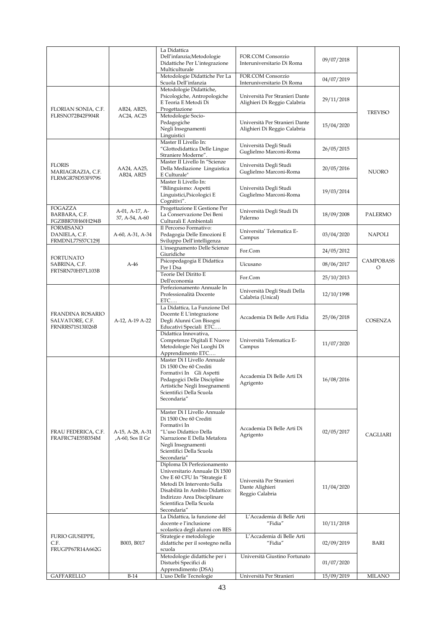|                                                                |                                      | La Didattica<br>Dell'infanzia;Metodologie<br>Didattiche Per L'integrazione<br>Multiculturale<br>Metodologie Didattiche Per La                                                                                                          | FOR.COM Consorzio<br>Interuniversitario Di Roma<br>FOR.COM Consorzio | 09/07/2018 |                       |
|----------------------------------------------------------------|--------------------------------------|----------------------------------------------------------------------------------------------------------------------------------------------------------------------------------------------------------------------------------------|----------------------------------------------------------------------|------------|-----------------------|
|                                                                |                                      | Scuola Dell'infanzia                                                                                                                                                                                                                   | Interuniversitario Di Roma                                           | 04/07/2019 |                       |
| FLORIAN SONIA, C.F.                                            | AB24, AB25,                          | Metodologie Didattiche,<br>Psicologiche, Antropologiche<br>E Teoria E Metodi Di<br>Progettazione                                                                                                                                       | Università Per Stranieri Dante<br>Alighieri Di Reggio Calabria       | 29/11/2018 |                       |
| FLRSNO72B42F904R                                               | AC24, AC25                           | Metodologie Socio-<br>Pedagogiche<br>Negli Insegnamenti<br>Linguistici                                                                                                                                                                 | Università Per Stranieri Dante<br>Alighieri Di Reggio Calabria       | 15/04/2020 | <b>TREVISO</b>        |
|                                                                |                                      | Master II Livello In:<br>"Glottodidattica Delle Lingue<br>Straniere Moderne".                                                                                                                                                          | Università Degli Studi<br>Guglielmo Marconi-Roma                     | 26/05/2015 |                       |
| <b>FLORIS</b><br>MARIAGRAZIA, C.F.<br>FLRMGR78D53F979S         | AA24, AA25,<br>AB24, AB25            | Master II Livello In "Scienze<br>Della Mediazione Linguistica<br>E Culturale"                                                                                                                                                          | Università Degli Studi<br>Guglielmo Marconi-Roma                     | 20/05/2016 | <b>NUORO</b>          |
|                                                                |                                      | Master Ii Livello In:<br>"Bilinguismo: Aspetti<br>Linguistici, Psicologici E<br>Cognitivi".                                                                                                                                            | Università Degli Studi<br>Guglielmo Marconi-Roma                     | 19/03/2014 |                       |
| <b>FOGAZZA</b><br>BARBARA, C.F.<br>FGZBBR70H60H294B            | A-01, A-17, A-<br>37, A-54, A-60     | Progettazione E Gestione Per<br>La Conservazione Dei Beni<br>Culturali E Ambientali                                                                                                                                                    | Università Degli Studi Di<br>Palermo                                 | 18/09/2008 | PALERMO               |
| <b>FORMISANO</b><br>DANIELA, C.F.<br>FRMDNL77S57C129J          | A-60, A-31, A-34                     | Il Percorso Formativo:<br>Pedagogia Delle Emozioni E<br>Sviluppo Dell'intelligenza                                                                                                                                                     | Universita' Telematica E-<br>Campus                                  | 03/04/2020 | <b>NAPOLI</b>         |
| <b>FORTUNATO</b>                                               |                                      | L'insegnamento Delle Scienze<br>Giuridiche                                                                                                                                                                                             | For.Com                                                              | 24/05/2012 |                       |
| SABRINA, C.F.                                                  | $A-46$                               | Psicopedagogia E Didattica<br>Per I Dsa                                                                                                                                                                                                | Uicusano                                                             | 08/06/2017 | <b>CAMPOBASS</b><br>O |
| FRTSRN70H57L103B                                               |                                      | Teorie Del Diritto E<br>Dell'economia                                                                                                                                                                                                  | For.Com                                                              | 25/10/2013 |                       |
|                                                                |                                      | Perfezionamento Annuale In<br>Professionalità Docente<br>ETC                                                                                                                                                                           | Università Degli Studi Della<br>Calabria (Unical)                    | 12/10/1998 |                       |
| FRANDINA ROSARIO<br>SALVATORE, C.F.<br><b>FRNRRS71S13I026B</b> | A-12, A-19 A-22                      | La Didattica, La Funzione Del<br>Docente E L'integrazione<br>Degli Alunni Con Bisogni<br>Educativi Speciali ETC                                                                                                                        | Accademia Di Belle Arti Fidia                                        | 25/06/2018 | <b>COSENZA</b>        |
|                                                                |                                      | Didattica Innovativa,<br>Competenze Digitali E Nuove<br>Metodologie Nei Luoghi Di<br>Apprendimento ETC                                                                                                                                 | Università Telematica E-<br>Campus                                   | 11/07/2020 |                       |
|                                                                |                                      | Master Di I Livello Annuale<br>Di 1500 Ore 60 Crediti<br>Formativi In Gli Aspetti<br>Pedagogici Delle Discipline<br>Artistiche Negli Insegnamenti<br>Scientifici Della Scuola<br>Secondaria"                                           | Accademia Di Belle Arti Di<br>Agrigento                              | 16/08/2016 |                       |
| FRAU FEDERICA, C.F.<br>FRAFRC74E55B354M                        | A-15, A-28, A-31<br>,A-60, Sos II Gr | Master Di I Livello Annuale<br>Di 1500 Ore 60 Crediti<br>Formativi In<br>"L'uso Didattico Della<br>Narrazione E Della Metafora<br>Negli Insegnamenti<br>Scientifici Della Scuola<br>Secondaria"                                        | Accademia Di Belle Arti Di<br>Agrigento                              | 02/05/2017 | CAGLIARI              |
|                                                                |                                      | Diploma Di Perfezionamento<br>Universitario Annuale Di 1500<br>Ore E 60 CFU In "Strategie E<br>Metodi Di Intervento Sulla<br>Disabilità In Ambito Didattico:<br>Indirizzo Area Disciplinare<br>Scientifica Della Scuola<br>Secondaria" | Università Per Stranieri<br>Dante Alighieri<br>Reggio Calabria       | 11/04/2020 |                       |
|                                                                |                                      | La Didattica, la funzione del<br>docente e l'inclusione<br>scolastica degli alunni con BES                                                                                                                                             | L'Accademia di Belle Arti<br>"Fidia"                                 | 10/11/2018 |                       |
| FURIO GIUSEPPE,<br>C.F.<br>FRUGPP67R14A662G                    | B003, B017                           | Strategie e metodologie<br>didattiche per il sostegno nella<br>scuola                                                                                                                                                                  | L'Accademia di Belle Arti<br>"Fidia"                                 | 02/09/2019 | BARI                  |
|                                                                |                                      | Metodologie didattiche per i<br>Disturbi Specifici di                                                                                                                                                                                  | Università Giustino Fortunato                                        | 01/07/2020 |                       |
| <b>GAFFARELLO</b>                                              | $B-14$                               | Apprendimento (DSA)<br>L'uso Delle Tecnologie                                                                                                                                                                                          | Università Per Stranieri                                             | 15/09/2019 | <b>MILANO</b>         |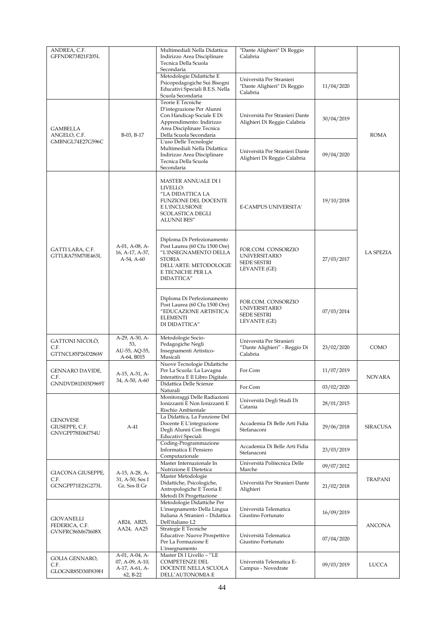| ANDREA, C.F.                                          |                                                                 | Multimediali Nella Didattica:                                                                                                                                      | "Dante Alighieri" Di Reggio                                                      |            |                  |
|-------------------------------------------------------|-----------------------------------------------------------------|--------------------------------------------------------------------------------------------------------------------------------------------------------------------|----------------------------------------------------------------------------------|------------|------------------|
| GFFNDR73B21F205L                                      |                                                                 | Indirizzo Area Disciplinare<br>Tecnica Della Scuola<br>Secondaria                                                                                                  | Calabria                                                                         |            |                  |
|                                                       |                                                                 | Metodologie Didattiche E<br>Psicopedagogiche Sui Bisogni<br>Educativi Speciali B.E.S. Nella<br>Scuola Secondaria                                                   | Università Per Stranieri<br>"Dante Alighieri" Di Reggio<br>Calabria              | 11/04/2020 |                  |
| <b>GAMBELLA</b><br>ANGELO, C.F.                       | B-03, B-17                                                      | Teorie E Tecniche<br>D'integrazione Per Alunni<br>Con Handicap Sociale E Di<br>Apprendimento: Indirizzo<br>Area Disciplinare Tecnica<br>Della Scuola Secondaria    | Università Per Stranieri Dante<br>Alighieri Di Reggio Calabria                   | 30/04/2019 | <b>ROMA</b>      |
| GMBNGL74E27G596C                                      |                                                                 | L'uso Delle Tecnologie<br>Multimediali Nella Didattica:<br>Indirizzo Area Disciplinare<br>Tecnica Della Scuola<br>Secondaria                                       | Università Per Stranieri Dante<br>Alighieri Di Reggio Calabria                   | 09/04/2020 |                  |
|                                                       |                                                                 | MASTER ANNUALE DI I<br>LIVELLO:<br>"LA DIDATTICA LA<br>FUNZIONE DEL DOCENTE<br>E L'INCLUSIONE<br>SCOLASTICA DEGLI<br><b>ALUNNI BES"</b>                            | E-CAMPUS UNIVERSITA'                                                             | 19/10/2018 |                  |
| GATTI LARA, C.F.<br>GTTLRA75M70E463L                  | A-01, A-08, A-<br>16, A-17, A-37,<br>A-54, A-60                 | Diploma Di Perfezionamento<br>Post Laurea (60 Cfu 1500 Ore)<br>"L'INSEGNAMENTO DELLA<br><b>STORIA</b><br>DELL'ARTE: METODOLOGIE<br>E TECNICHE PER LA<br>DIDATTICA" | FOR.COM. CONSORZIO<br><b>UNIVERSITARIO</b><br><b>SEDE SESTRI</b><br>LEVANTE (GE) | 27/03/2017 | <b>LA SPEZIA</b> |
|                                                       |                                                                 | Diploma Di Perfezionamento<br>Post Laurea (60 Cfu 1500 Ore)<br>"EDUCAZIONE ARTISTICA:<br><b>ELEMENTI</b><br>DI DIDATTICA"                                          | FOR.COM. CONSORZIO<br><b>UNIVERSITARIO</b><br><b>SEDE SESTRI</b><br>LEVANTE (GE) | 07/03/2014 |                  |
| GATTONI NICOLÒ,<br>C.F.<br>GTTNCL85P26D286W           | A-29, A-30, A-<br>53,<br>AU-55, AQ-55,<br>A-64, B015            | Metodologie Socio-<br>Pedagogiche Negli<br>Insegnamenti Artistico-<br>Musicali                                                                                     | Università Per Stranieri<br>"Dante Alighieri" - Reggio Di<br>Calabria            | 23/02/2020 | COMO             |
| <b>GENNARO DAVIDE,</b><br>C.F.                        | A-15, A-31, A-<br>34, A-50, A-60                                | Nuove Tecnologie Didattiche<br>Per La Scuola: La Lavagna<br>Interattiva E Il Libro Digitale.                                                                       | For.Com                                                                          | 11/07/2019 | NOVARA           |
| GNNDVD81D03D969T                                      |                                                                 | Didattica Delle Scienze<br>Naturali                                                                                                                                | For.Com                                                                          | 03/02/2020 |                  |
|                                                       |                                                                 | Monitoraggi Delle Radiazioni<br>Ionizzanti E Non Ionizzanti E<br>Rischio Ambientale                                                                                | Università Degli Studi Di<br>Catania                                             | 28/01/2015 |                  |
| <b>GENOVESE</b><br>GIUSEPPE, C.F.<br>GNVGPP78E06I754U | $A-41$                                                          | La Didattica, La Funzione Del<br>Docente E L'integrazione<br>Degli Alunni Con Bisogni<br>Educativi Speciali                                                        | Accademia Di Belle Arti Fidia<br>Stefanaconi                                     | 29/06/2018 | <b>SIRACUSA</b>  |
|                                                       |                                                                 | Coding-Programmazione<br>Informatica E Pensiero<br>Computazionale                                                                                                  | Accademia Di Belle Arti Fidia<br>Stefanaconi                                     | 23/03/2019 |                  |
|                                                       |                                                                 | Master Internazionale In<br>Nutrizione E Dietetica                                                                                                                 | Università Politecnica Delle<br>Marche                                           | 09/07/2012 |                  |
| GIACONA GIUSEPPE,<br>C.F.<br>GCNGPP71E21G273L         | A-15, A-28, A-<br>31, A-50, Sos I<br>Gr, Sos II Gr              | Master Metodologie<br>Didattiche, Psicologiche,<br>Antropologiche E Teoria E<br>Metodi Di Progettazione                                                            | Università Per Stranieri Dante<br>Alighieri                                      | 21/02/2018 | TRAPANI          |
| <b>GIOVANELLI</b><br>FEDERICA, C.F.                   | AB24, AB25,                                                     | Metodologie Didattiche Per<br>L'insegnamento Della Lingua<br>Italiana A Stranieri - Didattica<br>Dell'italiano L2                                                  | Università Telematica<br>Giustino Fortunato                                      | 16/09/2019 | ANCONA           |
| GVNFRC86M67I608X                                      | AA24, AA25                                                      | Strategie E Tecniche<br><b>Educative: Nuove Prospettive</b><br>Per La Formazione E<br>L'insegnamento                                                               | Università Telematica<br>Giustino Fortunato                                      | 07/04/2020 |                  |
| GOLIA GENNARO,<br>C.F.<br>GLOGNR85D30F839H            | A-01, A-04, A-<br>07, A-09, A-10,<br>A-17, A-61, A-<br>62, B-22 | Master Di I Livello - "LE<br><b>COMPETENZE DEL</b><br>DOCENTE NELLA SCUOLA<br>DELL'AUTONOMIA E                                                                     | Università Telematica E-<br>Campus - Novedrate                                   | 09/03/2019 | LUCCA            |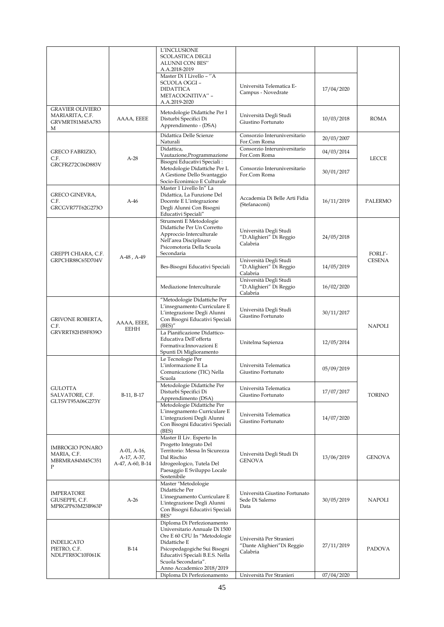|                                                                    |                                                | L'INCLUSIONE<br><b>SCOLASTICA DEGLI</b><br>ALUNNI CON BES"<br>A.A.2018-2019<br>Master Di I Livello - "A<br>SCUOLA OGGI-<br><b>DIDATTICA</b><br>METACOGNITIVA" -<br>A.A.2019-2020                                                   | Università Telematica E-<br>Campus - Novedrate                     | 17/04/2020 |                |
|--------------------------------------------------------------------|------------------------------------------------|------------------------------------------------------------------------------------------------------------------------------------------------------------------------------------------------------------------------------------|--------------------------------------------------------------------|------------|----------------|
| <b>GRAVIER OLIVIERO</b><br>MARIARITA, C.F.<br>GRVMRT81M45A783<br>М | AAAA, EEEE                                     | Metodologie Didattiche Per I<br>Disturbi Specifici Di<br>Apprendimento - (DSA)                                                                                                                                                     | Università Degli Studi<br>Giustino Fortunato                       | 10/03/2018 | <b>ROMA</b>    |
|                                                                    |                                                | Didattica Delle Scienze<br>Naturali                                                                                                                                                                                                | Consorzio Interuniversitario<br>For.Com Roma                       | 20/03/2007 |                |
| <b>GRECO FABRIZIO,</b><br>C.F.                                     |                                                | Didattica,<br>Vautazione, Programmazione                                                                                                                                                                                           | Consorzio Interuniversitario<br>For.Com Roma                       | 04/03/2014 |                |
| GRCFRZ72C06D883V                                                   | $A-28$                                         | Bisogni Educativi Speciali:<br>Metodologie Didattiche Per L<br>A Gestione Dello Svantaggio<br>Socio-Econimico E Culturale                                                                                                          | Consorzio Interuniversitario<br>For.Com Roma                       | 30/01/2017 | <b>LECCE</b>   |
| GRECO GINEVRA,<br>C.F.<br>GRCGVR77T62G273O                         | $A-46$                                         | Master 1 Livello In" La<br>Didattica, La Funzione Del<br>Docente E L'integrazione<br>Degli Alunni Con Bisogni<br>Educativi Speciali"                                                                                               | Accademia Di Belle Arti Fidia<br>(Stefanaconi)                     | 16/11/2019 | <b>PALERMO</b> |
| GREPPI CHIARA, C.F.                                                |                                                | Strumenti E Metodologie<br>Didattiche Per Un Corretto<br>Approccio Interculturale<br>Nell'area Disciplinare<br>Psicomotoria Della Scuola<br>Secondaria                                                                             | Università Degli Studi<br>"D.Alighieri" Di Reggio<br>Calabria      | 24/05/2018 | FORLI'-        |
| GRPCHR88C65D704V                                                   | A-48, A-49                                     | Bes-Bisogni Educativi Speciali                                                                                                                                                                                                     | Università Degli Studi<br>"D.Alighieri" Di Reggio<br>Calabria      | 14/05/2019 | <b>CESENA</b>  |
|                                                                    |                                                | Mediazione Interculturale                                                                                                                                                                                                          | Università Degli Studi<br>"D.Alighieri" Di Reggio<br>Calabria      | 16/02/2020 |                |
| <b>GRIVONE ROBERTA,</b><br>C.F.                                    | AAAA, EEEE,<br><b>EEHH</b>                     | "Metodologie Didattiche Per<br>L'insegnamento Curriculare E<br>L'integrazione Degli Alunni<br>Con Bisogni Educativi Speciali<br>(BES)''                                                                                            | Università Degli Studi<br>Giustino Fortunato                       | 30/11/2017 | <b>NAPOLI</b>  |
| GRVRRT82H58F839O                                                   |                                                | La Pianificazione Didattico-<br>Educativa Dell'offerta<br>Formativa: Innovazioni E<br>Spunti Di Miglioramento                                                                                                                      | Unitelma Sapienza                                                  | 12/05/2014 |                |
|                                                                    |                                                | Le Tecnologie Per<br>L'informazione E La<br>Comunicazione (TIC) Nella<br>Scuola                                                                                                                                                    | Università Telematica<br>Giustino Fortunato                        | 05/09/2019 |                |
| GULOTTA<br>SALVATORE, C.F.<br>GLTSVT95A06G273Y                     | B-11, B-17                                     | Metodologie Didattiche Per<br>Disturbi Specifici Di<br>Apprendimento (DSA)                                                                                                                                                         | Università Telematica<br>Giustino Fortunato                        | 17/07/2017 | <b>TORINO</b>  |
|                                                                    |                                                | Metodologie Didattiche Per<br>L'insegnamento Curriculare E<br>L'integrazioni Degli Alunni<br>Con Bisogni Educativi Speciali<br>(BES)                                                                                               | Università Telematica<br>Giustino Fortunato                        | 14/07/2020 |                |
| <b>IMBROGIO PONARO</b><br>MARIA, C.F.<br>MBRMRA84M45C351<br>P      | A-01, A-16,<br>A-17, A-37,<br>A-47, A-60, B-14 | Master II Liv. Esperto In<br>Progetto Integrato Del<br>Territorio: Messa In Sicurezza<br>Dal Rischio<br>Idrogeologico, Tutela Del<br>Paesaggio E Sviluppo Locale<br>Sostenibile                                                    | Università Degli Studi Di<br><b>GENOVA</b>                         | 13/06/2019 | <b>GENOVA</b>  |
| <b>IMPERATORE</b><br>GIUSEPPE, C.F.<br>MPRGPP63M23B963P            | $A-26$                                         | Master "Metodologie<br>Didattiche Per<br>L'insegnamento Curriculare E<br>L'integrazione Degli Alunni<br>Con Bisogni Educativi Speciali<br>BES"                                                                                     | Università Giustino Fortunato<br>Sede Di Salerno<br>Data           | 30/05/2019 | <b>NAPOLI</b>  |
| <b>INDELICATO</b><br>PIETRO, C.F.<br>NDLPTR83C10F061K              | $B-14$                                         | Diploma Di Perfezionamento<br>Universitario Annuale Di 1500<br>Ore E 60 CFU In "Metodologie<br>Didattiche E<br>Psicopedagogiche Sui Bisogni<br>Educativi Speciali B.E.S. Nella<br>Scuola Secondaria".<br>Anno Accademico 2018/2019 | Università Per Stranieri<br>"Dante Alighieri"Di Reggio<br>Calabria | 27/11/2019 | PADOVA         |
|                                                                    |                                                | Diploma Di Perfezionamento                                                                                                                                                                                                         | Università Per Stranieri                                           | 07/04/2020 |                |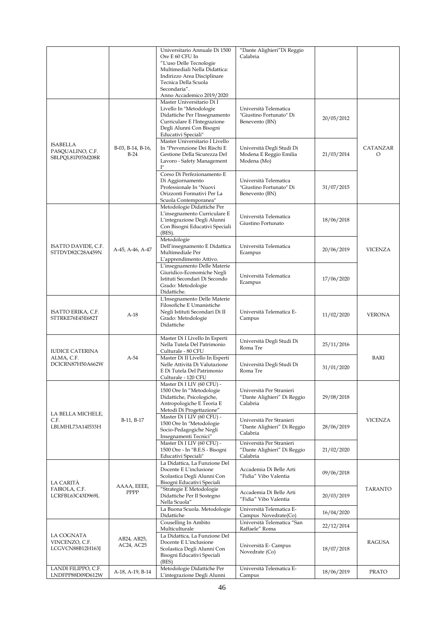|                                                         |                             | Universitario Annuale Di 1500<br>Ore E 60 CFU In<br>"L'uso Delle Tecnologie<br>Multimediali Nella Didattica:<br>Indirizzo Area Disciplinare<br>Tecnica Della Scuola<br>Secondaria".<br>Anno Accademico 2019/2020 | "Dante Alighieri"Di Reggio<br>Calabria                              |            |                      |
|---------------------------------------------------------|-----------------------------|------------------------------------------------------------------------------------------------------------------------------------------------------------------------------------------------------------------|---------------------------------------------------------------------|------------|----------------------|
|                                                         |                             | Master Universitario Di I<br>Livello In "Metodologie<br>Didattiche Per l'Insegnamento<br>Curriculare E l'Integrazione<br>Degli Alunni Con Bisogni<br>Educativi Speciali"                                         | Università Telematica<br>"Giustino Fortunato" Di<br>Benevento (BN)  | 20/05/2012 |                      |
| <b>ISABELLA</b><br>PASQUALINO, C.F.<br>SBLPQL81P05M208R | B-03, B-14, B-16,<br>$B-24$ | Master Universitario I Livello<br>In "Prevenzione Dei Rischi E<br>Gestione Della Sicurezza Del<br>Lavoro - Safety Management<br>$\mathbf{I}^{\mathbf{u}}$                                                        | Università Degli Studi Di<br>Modena E Reggio Emilia<br>Modena (Mo)  | 21/03/2014 | <b>CATANZAR</b><br>O |
|                                                         |                             | Corso Di Perfezionamento E<br>Di Aggiornamento<br>Professionale In "Nuovi<br>Orizzonti Formativi Per La<br>Scuola Contemporanea"                                                                                 | Università Telematica<br>"Giustino Fortunato" Di<br>Benevento (BN)  | 31/07/2015 |                      |
|                                                         |                             | Metodologie Didattiche Per<br>L'insegnamento Curriculare E<br>L'integrazione Degli Alunni<br>Con Bisogni Educativi Speciali<br>(BES).                                                                            | Università Telematica<br>Giustino Fortunato                         | 18/06/2018 |                      |
| ISATTO DAVIDE, C.F.<br>STTDVD82C28A459N                 | A-45, A-46, A-47            | Metodologie<br>Dell'insegnamento E Didattica<br>Multimediale Per<br>L'apprendimento Attivo.                                                                                                                      | Università Telematica<br>Ecampus                                    | 20/06/2019 | <b>VICENZA</b>       |
|                                                         |                             | L'insegnamento Delle Materie<br>Giuridico-Economiche Negli<br>Istituti Secondari Di Secondo<br>Grado: Metodologie<br>Didattiche.                                                                                 | Università Telematica<br>Ecampus                                    | 17/06/2020 |                      |
| ISATTO ERIKA, C.F.<br>STTRKE76E45E682T                  | $A-18$                      | L'Insegnamento Delle Materie<br>Filosofiche E Umanistiche<br>Negli Istituti Secondari Di II<br>Grado: Metodologie<br>Didattiche                                                                                  | Università Telematica E-<br>Campus                                  | 11/02/2020 | <b>VERONA</b>        |
| <b>IUDICE CATERINA</b>                                  |                             | Master Di I Livello In Esperti<br>Nella Tutela Del Patrimonio<br>Culturale - 80 CFU                                                                                                                              | Università Degli Studi Di<br>Roma Tre                               | 25/11/2016 |                      |
| ALMA, C.F.<br>DCICRN87H50A662W                          | $A-54$                      | Master Di II Livello In Esperti<br>Nelle Attività Di Valutazione<br>E Di Tutela Del Patrimonio<br>Culturale - 120 CFU                                                                                            | Università Degli Studi Di<br>Roma Tre                               | 31/01/2020 | BARI                 |
| LA BELLA MICHELE,                                       |                             | Master Di I LIV (60 CFU) -<br>1500 Ore In "Metodologie<br>Didattiche, Psicologiche,<br>Antropologiche E Teoria E<br>Metodi Di Progettazione"                                                                     | Università Per Stranieri<br>"Dante Alighieri" Di Reggio<br>Calabria | 29/08/2018 |                      |
| C.F.<br>LBLMHL73A14I533H                                | B-11, B-17                  | Master Di I LIV (60 CFU) -<br>1500 Ore In "Metodologie<br>Socio-Pedagogiche Negli<br>Insegnamenti Tecnici"                                                                                                       | Università Per Stranieri<br>"Dante Alighieri" Di Reggio<br>Calabria | 28/06/2019 | <b>VICENZA</b>       |
|                                                         |                             | Master Di I LIV (60 CFU) -<br>1500 Ore - In "B.E.S - Bisogni<br>Educativi Speciali"<br>La Didattica, La Funzione Del                                                                                             | Università Per Stranieri<br>"Dante Alighieri" Di Reggio<br>Calabria | 21/02/2020 |                      |
| LA CARITÀ                                               | AAAA, EEEE,                 | Docente E L'inclusione<br>Scolastica Degli Alunni Con<br>Bisogni Educativi Speciali                                                                                                                              | Accademia Di Belle Arti<br>"Fidia" Vibo Valentia                    | 09/06/2018 |                      |
| FABIOLA, C.F.<br>LCRFBL63C43D969L                       | PPPP                        | "Strategie E Metodologie<br>Didattiche Per Il Sostegno<br>Nella Scuola"                                                                                                                                          | Accademia Di Belle Arti<br>"Fidia" Vibo Valentia                    | 20/03/2019 | <b>TARANTO</b>       |
|                                                         |                             | La Buona Scuola. Metodologie<br>Didattiche                                                                                                                                                                       | Università Telematica E-<br>Campus Novedrate(Co)                    | 16/04/2020 |                      |
|                                                         |                             | Couselling In Ambito<br>Multiculturale                                                                                                                                                                           | Università Telematica "San<br>Raffaele" Roma                        | 22/12/2014 |                      |
| LA COGNATA<br>VINCENZO, C.F.<br>LCGVCN88B12H163J        | AB24, AB25,<br>AC24, AC25   | La Didattica, La Funzione Del<br>Docente E L'inclusione<br>Scolastica Degli Alunni Con<br>Bisogni Educativi Speciali<br>(BES)                                                                                    | Università E- Campus<br>Novedrate (Co)                              | 18/07/2018 | RAGUSA               |
| LANDI FILIPPO, C.F.<br>LNDFPP88D09D612W                 | A-18, A-19, B-14            | Metodologie Didattiche Per<br>L'integrazione Degli Alunni                                                                                                                                                        | Università Telematica E-<br>Campus                                  | 18/06/2019 | PRATO                |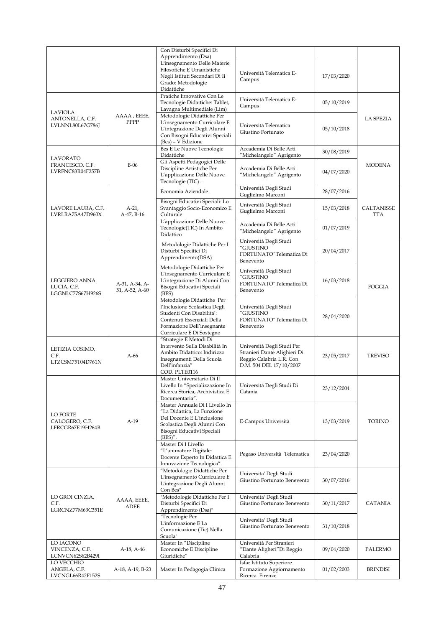|                                                       |                                  | Con Disturbi Specifici Di                                                                                                                                                         |                                                                                                                   |            |                          |
|-------------------------------------------------------|----------------------------------|-----------------------------------------------------------------------------------------------------------------------------------------------------------------------------------|-------------------------------------------------------------------------------------------------------------------|------------|--------------------------|
|                                                       |                                  | Apprendimento (Dsa)<br>L'insegnamento Delle Materie<br>Filosofiche E Umanistiche<br>Negli Istituti Secondari Di Ii<br>Grado: Metodologie<br>Didattiche                            | Università Telematica E-<br>Campus                                                                                | 17/03/2020 |                          |
|                                                       |                                  | Pratiche Innovative Con Le<br>Tecnologie Didattiche: Tablet,<br>Lavagna Multimediale (Lim)                                                                                        | Università Telematica E-<br>Campus                                                                                | 05/10/2019 |                          |
| <b>LAVIOLA</b><br>ANTONELLA, C.F.<br>LVLNNL80L67G786J | AAAA, EEEE,<br>PPPP              | Metodologie Didattiche Per<br>L'insegnamento Curricolare E<br>L'integrazione Degli Alunni<br>Con Bisogni Educativi Speciali<br>(Bes) - V Edizione                                 | Università Telematica<br>Giustino Fortunato                                                                       | 05/10/2018 | <b>LA SPEZIA</b>         |
|                                                       |                                  | <b>Bes E Le Nuove Tecnologie</b><br>Didattiche                                                                                                                                    | Accademia Di Belle Arti<br>"Michelangelo" Agrigento                                                               | 30/08/2019 |                          |
| LAVORATO<br>FRANCESCO, C.F.<br>LVRFNC83R04F257B       | $B-06$                           | Gli Aspetti Pedagogici Delle<br>Discipline Artistiche Per<br>L'applicazione Delle Nuove<br>Tecnologie (TIC).                                                                      | Accademia Di Belle Arti<br>"Michelangelo" Agrigento                                                               | 04/07/2020 | <b>MODENA</b>            |
|                                                       |                                  | Economia Aziendale                                                                                                                                                                | Università Degli Studi<br>Guglielmo Marconi                                                                       | 28/07/2016 |                          |
| LAVORE LAURA, C.F.<br>LVRLRA75A47D960X                | $A-21,$<br>A-47, B-16            | Bisogni Educativi Speciali: Lo<br>Svantaggio Socio-Economico E<br>Culturale                                                                                                       | Università Degli Studi<br>Guglielmo Marconi                                                                       | 15/03/2018 | CALTANISSE<br><b>TTA</b> |
|                                                       |                                  | L'applicazione Delle Nuove<br>Tecnologie(TIC) In Ambito<br>Didattico                                                                                                              | Accademia Di Belle Arti<br>"Michelangelo" Agrigento                                                               | 01/07/2019 |                          |
|                                                       |                                  | Metodologie Didattiche Per I<br>Disturbi Specifici Di<br>Apprendimento(DSA)                                                                                                       | Università Degli Studi<br>"GIUSTINO<br>FORTUNATO"Telematica Di<br>Benevento                                       | 20/04/2017 |                          |
| LEGGIERO ANNA<br>LUCIA, C.F.<br>LGGNLC77S67H926S      | A-31, A-34, A-<br>51, A-52, A-60 | Metodologie Didattiche Per<br>L'insegnamento Curriculare E<br>L'integrazione Di Alunni Con<br>Bisogni Educativi Speciali<br>(BES)                                                 | Università Degli Studi<br>"GIUSTINO<br>FORTUNATO"Telematica Di<br>Benevento                                       | 16/03/2018 | FOGGIA                   |
|                                                       |                                  | Metodologie Didattiche Per<br>l'Inclusione Scolastica Degli<br>Studenti Con Disabilita':<br>Contenuti Essenziali Della<br>Formazione Dell'insegnante<br>Curriculare E Di Sostegno | Università Degli Studi<br>"GIUSTINO<br>FORTUNATO"Telematica Di<br>Benevento                                       | 28/04/2020 |                          |
| LETIZIA COSIMO,<br>C.F.<br>LTZCSM75T04D761N           | A-66                             | "Strategie E Metodi Di<br>Intervento Sulla Disabilità In<br>Ambito Didattico: Indirizzo<br>Insegnamenti Della Scuola<br>Dell'infanzia"<br>COD. PLTE0116                           | Università Degli Studi Per<br>Stranieri Dante Alighieri Di<br>Reggio Calabria L.R. Con<br>D.M. 504 DEL 17/10/2007 | 23/05/2017 | TREVISO                  |
|                                                       |                                  | Master Universitario Di II<br>Livello In "Specializzazione In<br>Ricerca Storica, Archivistica E<br>Documentaria".                                                                | Università Degli Studi Di<br>Catania                                                                              | 23/12/2004 |                          |
| LO FORTE<br>CALOGERO, C.F.<br>LFRCGR67E19H264B        | $A-19$                           | Master Annuale Di I Livello In<br>"La Didattica, La Funzione<br>Del Docente E L'inclusione<br>Scolastica Degli Alunni Con<br>Bisogni Educativi Speciali<br>$(BES)''$ .            | E-Campus Università                                                                                               | 13/03/2019 | <b>TORINO</b>            |
|                                                       |                                  | Master Di I Livello<br>"L'animatore Digitale:<br>Docente Esperto In Didattica E<br>Innovazione Tecnologica".                                                                      | Pegaso Università Telematica                                                                                      | 23/04/2020 |                          |
|                                                       |                                  | "Metodologie Didattiche Per<br>L'insegnamento Curriculare E<br>L'integrazione Degli Alunni<br>Con Bes"                                                                            | Universita' Degli Studi<br>Giustino Fortunato Benevento                                                           | 30/07/2016 |                          |
| LO GROI CINZIA,<br>C.F.<br>LGRCNZ77M63C351E           | AAAA, EEEE,<br>ADEE              | "Metodologie Didattiche Per I<br>Disturbi Specifici Di<br>Apprendimento (Dsa)"                                                                                                    | Universita' Degli Studi<br>Giustino Fortunato Benevento                                                           | 30/11/2017 | CATANIA                  |
|                                                       |                                  | "Tecnologie Per<br>L'informazione E La<br>Comunicazione (Tic) Nella<br>Scuola"                                                                                                    | Universita' Degli Studi<br>Giustino Fortunato Benevento                                                           | 31/10/2018 |                          |
| LO IACONO<br>VINCENZA, C.F.<br>LCNVCN62S62B429I       | A-18, A-46                       | Master In "Discipline<br>Economiche E Discipline<br>Giuridiche"                                                                                                                   | Università Per Stranieri<br>"Dante Aligheri"Di Reggio<br>Calabria                                                 | 09/04/2020 | PALERMO                  |
| LO VECCHIO<br>ANGELA, C.F.<br>LVCNGL66R42F152S        | A-18, A-19, B-23                 | Master In Pedagogia Clinica                                                                                                                                                       | Isfar Istituto Superiore<br>Formazione Aggiornamento<br>Ricerca Firenze                                           | 01/02/2003 | <b>BRINDISI</b>          |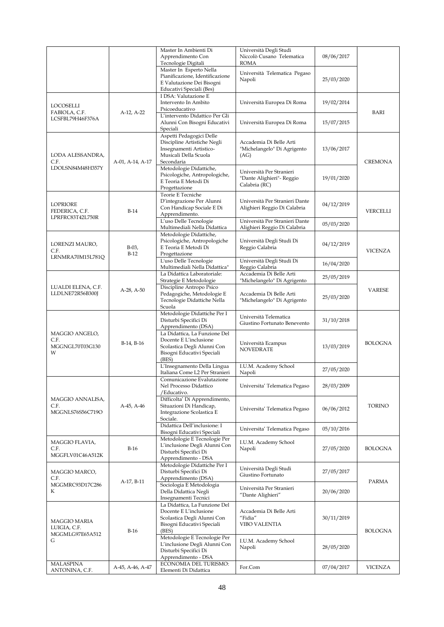|                                    |                    | Master In Ambienti Di                                          | Università Degli Studi                                         |            |                |
|------------------------------------|--------------------|----------------------------------------------------------------|----------------------------------------------------------------|------------|----------------|
|                                    |                    | Apprendimento Con<br>Tecnologie Digitali                       | Niccolò Cusano Telematica<br><b>ROMA</b>                       | 08/06/2017 |                |
|                                    |                    | Master In Esperto Nella                                        |                                                                |            |                |
|                                    |                    | Pianificazione, Identificazione                                | Università Telematica Pegaso<br>Napoli                         | 25/03/2020 |                |
|                                    |                    | E Valutazione Dei Bisogni                                      |                                                                |            |                |
|                                    |                    | Educativi Speciali (Bes)<br>I DSA: Valutazione E               |                                                                |            |                |
| LOCOSELLI                          |                    | Intervento In Ambito                                           | Università Europea Di Roma                                     | 19/02/2014 |                |
| FABIOLA, C.F.                      | A-12, A-22         | Psicoeducativo                                                 |                                                                |            | BARI           |
| LCSFBL79H46F376A                   |                    | L'intervento Didattico Per Gli<br>Alunni Con Bisogni Educativi | Università Europea Di Roma                                     | 15/07/2015 |                |
|                                    |                    | Speciali                                                       |                                                                |            |                |
|                                    |                    | Aspetti Pedagogici Delle                                       |                                                                |            |                |
|                                    |                    | Discipline Artistiche Negli<br>Insegnamenti Artistico-         | Accademia Di Belle Arti<br>"Michelangelo" Di Agrigento         | 13/06/2017 |                |
| LODA ALESSANDRA,                   |                    | Musicali Della Scuola                                          | (AG)                                                           |            |                |
| C.F.                               | A-01, A-14, A-17   | Secondaria                                                     |                                                                |            | <b>CREMONA</b> |
| LDOLSN84M48H357Y                   |                    | Metodologie Didattiche,<br>Psicologiche, Antropologiche,       | Università Per Stranieri                                       |            |                |
|                                    |                    | E Teoria E Metodi Di                                           | "Dante Alighieri"- Reggio                                      | 19/01/2020 |                |
|                                    |                    | Progettazione                                                  | Calabria (RC)                                                  |            |                |
|                                    |                    | Teorie E Tecniche<br>D'integrazione Per Alunni                 | Università Per Stranieri Dante                                 |            |                |
| <b>LOPRIORE</b>                    |                    | Con Handicap Sociale E Di                                      | Alighieri Reggio Di Calabria                                   | 04/12/2019 |                |
| FEDERICA, C.F.<br>LPRFRC83T42L750R | $B-14$             | Apprendimento.                                                 |                                                                |            | VERCELLI       |
|                                    |                    | L'uso Delle Tecnologie<br>Multimediali Nella Didattica         | Università Per Stranieri Dante<br>Alighieri Reggio Di Calabria | 05/03/2020 |                |
|                                    |                    | Metodologie Didattiche,                                        |                                                                |            |                |
| LORENZI MAURO,                     |                    | Psicologiche, Antropologiche                                   | Università Degli Studi Di                                      | 04/12/2019 |                |
| C.F.                               | $B-03$ ,<br>$B-12$ | E Teoria E Metodi Di<br>Progettazione                          | Reggio Calabria                                                |            | <b>VICENZA</b> |
| LRNMRA70M15L781Q                   |                    | L'uso Delle Tecnologie                                         | Università Degli Studi Di                                      |            |                |
|                                    |                    | Multimediali Nella Didattica"                                  | Reggio Calabria                                                | 16/04/2020 |                |
|                                    |                    | La Didattica Laboratoriale:<br>Strategie E Metodologie         | Accademia Di Belle Arti<br>"Michelangelo" Di Agrigento         | 25/05/2019 |                |
| LUALDI ELENA, C.F.                 | $A-28$ , $A-50$    | Discipline Antropo Psico                                       |                                                                |            | <b>VARESE</b>  |
| LLDLNE72R56B300J                   |                    | Pedagogiche, Metodologie E<br>Tecnologie Didattiche Nella      | Accademia Di Belle Arti                                        | 25/03/2020 |                |
|                                    |                    | Scuola                                                         | "Michelangelo" Di Agrigento                                    |            |                |
|                                    |                    | Metodologie Didattiche Per I                                   | Università Telematica                                          |            |                |
|                                    |                    | Disturbi Specifici Di<br>Apprendimento (DSA)                   | Giustino Fortunato Benevento                                   | 31/10/2018 |                |
| MAGGIO ANGELO,                     |                    | La Didattica, La Funzione Del                                  |                                                                |            |                |
| C.F.                               | B-14, B-16         | Docente E L'inclusione                                         | Università Ecampus                                             |            | <b>BOLOGNA</b> |
| MGGNGL70T03G130<br>W               |                    | Scolastica Degli Alunni Con<br>Bisogni Educativi Speciali      | <b>NOVEDRATE</b>                                               | 13/03/2019 |                |
|                                    |                    | (BES)                                                          |                                                                |            |                |
|                                    |                    | L'Insegnamento Della Lingua                                    | I.U.M. Academy School                                          | 27/05/2020 |                |
|                                    |                    | Italiana Come L2 Per Stranieri<br>Comunicazione Evalutazione   | Napoli                                                         |            |                |
|                                    |                    | Nel Processo Didattico                                         | Universita' Telematica Pegaso                                  | 28/03/2009 |                |
|                                    |                    | /Educativo.                                                    |                                                                |            |                |
| MAGGIO ANNALISA,<br>C.F.           | A-45, A-46         | Difficolta' Di Apprendimento,<br>Situazioni Di Handicap,       |                                                                |            | <b>TORINO</b>  |
| MGGNLS76S56C719O                   |                    | Integrazione Scolastica E                                      | Universita' Telematica Pegaso                                  | 06/06/2012 |                |
|                                    |                    | Sociale.<br>Didattica Dell'inclusione: I                       |                                                                |            |                |
|                                    |                    | Bisogni Educativi Speciali                                     | Universita' Telematica Pegaso                                  | 05/10/2016 |                |
| MAGGIO FLAVIA,                     |                    | Metodologie E Tecnologie Per                                   | I.U.M. Academy School                                          |            |                |
| C.F.                               | $B-16$             | L'inclusione Degli Alunni Con<br>Disturbi Specifici Di         | Napoli                                                         | 27/05/2020 | BOLOGNA        |
| MGGFLV01C46A512K                   |                    | Apprendimento - DSA                                            |                                                                |            |                |
|                                    |                    | Metodologie Didattiche Per I                                   | Università Degli Studi                                         |            |                |
| MAGGIO MARCO,<br>C.F.              |                    | Disturbi Specifici Di<br>Apprendimento (DSA)                   | Giustino Fortunato                                             | 27/05/2017 |                |
| MGGMRC93D17C286                    | A-17, B-11         | Sociologia E Metodologia                                       | Università Per Stranieri                                       |            | <b>PARMA</b>   |
| К                                  |                    | Della Didattica Negli                                          | "Dante Alighieri"                                              | 20/06/2020 |                |
|                                    |                    | Insegnamenti Tecnici<br>La Didattica, La Funzione Del          |                                                                |            |                |
|                                    |                    | Docente E L'inclusione                                         | Accademia Di Belle Arti                                        |            |                |
| MAGGIO MARIA                       |                    | Scolastica Degli Alunni Con                                    | "Fidia"                                                        | 30/11/2019 |                |
| LUIGIA, C.F.                       | $B-16$             | Bisogni Educativi Speciali<br>(BES)                            | VIBO VALENTIA                                                  |            | BOLOGNA        |
| MGGMLG97E65A512<br>G               |                    | Metodologie E Tecnologie Per                                   | I.U.M. Academy School                                          |            |                |
|                                    |                    | L'inclusione Degli Alunni Con<br>Disturbi Specifici Di         | Napoli                                                         | 28/05/2020 |                |
|                                    |                    | Apprendimento - DSA                                            |                                                                |            |                |
| <b>MALASPINA</b>                   | A-45, A-46, A-47   | ECONOMIA DEL TURISMO:                                          | For.Com                                                        | 07/04/2017 | <b>VICENZA</b> |
| ANTONINA, C.F.                     |                    | Elementi Di Didattica                                          |                                                                |            |                |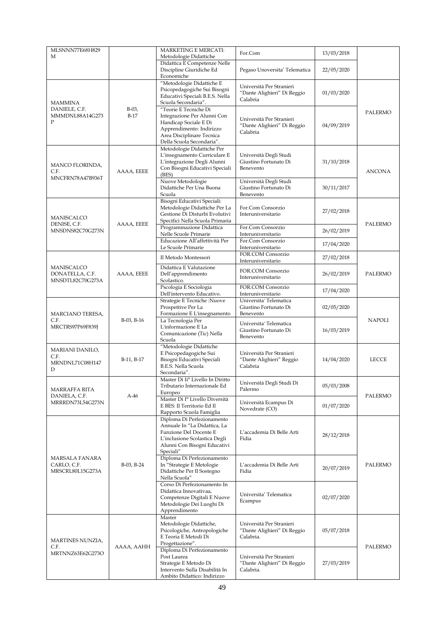| MLSNNN77E68H829<br>М                              |                    | <b>MARKETING E MERCATI:</b><br>Metodologie Didattiche                                                                                                               | For.Com                                                              | 13/03/2018 |                |
|---------------------------------------------------|--------------------|---------------------------------------------------------------------------------------------------------------------------------------------------------------------|----------------------------------------------------------------------|------------|----------------|
|                                                   |                    | Didattica E Competenze Nelle<br>Discipline Giuridiche Ed<br>Economiche                                                                                              | Pegaso Unoversita' Telematica                                        | 22/05/2020 |                |
| <b>MAMMINA</b>                                    |                    | "Metodologie Didattiche E<br>Psicopedagogiche Sui Bisogni<br>Educativi Speciali B.E.S. Nella<br>Scuola Secondaria".                                                 | Università Per Stranieri<br>"Dante Alighieri" Di Reggio<br>Calabria  | 01/03/2020 |                |
| DANIELE, C.F.<br>MMMDNL88A14G273<br>P             | $B-03$ ,<br>$B-17$ | "Teorie E Tecniche Di<br>Integrazione Per Alunni Con<br>Handicap Sociale E Di<br>Apprendimento: Indirizzo<br>Area Disciplinare Tecnica<br>Della Scuola Secondaria". | Università Per Stranieri<br>"Dante Alighieri" Di Reggio<br>Calabria  | 04/09/2019 | PALERMO        |
| MANCO FLORINDA,<br>C.F.<br>MNCFRN78A47B936T       | AAAA, EEEE         | Metodologie Didattiche Per<br>L'insegnamento Curriculare E<br>L'integrazione Degli Alunni<br>Con Bisogni Educativi Speciali<br>(BES)                                | Università Degli Studi<br>Giustino Fortunato Di<br>Benevento         | 31/10/2018 | <b>ANCONA</b>  |
|                                                   |                    | Nuove Metodologie<br>Didattiche Per Una Buona<br>Scuola                                                                                                             | Università Degli Studi<br>Giustino Fortunato Di<br>Benevento         | 30/11/2017 |                |
| <b>MANISCALCO</b><br>DENISE, C.F.                 | AAAA, EEEE         | Bisogni Educativi Speciali:<br>Metodologie Didattiche Per La<br>Gestione Di Disturbi Evolutivi<br>Specifici Nella Scuola Primaria                                   | For.Com Consorzio<br>Interuniversitario                              | 27/02/2018 | <b>PALERMO</b> |
| MNSDNS82C70G273N                                  |                    | Programmazione Didattica<br>Nelle Scuole Primarie                                                                                                                   | For.Com Consorzio<br>Interuniversitario                              | 26/02/2019 |                |
|                                                   |                    | Educazione All'affettività Per<br>Le Scuole Primarie                                                                                                                | For.Com Consorzio<br>Interuniversitario                              | 17/04/2020 |                |
|                                                   |                    | Il Metodo Montessori                                                                                                                                                | FOR.COM Consorzio<br>Interuniversitario                              | 27/02/2018 |                |
| MANISCALCO<br>DONATELLA, C.F.<br>MNSDTL82C70G273A | AAAA, EEEE         | Didattica E Valutazione<br>Dell'apprendimento<br>Scolastico.                                                                                                        | FOR.COM Consorzio<br>Interuniversitario                              | 26/02/2019 | PALERMO        |
|                                                   |                    | Pscologia E Sociologia<br>Dell'intervento Educativo.                                                                                                                | FOR.COM Consorzio<br>Interuniversitario                              | 17/04/2020 |                |
| MARCIANO TERESA,                                  |                    | Strategie E Tecniche :Nuove<br>Prospettive Per La<br>Formazione E L'insegnamento                                                                                    | Universita' Telematica<br>Giustino Fortunato Di<br>Benevento         | 02/05/2020 |                |
| C.F.<br>MRCTRS97P69F839J                          | $B-03$ , $B-16$    | La Tecnologia Per<br>L'informazione E La<br>Comunicazione (Tic) Nella<br>Scuola                                                                                     | Universita' Telematica<br>Giustino Fortunato Di<br>Benevento         | 16/03/2019 | <b>NAPOLI</b>  |
| MARIANI DANILO,<br>C.F.<br>MRNDNL71C08H147<br>D   | B-11, B-17         | "Metodologie Didattiche<br>E Psicopedagogiche Sui<br>Bisogni Educativi Speciali<br>B.E.S. Nella Scuola<br>Secondaria".                                              | Università Per Stranieri<br>"Dante Alighieri" Reggio<br>Calabria     | 14/04/2020 | <b>LECCE</b>   |
| MARRAFFA RITA                                     |                    | Master Di Ii° Livello In Diritto<br>Tributario Internazionale Ed<br>Europeo                                                                                         | Università Degli Studi Di<br>Palermo                                 | 05/03/2008 |                |
| DANIELA, C.F.<br>MRRRDN73L54G273N                 | $A-46$             | Master Di Iº Livello Diversità<br>E BES: Il Territorio Ed Il<br>Rapporto Scuola Famiglia                                                                            | Università Ecampus Di<br>Novedrate (CO)                              | 01/07/2020 | <b>PALERMO</b> |
|                                                   |                    | Diploma Di Perfezionamento<br>Annuale In "La Didattica, La<br>Funzione Del Docente E<br>L'inclusione Scolastica Degli<br>Alunni Con Bisogni Educativi<br>Speciali"  | L'accademia Di Belle Arti<br>Fidia                                   | 28/12/2018 |                |
| MARSALA FANARA<br>CARLO, C.F.<br>MRSCRL80L15G273A | B-03, B-24         | Diploma Di Perfezionamento<br>In "Strategie E Metologie<br>Didattiche Per Il Sostegno<br>Nella Scuola"                                                              | L'accademia Di Belle Arti<br>Fidia                                   | 20/07/2019 | PALERMO        |
|                                                   |                    | Corso Di Perfezionamento In<br>Didattica Innovativaa,<br>Competenze Digitali E Nuove<br>Metodologie Dei Luoghi Di<br>Apprendimento                                  | Universita' Telematica<br>Ecampus                                    | 02/07/2020 |                |
| MARTINES NUNZIA,<br>C.F.                          | AAAA, AAHH         | Master<br>Metodologie Didattiche,<br>Psicologiche, Antropologiche<br>E Teoria E Metodi Di<br>Progettazione".                                                        | Università Per Stranieri<br>"Dante Alighieri" Di Reggio<br>Calabria. | 05/07/2018 | PALERMO        |
| MRTNNZ63E62G273O                                  |                    | Diploma Di Perfezionamento<br>Post Laurea<br>Strategie E Metodo Di<br>Intervento Sulla Disabilità In<br>Ambito Didattico: Indirizzo                                 | Università Per Stranieri<br>"Dante Alighieri" Di Reggio<br>Calabria. | 27/03/2019 |                |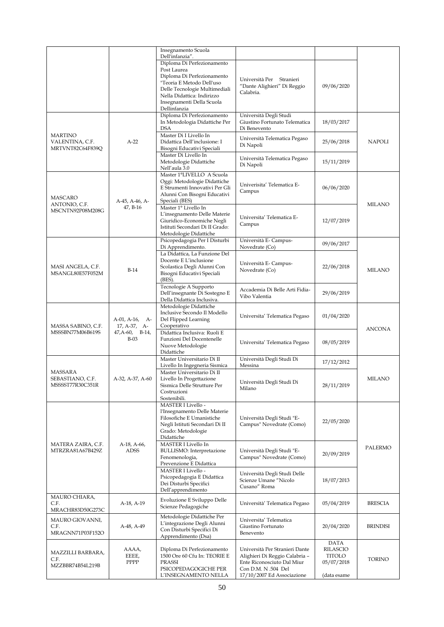|                                       |                        | Insegnamento Scuola<br>Dell'infanzia".                         |                                                 |                         |                 |
|---------------------------------------|------------------------|----------------------------------------------------------------|-------------------------------------------------|-------------------------|-----------------|
|                                       |                        | Diploma Di Perfezionamento                                     |                                                 |                         |                 |
|                                       |                        | Post Laurea                                                    |                                                 |                         |                 |
|                                       |                        | Diploma Di Perfezionamento                                     | Università Per Stranieri                        |                         |                 |
|                                       |                        | "Teoria E Metodo Dell'uso                                      | "Dante Alighieri" Di Reggio                     | 09/06/2020              |                 |
|                                       |                        | Delle Tecnologie Multimediali                                  | Calabria.                                       |                         |                 |
|                                       |                        | Nella Didattica: Indirizzo<br>Insegnamenti Della Scuola        |                                                 |                         |                 |
|                                       |                        | Dellinfanzia                                                   |                                                 |                         |                 |
|                                       |                        | Diploma Di Perfezionamento                                     | Università Degli Studi                          |                         |                 |
|                                       |                        | In Metodologia Didattiche Per                                  | Giustino Fortunato Telematica                   | 18/03/2017              |                 |
|                                       |                        | <b>DSA</b>                                                     | Di Benevento                                    |                         |                 |
| <b>MARTINO</b>                        |                        | Master Di I Livello In<br>Didattica Dell'inclusione: I         | Università Telematica Pegaso                    |                         |                 |
| VALENTINA, C.F.<br>MRTVNT82C64F839Q   | $A-22$                 | Bisogni Educativi Speciali                                     | Di Napoli                                       | 25/06/2018              | <b>NAPOLI</b>   |
|                                       |                        | Master Di Livello In                                           |                                                 |                         |                 |
|                                       |                        | Metodologie Didattiche                                         | Università Telematica Pegaso                    | 15/11/2019              |                 |
|                                       |                        | Nell'aula 3.0                                                  | Di Napoli                                       |                         |                 |
|                                       |                        | Master 1°LIVELLO A Scuola                                      |                                                 |                         |                 |
|                                       |                        | Oggi: Metodologie Didattiche<br>E Strumenti Innovativi Per Gli | Univerisita' Telematica E-                      |                         |                 |
|                                       |                        | Alunni Con Bisogni Educativi                                   | Campus                                          | 06/06/2020              |                 |
| MASCARO                               | A-45, A-46, A-         | Speciali (BES)                                                 |                                                 |                         |                 |
| ANTONIO, C.F.<br>MSCNTN92P08M208G     | 47, B-16               | Master 1° Livello In                                           |                                                 |                         | <b>MILANO</b>   |
|                                       |                        | L'insegnamento Delle Materie                                   | Universita' Telematica E-                       |                         |                 |
|                                       |                        | Giuridico-Economiche Negli                                     | Campus                                          | 12/07/2019              |                 |
|                                       |                        | Istituti Secondari Di II Grado:<br>Metodologie Didattiche      |                                                 |                         |                 |
|                                       |                        | Psicopedagogia Per I Disturbi                                  | Università E-Campus-                            |                         |                 |
|                                       |                        | Di Apprendimento.                                              | Novedrate (Co)                                  | 09/06/2017              |                 |
|                                       |                        | La Didattica, La Funzione Del                                  |                                                 |                         |                 |
|                                       |                        | Docente E L'inclusione                                         | Università E- Campus-                           |                         |                 |
| MASI ANGELA, C.F.<br>MSANGL80E57F052M | $B-14$                 | Scolastica Degli Alunni Con                                    | Novedrate (Co)                                  | 22/06/2018              | <b>MILANO</b>   |
|                                       |                        | Bisogni Educativi Speciali<br>$(BES)$ .                        |                                                 |                         |                 |
|                                       |                        | Tecnologie A Supporto                                          |                                                 |                         |                 |
|                                       |                        | Dell'insegnante Di Sostegno E                                  | Accademia Di Belle Arti Fidia-<br>Vibo Valentia | 29/06/2019              |                 |
|                                       |                        | Della Didattica Inclusiva.                                     |                                                 |                         |                 |
|                                       |                        | Metodologie Didattiche<br>Inclusive Secondo Il Modello         |                                                 |                         |                 |
|                                       | $A-01$ , $A-16$ , $A-$ | Del Flipped Learning                                           | Universita' Telematica Pegaso                   | 01/04/2020              |                 |
| MASSA SABINO, C.F.                    | 17, A-37, A-           | Cooperativo                                                    |                                                 |                         |                 |
| MSSSBN77M06B619S                      | $47, A-60, B-14,$      | Didattica Inclusiva: Ruoli E                                   |                                                 |                         | <b>ANCONA</b>   |
|                                       | $B-03$                 | Funzioni Del Docentenelle                                      | Universita' Telematica Pegaso                   | 08/05/2019              |                 |
|                                       |                        | Nuove Metodologie<br>Didattiche                                |                                                 |                         |                 |
|                                       |                        | Master Universitario Di II                                     | Università Degli Studi Di                       |                         |                 |
|                                       |                        | Livello In Ingegneria Sismica                                  | Messina                                         | 17/12/2012              |                 |
| MASSARA                               |                        | Master Universitario Di II                                     |                                                 |                         |                 |
| SEBASTIANO, C.F.                      | A-32, A-37, A-60       | Livello In Progettazione                                       | Università Degli Studi Di                       |                         | MILANO          |
| MSSSST77R30C351R                      |                        | Sismica Delle Strutture Per<br>Costruzioni                     | Milano                                          | 28/11/2019              |                 |
|                                       |                        | Sostenibili.                                                   |                                                 |                         |                 |
|                                       |                        | MASTER I Livello -                                             |                                                 |                         |                 |
|                                       |                        | l'Insegnamento Delle Materie                                   |                                                 |                         |                 |
|                                       |                        | Filosofiche E Umanistiche                                      | Università Degli Studi "E-                      | 22/05/2020              |                 |
|                                       |                        | Negli Istituti Secondari Di II<br>Grado: Metodologie           | Campus" Novedrate (Como)                        |                         |                 |
|                                       |                        | Didattiche                                                     |                                                 |                         |                 |
| MATERA ZAIRA, C.F.                    | A-18, A-66,            | MASTER I Livello In                                            |                                                 |                         |                 |
| MTRZRA81A67B429Z                      | <b>ADSS</b>            | <b>BULLISMO:</b> Interpretazione                               | Università Degli Studi "E-                      | 20/09/2019              | PALERMO         |
|                                       |                        | Fenomenologia,                                                 | Campus" Novedrate (Como)                        |                         |                 |
|                                       |                        | Prevenzione E Didattica<br><b>MASTER I Livello -</b>           |                                                 |                         |                 |
|                                       |                        | Psicopedagogia E Didattica                                     | Università Degli Studi Delle                    |                         |                 |
|                                       |                        | Dei Disturbi Specifici                                         | Scienze Umane "Nicolo<br>Cusano" Roma           | 18/07/2013              |                 |
|                                       |                        | Dell'apprendimento                                             |                                                 |                         |                 |
| MAURO CHIARA,                         |                        | Evoluzione E Sviluppo Delle                                    |                                                 |                         |                 |
| C.F.<br>MRACHR83D50G273C              | A-18, A-19             | Scienze Pedagogiche                                            | Università' Telematica Pegaso                   | 05/04/2019              | <b>BRESCIA</b>  |
|                                       |                        | Metodologie Didattiche Per                                     |                                                 |                         |                 |
| MAURO GIOVANNI,<br>C.F.               | A-48, A-49             | L'integrazione Degli Alunni                                    | Universita' Telematica<br>Giustino Fortunato    | 20/04/2020              | <b>BRINDISI</b> |
| MRAGNN71P03F152O                      |                        | Con Disturbi Specifici Di                                      | Benevento                                       |                         |                 |
|                                       |                        | Apprendimento (Dsa)                                            |                                                 |                         |                 |
|                                       | AAAA,                  | Diploma Di Perfezionamento                                     | Università Per Stranieri Dante                  | <b>DATA</b><br>RILASCIO |                 |
| MAZZILLI BARBARA,<br>C.F.             | EEEE,                  | 1500 Ore 60 Cfu In: TEORIE E                                   | Alighieri Di Reggio Calabria -                  | TITOLO                  | TORINO          |
| MZZBBR74B54L219B                      | PPPP                   | <b>PRASSI</b>                                                  | Ente Riconosciuto Dal Miur                      | 05/07/2018              |                 |
|                                       |                        | PSICOPEDAGOGICHE PER                                           | Con D.M. N .504 Del                             |                         |                 |
|                                       |                        | L'INSEGNAMENTO NELLA                                           | 17/10/2007 Ed Associazione                      | (data esame             |                 |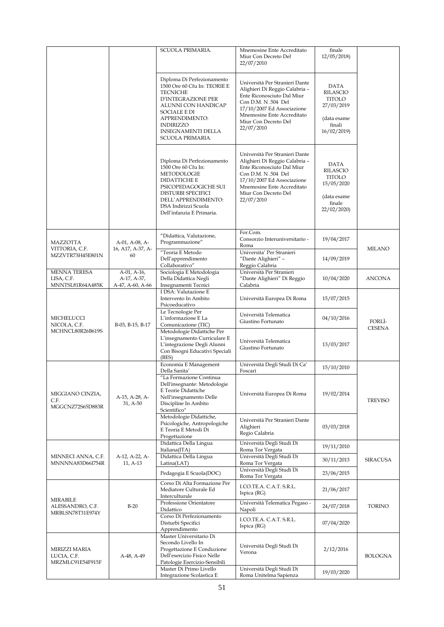|                                                       |                                                      | SCUOLA PRIMARIA.                                                                                                                                                                                                                                | Mnemosine Ente Accreditato<br>Miur Con Decreto Del<br>22/07/2010                                                                                                                                                        | finale<br>12/05/2018                                                                          |                         |
|-------------------------------------------------------|------------------------------------------------------|-------------------------------------------------------------------------------------------------------------------------------------------------------------------------------------------------------------------------------------------------|-------------------------------------------------------------------------------------------------------------------------------------------------------------------------------------------------------------------------|-----------------------------------------------------------------------------------------------|-------------------------|
|                                                       |                                                      | Diploma Di Perfezionamento<br>1500 Ore 60 Cfu In: TEORIE E<br><b>TECNICHE</b><br><b>D'INTEGRAZIONE PER</b><br>ALUNNI CON HANDICAP<br><b>SOCIALE E DI</b><br>APPRENDIMENTO:<br><b>INDIRIZZO</b><br><b>INSEGNAMENTI DELLA</b><br>SCUOLA PRIMARIA. | Università Per Stranieri Dante<br>Alighieri Di Reggio Calabria -<br>Ente Riconosciuto Dal Miur<br>Con D.M. N .504 Del<br>17/10/2007 Ed Associazione<br>Mnemosine Ente Accreditato<br>Miur Con Decreto Del<br>22/07/2010 | <b>DATA</b><br>RILASCIO<br>TITOLO<br>27/03/2019<br>(data esame<br>finali<br>16/02/2019        |                         |
|                                                       |                                                      | Diploma Di Perfezionamento<br>1500 Ore 60 Cfu In:<br>METODOLOGIE<br>DIDATTICHE E<br>PSICOPEDAGOGICHE SUI<br><b>DISTURBI SPECIFICI</b><br>DELL'APPRENDIMENTO:<br>DSA Indirizzi Scuola<br>Dell'infanzia E Primaria.                               | Università Per Stranieri Dante<br>Alighieri Di Reggio Calabria -<br>Ente Riconosciuto Dal Miur<br>Con D.M. N .504 Del<br>17/10/2007 Ed Associazione<br>Mnemosine Ente Accreditato<br>Miur Con Decreto Del<br>22/07/2010 | <b>DATA</b><br>RILASCIO<br><b>TITOLO</b><br>15/05/2020<br>(data esame<br>finale<br>22/02/2020 |                         |
| MAZZOTTA<br>VITTORIA, C.F.<br>MZZVTR73H45E801N        | A-01, A-08, A-<br>16, A17, A-37, A-<br>60            | "Didattica, Valutazione,<br>Programmazione"<br>"Teoria E Metodo                                                                                                                                                                                 | For.Com.<br>Consorzio Interuniversitario -<br>Roma<br>Universita' Per Stranieri                                                                                                                                         | 19/04/2017                                                                                    | MILANO                  |
|                                                       |                                                      | Dell'apprendimento<br>Collaborativo"                                                                                                                                                                                                            | "Dante Alighieri" -<br>Reggio Calabria                                                                                                                                                                                  | 14/09/2019                                                                                    |                         |
| <b>MENNA TERESA</b><br>LISA, C.F.<br>MNNTSL81R64A485K | $A-01$ , $A-16$ ,<br>A-17, A-37,<br>A-47, A-60, A-66 | Sociologia E Metodologia<br>Della Didattica Negli<br>Insegnamenti Tecnici                                                                                                                                                                       | Università Per Stranieri<br>"Dante Alighieri" Di Reggio<br>Calabria                                                                                                                                                     | 10/04/2020                                                                                    | <b>ANCONA</b>           |
|                                                       | B-03, B-15, B-17                                     | I DSA: Valutazione E<br>Intervento In Ambito<br>Psicoeducativo                                                                                                                                                                                  | Università Europea Di Roma                                                                                                                                                                                              | 15/07/2015                                                                                    |                         |
| MICHELUCCI<br>NICOLA, C.F.                            |                                                      | Le Tecnologie Per<br>L'informazione E La<br>Comunicazione (TIC)                                                                                                                                                                                 | Università Telematica<br>Giustino Fortunato                                                                                                                                                                             | 04/10/2016                                                                                    | FORLÌ-<br><b>CESENA</b> |
| MCHNCL80R26B619S                                      |                                                      | Metodologie Didattiche Per<br>L'insegnamento Curriculare E<br>L'integrazione Degli Alunni<br>Con Bisogni Educativi Speciali<br>(BES)                                                                                                            | Università Telematica<br>Giustino Fortunato                                                                                                                                                                             | 13/03/2017                                                                                    |                         |
|                                                       |                                                      | Economia E Management<br>Della Sanita'                                                                                                                                                                                                          | Università Degli Studi Di Ca'<br>Foscari                                                                                                                                                                                | 15/10/2010                                                                                    |                         |
| MIGGIANO CINZIA,<br>C.F.<br>MGGCNZ72S65D883R          | A-15, A-28, A-<br>31, A-50                           | "La Formazione Continua<br>Dell'insegnante: Metodologie<br>E Teorie Didattiche<br>Nell'insegnamento Delle<br>Discipline In Ambito<br>Scientifico"                                                                                               | Università Europea Di Roma                                                                                                                                                                                              | 19/02/2014                                                                                    | <b>TREVISO</b>          |
|                                                       |                                                      | Metodologie Didattiche,<br>Psicologiche, Antropologiche<br>E Teoria E Metodi Di<br>Progettazione                                                                                                                                                | Università Per Stranieri Dante<br>Alighieri<br>Regio Calabria                                                                                                                                                           | 03/03/2018                                                                                    |                         |
|                                                       |                                                      | Didattica Della Lingua<br>Italiana(ITA)                                                                                                                                                                                                         | Università Degli Studi Di<br>Roma Tor Vergata                                                                                                                                                                           | 19/11/2010                                                                                    |                         |
| MINNECI ANNA, C.F.<br>MNNNNA83D66I754R                | A-12, A-22, A-<br>11, A-13                           | Didattica Della Lingua<br>Latina(LAT)                                                                                                                                                                                                           | Università Degli Studi Di<br>Roma Tor Vergata                                                                                                                                                                           | 30/11/2013                                                                                    | <b>SIRACUSA</b>         |
|                                                       |                                                      | Pedagogia E Scuola(DOC)                                                                                                                                                                                                                         | Università Degli Studi Di<br>Roma Tor Vergata                                                                                                                                                                           | 23/06/2015                                                                                    |                         |
|                                                       |                                                      | Corso Di Alta Formazione Per<br>Mediatore Culturale Ed<br>Interculturale                                                                                                                                                                        | I.CO.TE.A. C.A.T. S.R.L.<br>Ispica (RG)                                                                                                                                                                                 | 21/06/2017                                                                                    |                         |
| MIRABILE<br>ALESSANDRO, C.F.                          | $B-20$                                               | Professione Orientatore<br>Didattico                                                                                                                                                                                                            | Università Telematica Pegaso -<br>Napoli                                                                                                                                                                                | 24/07/2018                                                                                    | <b>TORINO</b>           |
| MRBLSN78T31E974Y                                      |                                                      | Corso Di Perfezionamento<br>Disturbi Specifici<br>Apprendimento                                                                                                                                                                                 | I.CO.TE.A. C.A.T. S.R.L.<br>Ispica (RG)                                                                                                                                                                                 | 07/04/2020                                                                                    |                         |
| MIRIZZI MARIA<br>LUCIA, C.F.<br>MRZMLC91E54F915F      | A-48, A-49                                           | Master Universitario Di<br>Secondo Livello In<br>Progettazione E Conduzione<br>Dell'esercizio Fisico Nelle<br>Patologie Esercizio-Sensibili                                                                                                     | Università Degli Studi Di<br>Verona                                                                                                                                                                                     | 2/12/2016                                                                                     | <b>BOLOGNA</b>          |
|                                                       |                                                      | Master Di Primo Livello<br>Integrazione Scolastica E                                                                                                                                                                                            | Università Degli Studi Di<br>Roma Unitelma Sapienza                                                                                                                                                                     | 19/03/2020                                                                                    |                         |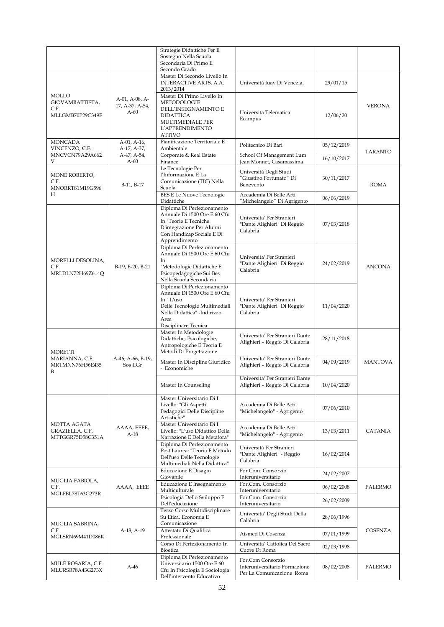|                                                             |                                             | Strategie Didattiche Per Il<br>Sostegno Nella Scuola<br>Secondaria Di Primo E<br>Secondo Grado                                                                          |                                                                                 |            |                |
|-------------------------------------------------------------|---------------------------------------------|-------------------------------------------------------------------------------------------------------------------------------------------------------------------------|---------------------------------------------------------------------------------|------------|----------------|
|                                                             |                                             | Master Di Secondo Livello In<br>INTERACTIVE ARTS, A.A.<br>2013/2014                                                                                                     | Università Iuav Di Venezia.                                                     | 29/01/15   |                |
| <b>MOLLO</b><br>GIOVAMBATTISTA,<br>C.F.<br>MLLGMB70P29C349F | A-01, A-08, A-<br>17, A-37, A-54,<br>$A-60$ | Master Di Primo Livello In<br><b>METODOLOGIE</b><br>DELL'INSEGNAMENTO E<br><b>DIDATTICA</b><br>MULTIMEDIALE PER<br>L'APPRENDIMENTO<br><b>ATTIVO</b>                     | Università Telematica<br>Ecampus                                                | 12/06/20   | <b>VERONA</b>  |
| <b>MONCADA</b><br>VINCENZO, C.F.                            | A-01, A-16,<br>A-17, A-37,                  | Pianificazione Territoriale E<br>Ambientale                                                                                                                             | Politecnico Di Bari                                                             | 05/12/2019 |                |
| MNCVCN79A29A662<br>V                                        | A-47, A-54,<br>$A-60$                       | Corporate & Real Estate<br>Finance                                                                                                                                      | School Of Management Lum<br>Jean Monnet, Casamassima                            | 16/10/2017 | <b>TARANTO</b> |
| MONE ROBERTO,<br>C.F.<br>MNORRT81M19G596                    | B-11, B-17                                  | Le Tecnologie Per<br>l'Informazione E La<br>Comunicazione (TIC) Nella<br>Scuola                                                                                         | Università Degli Studi<br>"Giustino Fortunato" Di<br>Benevento                  | 30/11/2017 | ROMA           |
| H                                                           |                                             | <b>BES E Le Nuove Tecnologie</b><br>Didattiche                                                                                                                          | Accademia Di Belle Arti<br>"Michelangelo" Di Agrigento                          | 06/06/2019 |                |
|                                                             |                                             | Diploma Di Perfezionamento<br>Annuale Di 1500 Ore E 60 Cfu<br>In "Teorie E Tecniche<br>D'integrazione Per Alunni<br>Con Handicap Sociale E Di<br>Apprendimento"         | Universita' Per Stranieri<br>"Dante Alighieri" Di Reggio<br>Calabria            | 07/03/2018 |                |
| MORELLI DESOLINA.<br>C.F.<br>MRLDLN72H69Z614Q               | B-19, B-20, B-21                            | Diploma Di Perfezionamento<br>Annuale Di 1500 Ore E 60 Cfu<br>In<br>"Metodologie Didattiche E<br>Psicopedagogiche Sui Bes<br>Nella Scuola Secondaria                    | Universita' Per Stranieri<br>"Dante Alighieri" Di Reggio<br>Calabria            | 24/02/2019 | <b>ANCONA</b>  |
|                                                             |                                             | Diploma Di Perfezionamento<br>Annuale Di 1500 Ore E 60 Cfu<br>In "L'uso<br>Delle Tecnologie Multimediali<br>Nella Didattica" -Indirizzo<br>Area<br>Disciplinare Tecnica | Universita' Per Stranieri<br>"Dante Alighieri" Di Reggio<br>Calabria            | 11/04/2020 |                |
| <b>MORETTI</b>                                              |                                             | Master In Metodologie<br>Didattiche, Psicologiche,<br>Antropologiche E Teoria E<br>Metodi Di Progettazione                                                              | Universita' Per Stranieri Dante<br>Alighieri - Reggio Di Calabria               | 28/11/2018 |                |
| MARIANNA, C.F.<br>MRTMNN76H56E435<br>B                      | A-46, A-66, B-19,<br>Sos IIGr               | Master In Discipline Giuridico<br>- Economiche                                                                                                                          | Universita' Per Stranieri Dante<br>Alighieri - Reggio Di Calabria               | 04/09/2019 | <b>MANTOVA</b> |
|                                                             |                                             | Master In Counseling                                                                                                                                                    | Universita' Per Stranieri Dante<br>Alighieri - Reggio Di Calabria               | 10/04/2020 |                |
|                                                             |                                             | Master Universitario Di I<br>Livello: "Gli Aspetti<br>Pedagogici Delle Discipline<br>Artistiche"                                                                        | Accademia Di Belle Arti<br>"Michelangelo" - Agrigento                           | 07/06/2010 |                |
| MOTTA AGATA<br>GRAZIELLA, C.F.<br>MTTGGR75D58C351A          | AAAA, EEEE,<br>$A-18$                       | Master Universitario Di I<br>Livello: "L'uso Didattico Della<br>Narrazione E Della Metafora"                                                                            | Accademia Di Belle Arti<br>"Michelangelo" - Agrigento                           | 13/03/2011 | <b>CATANIA</b> |
|                                                             |                                             | Diploma Di Perfezionamento<br>Post Laurea: "Teoria E Metodo<br>Dell'uso Delle Tecnologie<br>Multimediali Nella Didattica"                                               | Università Per Stranieri<br>"Dante Alighieri" - Reggio<br>Calabria              | 16/02/2014 |                |
|                                                             |                                             | Educazione E Disagio<br>Giovanile                                                                                                                                       | For.Com. Consorzio<br>Interuniversitario                                        | 24/02/2007 |                |
| MUGLIA FABIOLA,<br>C.F.<br>MGLFBL78T63G273R                 | AAAA, EEEE                                  | Educazione E Insegnamento<br>Multiculturale                                                                                                                             | For.Com. Consorzio<br>Interuniversitario                                        | 06/02/2008 | <b>PALERMO</b> |
|                                                             |                                             | Psicologia Dello Sviluppo E<br>Dell'educazione                                                                                                                          | For.Com. Consorzio<br>Interuniversitario                                        | 26/02/2009 |                |
| MUGLIA SABRINA,                                             |                                             | Terzo Corso Multidisciplinare<br>Su Etica, Economia E<br>Comunicazione                                                                                                  | Universita' Degli Studi Della<br>Calabria                                       | 28/06/1996 |                |
| C.F.<br>MGLSRN69M41D086K                                    | A-18, A-19                                  | Attestato Di Qualifica<br>Professionale                                                                                                                                 | Aismed Di Cosenza                                                               | 07/01/1999 | COSENZA        |
|                                                             |                                             | Corso Di Perfezionamento In<br>Bioetica                                                                                                                                 | Universita' Cattolica Del Sacro<br>Cuore Di Roma                                | 02/03/1998 |                |
| MULÉ ROSARIA, C.F.<br>MLURSR78A43G273X                      | $A-46$                                      | Diploma Di Perfezionamento<br>Universitario 1500 Ore E 60<br>Cfu In Psicologia E Sociologia<br>Dell'intervento Educativo                                                | For.Com Consorzio<br>Interuniversitario Formazione<br>Per La Comunicazione Roma | 08/02/2008 | PALERMO        |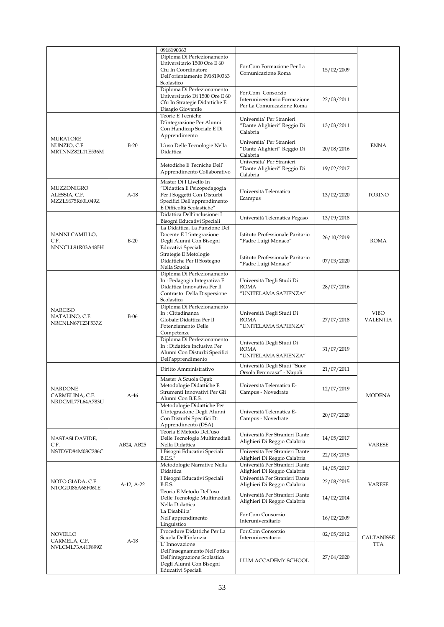|                                                       |            | 0918190363                                                                                                                                        |                                                                                 |            |                                |
|-------------------------------------------------------|------------|---------------------------------------------------------------------------------------------------------------------------------------------------|---------------------------------------------------------------------------------|------------|--------------------------------|
|                                                       |            | Diploma Di Perfezionamento<br>Universitario 1500 Ore E 60<br>Cfu In Coordinatore<br>Dell'orientamento 0918190363<br>Scolastico                    | For.Com Formazione Per La<br>Comunicazione Roma                                 | 15/02/2009 |                                |
|                                                       |            | Diploma Di Perfezionamento<br>Universitario Di 1500 Ore E 60<br>Cfu In Strategie Didattiche E<br>Disagio Giovanile                                | For.Com Consorzio<br>Interuniversitario Formazione<br>Per La Comunicazione Roma | 22/03/2011 |                                |
| <b>MURATORE</b>                                       |            | Teorie E Tecniche<br>D'integrazione Per Alunni<br>Con Handicap Sociale E Di<br>Apprendimento                                                      | Universita' Per Stranieri<br>"Dante Alighieri" Reggio Di<br>Calabria            | 13/03/2011 |                                |
| NUNZIO, C.F.<br>MRTNNZ82L11E536M                      | $B-20$     | L'uso Delle Tecnologie Nella<br>Didattica                                                                                                         | Universita' Per Stranieri<br>"Dante Alighieri" Reggio Di<br>Calabria            | 20/08/2016 | <b>ENNA</b>                    |
|                                                       |            | Metodiche E Tecniche Dell'<br>Apprendimento Collaborativo                                                                                         | Universita' Per Stranieri<br>"Dante Alighieri" Reggio Di<br>Calabria            | 19/02/2017 |                                |
| MUZZONIGRO<br>ALESSIA, C.F.<br>MZZLSS75R60L049Z       | $A-18$     | Master Di I Livello In<br>"Didattica E Psicopedagogia<br>Per I Soggetti Con Disturbi<br>Specifici Dell'apprendimento<br>E Difficoltà Scolastiche" | Università Telematica<br>Ecampus                                                | 13/02/2020 | TORINO                         |
|                                                       |            | Didattica Dell'inclusione: I<br>Bisogni Educativi Speciali                                                                                        | Università Telematica Pegaso                                                    | 13/09/2018 |                                |
| NANNI CAMILLO,<br>C.F.<br>NNNCLL91R03A485H            | $B-20$     | La Didattica, La Funzione Del<br>Docente E L'integrazione<br>Degli Alunni Con Bisogni<br>Educativi Speciali                                       | Istituto Professionale Paritario<br>"Padre Luigi Monaco"                        | 26/10/2019 | <b>ROMA</b>                    |
|                                                       |            | Strategie E Metologie<br>Didattiche Per Il Sostegno<br>Nella Scuola                                                                               | Istituto Professionale Paritario<br>"Padre Luigi Monaco"                        | 07/03/2020 |                                |
|                                                       |            | Diploma Di Perfezionamento<br>In : Pedagogia Integrativa E<br>Didattica Innovativa Per Il<br>Contrasto Della Dispersione<br>Scolastica            | Università Degli Studi Di<br><b>ROMA</b><br>"UNITELAMA SAPIENZA"                | 28/07/2016 |                                |
| <b>NARCISO</b><br>NATALINO, C.F.<br>NRCNLN67T23F537Z  | $B-06$     | Diploma Di Perfezionamento<br>In: Cittadinanza<br>Globale:Didattica Per Il<br>Potenziamento Delle<br>Competenze                                   | Università Degli Studi Di<br><b>ROMA</b><br>"UNITELAMA SAPIENZA"                | 27/07/2018 | <b>VIBO</b><br><b>VALENTIA</b> |
|                                                       |            | Diploma Di Perfezionamento<br>In: Didattica Inclusiva Per<br>Alunni Con Disturbi Specifici<br>Dell'apprendimento                                  | Università Degli Studi Di<br><b>ROMA</b><br>"UNITELAMA SAPIENZA"                | 31/07/2019 |                                |
|                                                       | A-46       | Diritto Amministrativo                                                                                                                            | Università Degli Studi "Suor<br>Orsola Benincasa" - Napoli                      | 21/07/2011 | <b>MODENA</b>                  |
| <b>NARDONE</b><br>CARMELINA, C.F.<br>NRDCML77L64A783U |            | Master A Scuola Oggi:<br>Metodologie Didattiche E<br>Strumenti Innovativi Per Gli<br>Alunni Con B.E.S.                                            | Università Telematica E-<br>Campus - Novedrate                                  | 12/07/2019 |                                |
|                                                       |            | Metodologie Didattiche Per<br>L'integrazione Degli Alunni<br>Con Disturbi Specifici Di<br>Apprendimento (DSA)                                     | Università Telematica E-<br>Campus - Novedrate                                  | 20/07/2020 |                                |
| NASTASI DAVIDE,<br>C.F.                               | AB24, AB25 | Teoria E Metodo Dell'uso<br>Delle Tecnologie Multimediali<br>Nella Didattica                                                                      | Università Per Stranieri Dante<br>Alighieri Di Reggio Calabria                  | 14/05/2017 | <b>VARESE</b>                  |
| NSTDVD84M08C286C                                      |            | I Bisogni Educativi Speciali<br><b>B.E.S."</b>                                                                                                    | Università Per Stranieri Dante<br>Alighieri Di Reggio Calabria                  | 22/08/2015 |                                |
|                                                       |            | Metodologie Narrative Nella<br>Didattica                                                                                                          | Università Per Stranieri Dante<br>Alighieri Di Reggio Calabria                  | 14/05/2017 |                                |
| NOTO GIADA, C.F.                                      | A-12, A-22 | I Bisogni Educativi Speciali<br>B.E.S.                                                                                                            | Università Per Stranieri Dante<br>Alighieri Di Reggio Calabria                  | 22/08/2015 | VARESE                         |
| NTOGDI86A68F061E                                      |            | Teoria E Metodo Dell'uso<br>Delle Tecnologie Multimediali<br>Nella Didattica                                                                      | Università Per Stranieri Dante<br>Alighieri Di Reggio Calabria                  | 14/02/2014 |                                |
|                                                       |            | La Disabilita'<br>Nell'apprendimento<br>Linguistico                                                                                               | For.Com Consorzio<br>Interuniversitario                                         | 16/02/2009 |                                |
| <b>NOVELLO</b>                                        |            | Procedure Didattiche Per La<br>Scuola Dell'infanzia                                                                                               | For.Com Consorzio<br>Interuniversitario                                         | 02/05/2012 | CALTANISSE                     |
| CARMELA, C.F.<br>NVLCML73A41F899Z                     | $A-18$     | L' Innovazione<br>Dell'insegnamento Nell'ottica<br>Dell'integrazione Scolastica<br>Degli Alunni Con Bisogni<br>Educativi Speciali                 | I.U.M ACCADEMY SCHOOL                                                           | 27/04/2020 | TTA                            |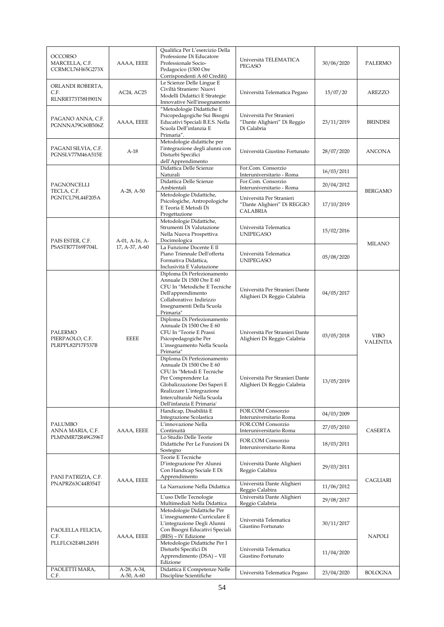| <b>OCCORSO</b><br>MARCELLA, C.F.<br>CCRMCL76H65G273X | AAAA, EEEE                | Qualifica Per L'esercizio Della<br>Professione Di Educatore<br>Professionale Socio-<br>Pedagocico (1500 Ore<br>Corrispondenti A 60 Crediti)                                                                                        | Università TELEMATICA<br>PEGASO                                                                  | 30/06/2020 | PALERMO                        |
|------------------------------------------------------|---------------------------|------------------------------------------------------------------------------------------------------------------------------------------------------------------------------------------------------------------------------------|--------------------------------------------------------------------------------------------------|------------|--------------------------------|
| ORLANDI ROBERTA,<br>C.F.<br>RLNRRT73T58H901N         | AC24, AC25                | Le Scienze Delle Lingue E<br>Civiltà Straniere: Nuovi<br>Modelli Didattici E Strategie<br>Innovative Nell'insegnamento                                                                                                             | Università Telematica Pegaso                                                                     | 15/07/20   | AREZZO                         |
| PAGANO ANNA, C.F.<br>PGNNNA79C60B506Z                | AAAA, EEEE                | "Metodologie Didattiche E<br>Psicopedagogiche Sui Bisogni<br>Educativi Speciali B.E.S. Nella<br>Scuola Dell'infanzia E<br>Primaria".                                                                                               | Università Per Stranieri<br>"Dante Alighieri" Di Reggio<br>Di Calabria                           | 23/11/2019 | <b>BRINDISI</b>                |
| PAGANI SILVIA, C.F.<br>PGNSLV77M46A515E              | $A-18$                    | Metodologie didattiche per<br>l'integrazione degli alunni con<br>Disturbi Specifici<br>dell'Apprendimento                                                                                                                          | Università Giustino Fortunato                                                                    | 28/07/2020 | <b>ANCONA</b>                  |
|                                                      |                           | Didattica Delle Scienze<br>Naturali                                                                                                                                                                                                | For.Com. Consorzio<br>Interuniversitario - Roma                                                  | 16/03/2011 |                                |
| PAGNONCELLI                                          |                           | Didattica Delle Scienze                                                                                                                                                                                                            | For.Com. Consorzio                                                                               | 20/04/2012 |                                |
| TECLA, C.F.<br>PGNTCL79L44F205A                      | $A-28$ , $A-50$           | Ambientali<br>Metodologie Didattiche,<br>Psicologiche, Antropologiche<br>E Teoria E Metodi Di<br>Progettazione                                                                                                                     | Interuniversitario - Roma<br>Università Per Stranieri<br>"Dante Alighieri" Di REGGIO<br>CALABRIA | 17/10/2019 | <b>BERGAMO</b>                 |
| PAIS ESTER, C.F.                                     | A-01, A-16, A-            | Metodologie Didattiche,<br>Strumenti Di Valutazione<br>Nella Nuova Prospettiva<br>Docimologica                                                                                                                                     | Università Telematica<br><b>UNIPEGASO</b>                                                        | 15/02/2016 | <b>MILANO</b>                  |
| PSASTR77T69F704L                                     | 17, A-37, A-60            | La Funzione Docente E Il<br>Piano Triennale Dell'offerta<br>Formativa Didattica,<br>Inclusività E Valutazione                                                                                                                      | Università Telematica<br><b>UNIPEGASO</b>                                                        | 05/08/2020 |                                |
| PALERMO<br>PIERPAOLO, C.F.<br>PLRPPL82P17F537B       | EEEE                      | Diploma Di Perfezionamento<br>Annuale Di 1500 Ore E 60<br>CFU In "Metodiche E Tecniche<br>Dell'apprendimento<br>Collaborativo: Indirizzo<br>Insegnamenti Della Scuola<br>Primaria"                                                 | Università Per Stranieri Dante<br>Alighieri Di Reggio Calabria                                   | 04/05/2017 | <b>VIBO</b><br><b>VALENTIA</b> |
|                                                      |                           | Diploma Di Perfezionamento<br>Annuale Di 1500 Ore E 60<br>CFU In "Teorie E Prassi<br>Psicopedagogiche Per<br>L'insegnamento Nella Scuola<br>Primaria"                                                                              | Università Per Stranieri Dante<br>Alighieri Di Reggio Calabria                                   | 03/05/2018 |                                |
|                                                      |                           | Diploma Di Perfezionamento<br>Annuale Di 1500 Ore E 60<br>CFU In "Metodi E Tecniche<br>Per Comprendere La<br>Globalizzazione Dei Saperi E<br>Realizzare L'integrazione<br>Interculturale Nella Scuola<br>Dell'infanzia E Primaria' | Università Per Stranieri Dante<br>Alighieri Di Reggio Calabria                                   | 13/05/2019 |                                |
|                                                      |                           | Handicap, Disabilità E<br>Integrazione Scolastica                                                                                                                                                                                  | FOR.COM Consorzio<br>Interuniversitario Roma                                                     | 04/03/2009 |                                |
| PALUMBO                                              |                           | L'innovazione Nella                                                                                                                                                                                                                | FOR.COM Consorzio                                                                                | 27/05/2010 |                                |
| ANNA MARIA, C.F.<br>PLMNMR72R49G596T                 | AAAA, EEEE                | Continuità<br>Lo Studio Delle Teorie<br>Didattiche Per Le Funzioni Di<br>Sostegno                                                                                                                                                  | Interuniversitario Roma<br>FOR.COM Consorzio<br>Interuniversitario Roma                          | 18/03/2011 | CASERTA                        |
| PANI PATRIZIA, C.F.                                  |                           | Teorie E Tecniche<br>D'integrazione Per Alunni<br>Con Handicap Sociale E Di<br>Apprendimento                                                                                                                                       | Università Dante Alighieri<br>Reggio Calabira                                                    | 29/03/2011 |                                |
| PNAPRZ63C44B354T                                     | AAAA, EEEE                | La Narrazione Nella Didattica                                                                                                                                                                                                      | Università Dante Alighieri<br>Reggio Calabira                                                    | 11/06/2012 | CAGLIARI                       |
|                                                      |                           | L'uso Delle Tecnologie                                                                                                                                                                                                             | Università Dante Alighieri                                                                       | 29/08/2017 |                                |
| PAOLELLA FELICIA,<br>C.F.                            | AAAA, EEEE                | Multimediali Nella Didattica<br>Metodologie Didattiche Per<br>L'insegnamento Curriculare E<br>L'integrazione Degli Alunni<br>Con Bisogni Educativi Speciali<br>(BES) – IV Edizione                                                 | Reggio Calabria<br>Università Telematica<br>Giustino Fortunato                                   | 30/11/2017 | NAPOLI                         |
| PLLFLC62E48L245H                                     |                           | Metodologie Didattiche Per I<br>Disturbi Specifici Di<br>Apprendimento (DSA) - VII<br>Edizione                                                                                                                                     | Università Telematica<br>Giustino Fortunato                                                      | 11/04/2020 |                                |
| PAOLETTI MARA,<br>C.F.                               | A-28, A-34,<br>A-50, A-60 | Didattica E Competenze Nelle<br>Discipline Scientifiche                                                                                                                                                                            | Università Telematica Pegaso                                                                     | 23/04/2020 | <b>BOLOGNA</b>                 |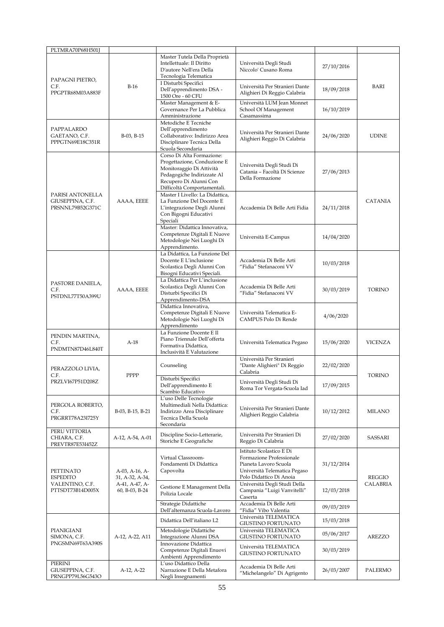| PLTMRA70P68H501J                                         |                                   |                                                                                                                                                                             |                                                                                                                                          |            |                |
|----------------------------------------------------------|-----------------------------------|-----------------------------------------------------------------------------------------------------------------------------------------------------------------------------|------------------------------------------------------------------------------------------------------------------------------------------|------------|----------------|
|                                                          |                                   | Master Tutela Della Proprietà<br>Intellettuale: Il Diritto<br>D'autore Nell'era Della<br>Tecnologia Telematica                                                              | Università Degli Studi<br>Niccolo' Cusano Roma                                                                                           | 27/10/2016 |                |
| PAPAGNI PIETRO,<br>C.F.<br>PPGPTR68M03A883F              | $B-16$                            | I Disturbi Specifici<br>Dell'apprendimento DSA -<br>1500 Ore - 60 CFU                                                                                                       | Università Per Stranieri Dante<br>Alighieri Di Reggio Calabria                                                                           | 18/09/2018 | <b>BARI</b>    |
|                                                          |                                   | Master Management & E-<br>Governance Per La Pubblica<br>Amministrazione                                                                                                     | Università LUM Jean Monnet<br>School Of Management<br>Casamassima                                                                        | 16/10/2019 |                |
| PAPPALARDO<br>GAETANO, C.F.<br>PPPGTN69E18C351R          | B-03, B-15                        | Metodiche E Tecniche<br>Dell'apprendimento<br>Collaborativo: Indirizzo Area<br>Disciplinare Tecnica Della<br>Scuola Secondaria                                              | Università Per Stranieri Dante<br>Alighieri Reggio Di Calabria                                                                           | 24/06/2020 | <b>UDINE</b>   |
|                                                          |                                   | Corso Di Alta Formazione:<br>Progettazione, Conduzione E<br>Monitoraggio Di Attività<br>Pedagogiche Indirizzate Al<br>Recupero Di Alunni Con<br>Difficoltà Comportamentali. | Università Degli Studi Di<br>Catania - Facoltà Di Scienze<br>Della Formazione                                                            | 27/06/2013 |                |
| PARISI ANTONELLA<br>GIUSEPPINA, C.F.<br>PRSNNL79B52G371C | AAAA, EEEE                        | Master I Livello: La Didattica,<br>La Funzione Del Docente E<br>L'integrazione Degli Alunni<br>Con Bigogni Educativi<br>Speciali                                            | Accademia Di Belle Arti Fidia                                                                                                            | 24/11/2018 | <b>CATANIA</b> |
|                                                          |                                   | Master: Didattica Innovativa,<br>Competenze Digitali E Nuove<br>Metodologie Nei Luoghi Di<br>Apprendimento.                                                                 | Università E-Campus                                                                                                                      | 14/04/2020 |                |
|                                                          |                                   | La Didattica, La Funzione Del<br>Docente E L'inclusione<br>Scolastica Degli Alunni Con<br>Bisogni Educativi Speciali.                                                       | Accademia Di Belle Arti<br>"Fidia" Stefanaconi VV                                                                                        | 10/03/2018 |                |
| PASTORE DANIELA,<br>C.F.<br>PSTDNL77T50A399U             | AAAA, EEEE                        | La Didattica Per L'inclusione<br>Scolastica Degli Alunni Con<br>Disturbi Specifici Di<br>Apprendimento-DSA                                                                  | Accademia Di Belle Arti<br>"Fidia" Stefanaconi VV                                                                                        | 30/03/2019 | <b>TORINO</b>  |
|                                                          |                                   | Didattica Innovativa,<br>Competenze Digitali E Nuove<br>Metodologie Nei Luoghi Di<br>Apprendimento                                                                          | Università Telematica E-<br>CAMPUS Polo Di Rende                                                                                         | 4/06/2020  |                |
| PENDIN MARTINA,<br>C.F.<br>PNDMTN87D46L840T              | $A-18$                            | La Funzione Docente E Il<br>Piano Triennale Dell'offerta<br>Formativa Didattica,<br>Inclusività E Valutazione                                                               | Università Telematica Pegaso                                                                                                             | 15/06/2020 | <b>VICENZA</b> |
| PERAZZOLO LIVIA,<br>C.F.                                 | PPPP                              | Counseling                                                                                                                                                                  | Università Per Stranieri<br>"Dante Alighieri" Di Reggio<br>Calabria                                                                      | 22/02/2020 | <b>TORINO</b>  |
| PRZLVI67P51D208Z                                         |                                   | Disturbi Specifici<br>Dell'apprendimento E<br>Scambio Educativo                                                                                                             | Università Degli Studi Di<br>Roma Tor Vergata-Scuola Iad                                                                                 | 17/09/2015 |                |
| PERGOLA ROBERTO,<br>C.F.<br>PRGRRT78A23I725Y             | B-03, B-15, B-21                  | L'uso Delle Tecnologie<br>Multimediali Nella Didattica:<br>Indirizzo Area Disciplinare<br>Tecnica Della Scuola<br>Secondaria                                                | Università Per Stranieri Dante<br>Alighieri Reggio Calabria                                                                              | 10/12/2012 | MILANO         |
| PERU VITTORIA<br>CHIARA, C.F.<br>PREVTR87E53I452Z        | A-12, A-54, A-01                  | Discipline Socio-Letterarie,<br>Storiche E Geografiche                                                                                                                      | Università Per Stranieri Di<br>Reggio Di Calabria                                                                                        | 27/02/2020 | SASSARI        |
| PETTINATO<br>ESPEDITO                                    | A-03, A-16, A-<br>31, A-32, A-34, | Virtual Classroom-<br>Fondamenti Di Didattica<br>Capovolta                                                                                                                  | Istituto Scolastico E Di<br>Formazione Professionale<br>Pianeta Lavoro Scuola<br>Università Telematica Pegaso<br>Polo Didattico Di Anoia | 31/12/2014 | REGGIO         |
| VALENTINO, C.F.<br>PTTSDT73B14D005X                      | A-41, A-47, A-<br>60, B-03, B-24  | Gestione E Management Della<br>Polizia Locale                                                                                                                               | Università Degli Studi Della<br>Campania "Luigi Vanvitelli"<br>Caserta                                                                   | 12/03/2018 | CALABRIA       |
|                                                          |                                   | Strategie Didattiche<br>Dell'alternanza Scuola-Lavoro                                                                                                                       | Accademia Di Belle Arti<br>"Fidia" Vibo Valentia                                                                                         | 09/03/2019 |                |
|                                                          |                                   | Didattica Dell'italiano L2                                                                                                                                                  | Università TELEMATICA<br>GIUSTINO FORTUNATO                                                                                              | 15/03/2018 |                |
| PIANIGIANI<br>SIMONA, C.F.                               | A-12, A-22, A11                   | Metodologie Didattiche<br>Integrazione Alunni DSA                                                                                                                           | Università TELEMATICA<br>GIUSTINO FORTUNATO                                                                                              | 05/06/2017 | AREZZO         |
| PNGSMN69T63A390S                                         |                                   | Innovazione Didattica<br>Competenze Digitali Enuovi<br>Ambienti Apprendimento                                                                                               | Università TELEMATICA<br>GIUSTINO FORTUNATO                                                                                              | 30/03/2019 |                |
| PIERINI<br>GIUSEPPINA, C.F.<br>PRNGPP79L56G543O          | A-12, A-22                        | L'uso Didattico Della<br>Narrazione E Della Metafora<br>Negli Insegnamenti                                                                                                  | Accademia Di Belle Arti<br>"Michelangelo" Di Agrigento                                                                                   | 26/03/2007 | <b>PALERMO</b> |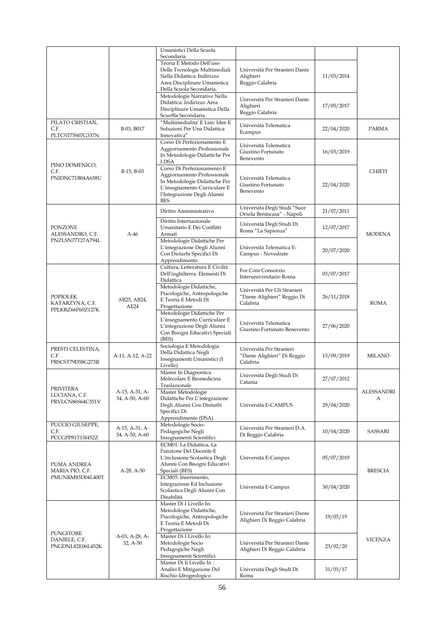|                                                        |                                  | Umanistici Della Scuola                                                                                                                                                 |                                                                         |            |                 |
|--------------------------------------------------------|----------------------------------|-------------------------------------------------------------------------------------------------------------------------------------------------------------------------|-------------------------------------------------------------------------|------------|-----------------|
|                                                        |                                  | Secondaria<br>Teoria E Metodo Dell'uso<br>Delle Tecnologie Multimediali<br>Nella Didattica: Indirizzo<br>Area Disciplinare Umanistica<br>Della Scuola Secondaria.       | Università Per Stranieri Dante<br>Alighieri<br>Reggio Calabria          | 11/03/2014 |                 |
|                                                        |                                  | Metodologie Narrative Nella<br>Didattica: Indirizzo Area<br>Disciplinare Umanistica Della<br>Scuo9la Secondaria.                                                        | Università Per Stranieri Dante<br>Alighieri<br>Reggio Calabria          | 17/05/2017 |                 |
| PILATO CRISTIAN,<br>C.F.<br>PLTCST73S07G337N           | B-03, B017                       | "Multimedialita' E Lim: Idee E<br>Soluzioni Per Una Didattica<br>Innovativa"                                                                                            | Università Telematica<br>Ecampus                                        | 22/04/2020 | PARMA           |
| PINO DOMENICO,                                         |                                  | Corso Di Perfezionamento E<br>Aggiornamento Professionale<br>In Metodologie Didattiche Per<br>I DSA                                                                     | Università Telematica<br>Giustino Fortunato<br>Benevento                | 16/03/2019 |                 |
| C.F.<br>PNIDNC71B04A638U                               | B-15, B-03                       | Corso Di Perfezionamento E<br>Aggiornamento Professionale<br>In Metodologie Didattiche Per<br>L'insegnamento Curriculare E<br>l'Integrazione Degli Alunni<br><b>BES</b> | Università Telematica<br>Giustino Fortunato<br>Benevento                | 22/04/2020 | <b>CHIETI</b>   |
|                                                        |                                  | Diritto Amministrativo                                                                                                                                                  | Università Degli Studi "Suor<br>Orsola Benincasa" - Napoli              | 21/07/2011 |                 |
| <b>PONZONE</b><br>ALESSANDRO, C.F.                     | $A-46$                           | Diritto Internazionale<br>Umanitario E Dei Conflitti<br>Armati                                                                                                          | Università Degli Studi Di<br>Roma "La Sapienza"                         | 12/07/2017 | <b>MODENA</b>   |
| PNZLSN77T27A794L                                       |                                  | Metodologie Didattiche Per<br>L'integrazione Degli Alunni<br>Con Disturbi Specifici Di<br>Apprendimento                                                                 | Università Telematica E-<br>Campus - Novedrate                          | 20/07/2020 |                 |
|                                                        | AB25, AB24,<br>AE24              | Cultura, Letteratura E Civiltà<br>Dell'inghilterra: Elementi Di<br>Didattica                                                                                            | For.Com Consorzio<br>Interuniversitario Roma                            | 03/07/2017 |                 |
| <b>POPIOLEK</b><br>KATARZYNA, C.F.<br>PPLKRZ66P60Z127K |                                  | Metodologie Didattiche,<br>Psicologiche, Antropologiche<br>E Teoria E Metodi Di<br>Progettazione                                                                        | Università Per Gli Stranieri<br>"Dante Alighieri" Reggio Di<br>Calabria | 26/11/2018 | <b>ROMA</b>     |
|                                                        |                                  | Metodologie Didattiche Per<br>L'insegnamento Curriculare E<br>L'integrazione Degli Alunni<br>Con Bisogni Educativi Speciali<br>(BES)                                    | Università Telematica<br>Giustino Fortunato Benevento                   | 27/06/2020 |                 |
| PRESTI CELESTINA,<br>C.F.<br>PRSCST79D58G273R          | A-11, A-12, A-22                 | Sociologia E Metodologia<br>Della Didattica Negli<br>Insegnamenti Umanistici (I<br>Livello)                                                                             | Università Per Stranieri<br>"Dante Alighieri" Di Reggio<br>Calabria     | 15/09/2019 | <b>MILANO</b>   |
|                                                        |                                  | Master In Diagnostica<br>Molecolare E Biomedicina<br>Traslazionale                                                                                                      | Università Degli Studi Di<br>Catania                                    | 27/07/2012 |                 |
| PRIVITERA<br>LUCIANA, C.F.<br>PRVLCN86S64C351V         | A-15, A-31, A-<br>34, A-50, A-60 | Master Metodologie<br>Didattiche Per L'integrazione<br>Degli Alunni Con Disturbi<br>Specifici Di<br>Apprendimento (DSA)                                                 | Università E-CAMPUS                                                     | 29/04/2020 | ALESSANDRI<br>А |
| PUCCIO GIUSEPPE,<br>C.F.<br>PCCGPP81T13I452Z           | A-15, A-31, A-<br>34, A-50, A-60 | Metodologie Socio-<br>Pedagogiche Negli<br>Insegnamenti Scientifici                                                                                                     | Università Per Stranieri D.A.<br>Di Reggio Calabria                     | 10/04/2020 | SASSARI         |
| PUMA ANDREA<br>MARIA PIO, C.F.                         | $A-28$ , $A-50$                  | ECM01: La Didattica, La<br>Funzione Del Docente E<br>L'inclusione Scolastica Degli<br>Alunni Con Bisogni Educativi<br>Speciali (BES)                                    | Università E-Campus                                                     | 05/07/2019 | <b>BRESCIA</b>  |
| PMUNRM83D04L400T                                       |                                  | ECM05: Inserimento,<br>Integrazione Ed Inclusione<br>Scolastica Degli Alunni Con<br>Disabilità                                                                          | Università E-Campus                                                     | 30/04/2020 |                 |
| <b>PUNGITORE</b>                                       |                                  | Master Di I Livello In:<br>Metodologie Didattiche,<br>Psicologiche, Antropologiche<br>E Teoria E Metodi Di<br>Progettazione                                             | Università Per Stranieri Dante<br>Alighieri Di Reggio Calabria          | 19/03/19   |                 |
| DANIELE, C.F.<br>PNGDNL82E06L452K                      | A-03, A-28, A-<br>32, A-50       | Master Di I Livello In:<br>Metodologie Socio<br>Pedagogiche Negli<br>Insegnamenti Scientifici                                                                           | Università Per Stranieri Dante<br>Alighieri Di Reggio Calabria          | 23/02/20   | <b>VICENZA</b>  |
|                                                        |                                  | Master Di Ii Livello In:<br>Analisi E Mitigazione Del<br>Rischio Idrogeologico                                                                                          | Università Degli Studi Di<br>Roma                                       | 31/03/17   |                 |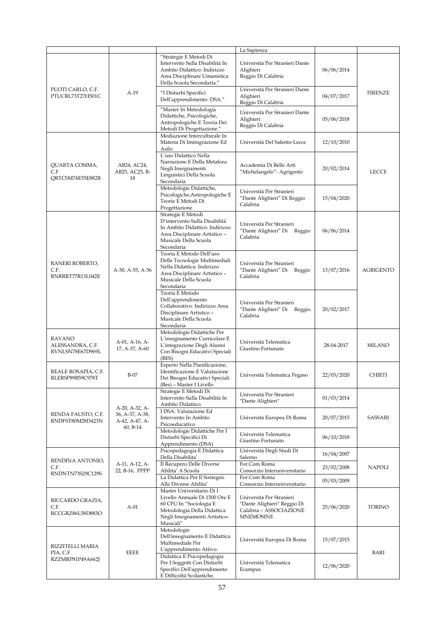|                                                       |                                               |                                                                                                                                                                    | La Sapienza                                                                                            |            |                  |
|-------------------------------------------------------|-----------------------------------------------|--------------------------------------------------------------------------------------------------------------------------------------------------------------------|--------------------------------------------------------------------------------------------------------|------------|------------------|
|                                                       |                                               | "Strategie E Metodi Di<br>Intervento Sulla Disabilità In<br>Ambito Didattico: Indirizzo<br>Area Disciplinare Umanistica<br>Della Scuola Secondaria."               | Università Per Stranieri Dante<br>Alighieri<br>Reggio Di Calabria                                      | 06/06/2014 |                  |
| PUOTI CARLO, C.F.<br>PTUCRL73T27H501C                 | $A-19$                                        | "I Disturbi Specifici<br>Dell'apprendimento: DSA."                                                                                                                 | Università Per Stranieri Dante<br>Alighieri<br>Reggio Di Calabria                                      | 04/07/2017 | <b>FIRENZE</b>   |
|                                                       |                                               | "Master In Metodologia<br>Didattiche, Psicologiche,<br>Antropologiche E Teoria Dei<br>Metodi Di Progettazione."                                                    | Università Per Stranieri Dante<br>Alighieri<br>Reggio Di Calabria                                      | 05/06/2018 |                  |
|                                                       |                                               | Mediazione Interculturale In<br>Materia Di Immigrazione Ed<br>Asilo                                                                                                | Università Del Salento-Lecce                                                                           | 12/10/2010 |                  |
| QUARTA COSIMA,<br>C.F.<br>ORTCSM74E55E882R            | AB24, AC24,<br>AB25, AC25, B-<br>18           | L'uso Didattico Nella<br>Narrazione E Della Metafora<br>Negli Insegnamenti<br>Linguistici Della Scuola<br>Secondaria                                               | Accademia Di Belle Arti<br>"Michelangelo" - Agrigento                                                  | 20/02/2014 | <b>LECCE</b>     |
|                                                       |                                               | Metodologie Didattiche,<br>Psicologiche, Antropologiche E<br>Teorie E Metodi Di<br>Progettazione                                                                   | Università Per Stranieri<br>"Dante Alighieri" Di Reggio<br>Calabria                                    | 15/04/2020 |                  |
|                                                       |                                               | Strategie E Metodi<br>D'intervento Sulla Disabilità<br>In Ambito Didattico: Indirizzo<br>Area Disciplinare Artistico -<br>Musicale Della Scuola<br>Secondaria      | Università Per Stranieri<br>"Dante Alighieri" Di Reggio<br>Calabria                                    | 06/06/2014 |                  |
| RANERI ROBERTO,<br>C.F.<br>RNRRRT77R13L042E           | A-30, A-55, A-56                              | Teoria E Metodo Dell'uso<br>Delle Tecnologie Multimediali<br>Nella Didattica: Indirizzo<br>Area Disciplinare Artistico -<br>Musicale Della Scuola<br>Secondaria    | Università Per Stranieri<br>"Dante Alighieri" Di Reggio<br>Calabria                                    | 13/07/2016 | <b>AGRIGENTO</b> |
|                                                       |                                               | Teoria E Metodo<br>Dell'apprendimento<br>Collaborativo: Indirizzo Area<br>Disciplinare Artistico -<br>Musicale Della Scuola<br>Secondaria                          | Università Per Stranieri<br>"Dante Alighieri" Di Reggio<br>Calabria                                    | 20/02/2017 |                  |
| <b>RAVANO</b><br>ALESSANDRA, C.F.<br>RVNLSN78E67D969L | A-01, A-16, A-<br>17, A-37, A-60              | Metodologie Didattiche Per<br>L'insegnamento Curricolare E<br>L'integrazione Degli Alunni<br>Con Bisogni Educativi Speciali<br>(BES)                               | Università Telematica<br>Giustino Fortunato                                                            | 28-04-2017 | MILANO           |
| REALE ROSAPIA, C.F.<br>RLERSP89B59C978T               | $B-07$                                        | Esperto Nella Pianificazione,<br>Identificazione E Valutazione<br>Dei Bisogni Educativi Speciali<br>(Bes) - Master I Livello                                       | Università Telematica Pegaso                                                                           | 22/03/2020 | <b>CHIETI</b>    |
|                                                       | A-20, A-32, A-                                | Strategie E Metodi Di<br>Intervento Sulla Disabilità In<br>Ambito Didattico                                                                                        | Università Per Stranieri<br>"Dante Alighieri"                                                          | 01/03/2014 |                  |
| RENDA FAUSTO, C.F.<br>RNDFST80M28D423N                | 36, A-37, A-38,<br>A-42, A-47, A-<br>60, B-14 | I DSA: Valutazione Ed<br>Intervento In Ambito<br>Psicoeducativo                                                                                                    | Università Europea Di Roma                                                                             | 20/07/2015 | SASSARI          |
|                                                       |                                               | Metodologie Didattiche Per I<br>Disturbi Specifici Di<br>Apprendimento (DSA)                                                                                       | Università Telematica<br>Giustino Fortunato                                                            | 06/10/2018 |                  |
| RENDINA ANTONIO,                                      |                                               | Psicopedagogia E Didattica<br>Della Disabilita'                                                                                                                    | Università Degli Studi Di<br>Salerno                                                                   | 16/04/2007 |                  |
| C.F.<br>RNDNTN73S29C129S                              | A-11, A-12, A-<br>22, B-16, PPPP              | Il Recupero Delle Diverse<br>Abilita' A Scuola                                                                                                                     | For.Com Roma<br>Consorzio Interuniversitario<br>For.Com Roma                                           | 23/02/2008 | <b>NAPOLI</b>    |
|                                                       |                                               | La Didattica Per Il Sostegno<br>Alle Diverse Abilita'                                                                                                              | Consorzio Interuniversitario                                                                           | 05/03/2009 |                  |
| RICCARDO GRAZIA,<br>C.F.<br>RCCGRZ86L58D883O          | $A-01$                                        | Master Universitario Di I<br>Livello Annuale Di 1500 Ore E<br>60 CFU In "Sociologia E<br>Metodologia Della Didattica<br>Negli Insegnamenti Artistico-<br>Musicali" | Università Per Stranieri<br>"Dante Alighieri" Reggio Di<br>Calabria - ASSOCIAZIONE<br><b>MNEMOSINE</b> | 25/06/2020 | <b>TORINO</b>    |
| RIZZITELLI MARIA                                      |                                               | Metodologie<br>Dell'insegnamento E Didattica<br>Multimediale Per<br>L'apprendimento Attivo.                                                                        | Università Europea Di Roma                                                                             | 15/07/2015 |                  |
| PIA, C.F.<br>RZZMRP81P49A662J                         | EEEE                                          | Didattica E Psicopedagogia<br>Per I Soggetti Con Disturbi<br>Specifici Dell'apprendimento<br>E Difficoltà Scolastiche.                                             | Università Telematica<br>Ecampus                                                                       | 12/06/2020 | BARI             |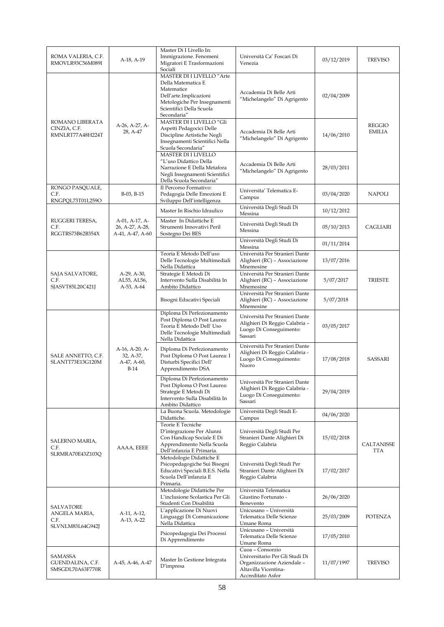| ROMA VALERIA, C.F.<br>RMOVLR93C56M089I              | A-18, A-19                                            | Master Di I Livello In:<br>Immigrazione. Fenomeni<br>Migratori E Trasformazioni<br>Sociali                                                                         | Università Ca' Foscari Di<br>Venezia                                                                                          | 03/12/2019 | <b>TREVISO</b>                 |
|-----------------------------------------------------|-------------------------------------------------------|--------------------------------------------------------------------------------------------------------------------------------------------------------------------|-------------------------------------------------------------------------------------------------------------------------------|------------|--------------------------------|
|                                                     |                                                       | MASTER DI I LIVELLO "Arte<br>Della Matematica E<br>Matematice<br>Dell'arte.Implicazioni<br>Metologiche Per Insegnamenti<br>Scientifici Della Scuola<br>Secondaria" | Accademia Di Belle Arti<br>"Michelangelo" Di Agrigento                                                                        | 02/04/2009 |                                |
| ROMANO LIBERATA<br>CINZIA, C.F.<br>RMNLRT77A48H224T | A-26, A-27, A-<br>28, A-47                            | MASTER DI I LIVELLO "Gli<br>Aspetti Pedagocici Delle<br>Discipline Artistiche Negli<br>Insegnamenti Scientifici Nella<br>Scuola Secondaria"                        | Accademia Di Belle Arti<br>"Michelangelo" Di Agrigento                                                                        | 14/06/2010 | <b>REGGIO</b><br><b>EMILIA</b> |
|                                                     |                                                       | <b>MASTER DI I LIVELLO</b><br>"L'uso Didattico Della<br>Narrazione E Della Metafora<br>Negli Insegnamenti Scientifici<br>Della Scuola Secondaria"                  | Accademia Di Belle Arti<br>"Michelangelo" Di Agrigento                                                                        | 28/03/2011 |                                |
| RONGO PASQUALE,<br>C.F.<br>RNGPQL73T01L259O         | B-03, B-15                                            | Il Percorso Formativo:<br>Pedagogia Delle Emozioni E<br>Sviluppo Dell'intelligenza                                                                                 | Universita' Telematica E-<br>Campus                                                                                           | 03/04/2020 | NAPOLI                         |
|                                                     |                                                       | Master In Rischio Idraulico                                                                                                                                        | Università Degli Studi Di<br>Messina                                                                                          | 10/12/2012 |                                |
| RUGGERI TERESA,<br>C.F.<br>RGGTRS73B62B354X         | A-01, A-17, A-<br>26, A-27, A-28,<br>A-41, A-47, A-60 | Master In Didattiche E<br>Strumenti Innovativi Peril<br>Sostegno Dei BES                                                                                           | Università Degli Studi Di<br>Messina                                                                                          | 05/10/2013 | CAGLIARI                       |
|                                                     |                                                       |                                                                                                                                                                    | Università Degli Studi Di<br>Messina                                                                                          | 01/11/2014 |                                |
|                                                     |                                                       | Teoria E Metodo Dell'uso<br>Delle Tecnologie Multimediali<br>Nella Didattica                                                                                       | Università Per Stranieri Dante<br>Alighieri (RC) - Associazione<br>Mnemosine                                                  | 13/07/2016 |                                |
| SAJA SALVATORE,<br>C.F.<br>SJASVT85L20C421J         | A-29, A-30,<br>AL55, AL56,<br>A-53, A-64              | Strategie E Metodi Di<br>Intervento Sulla Disabilità In<br>Ambito Didattico                                                                                        | Università Per Stranieri Dante<br>Alighieri (RC) - Associazione<br>Mnemosine                                                  | 5/07/2017  | <b>TRIESTE</b>                 |
|                                                     |                                                       | Bisogni Educativi Speciali                                                                                                                                         | Università Per Stranieri Dante<br>Alighieri (RC) - Associazione<br>Mnemosine                                                  | 5/07/2018  |                                |
|                                                     | A-16, A-20, A-<br>32, A-37,<br>A-47, A-60,<br>$B-14$  | Diploma Di Perfezionamento<br>Post Diploma O Post Laurea:<br>Teoria E Metodo Dell' Uso<br>Delle Tecnologie Multimediali<br>Nella Didattica                         | Università Per Stranieri Dante<br>Alighieri Di Reggio Calabria -<br>Luogo Di Conseguimento:<br>Sassari                        | 03/05/2017 | <b>SASSARI</b>                 |
| SALE ANNETTO, C.F.<br>SLANTT73E13G120M              |                                                       | Diploma Di Perfezionamento<br>Post Diploma O Post Laurea: I<br>Disturbi Specifici Dell'<br>Apprendimento DSA                                                       | Università Per Stranieri Dante<br>Alighieri Di Reggio Calabria -<br>Luogo Di Conseguimento:<br>Nuoro                          | 17/08/2018 |                                |
|                                                     |                                                       | Diploma Di Perfezionamento<br>Post Diploma O Post Laurea:<br>Strategie E Metodi Di<br>Intervento Sulla Disabilità In<br>Ambito Didattico                           | Università Per Stranieri Dante<br>Alighieri Di Reggio Calabria -<br>Luogo Di Conseguimento:<br>Sassari                        | 29/04/2019 |                                |
|                                                     |                                                       | La Buona Scuola. Metodologie<br>Didattiche.                                                                                                                        | Università Degli Studi E-<br>Campus                                                                                           | 04/06/2020 |                                |
| SALERNO MARIA,<br>C.F.<br>SLRMRA70E43Z103Q          | AAAA, EEEE                                            | Teorie E Tecniche<br>D'integrazione Per Alunni<br>Con Handicap Sociale E Di<br>Apprendimento Nella Scuola<br>Dell'infanzia E Primaria.                             | Università Degli Studi Per<br>Stranieri Dante Alighieri Di<br>Reggio Calabria                                                 | 15/02/2018 | CALTANISSE<br>TTA              |
|                                                     |                                                       | Metodologie Didattiche E<br>Psicopedagogiche Sui Bisogni<br>Educativi Speciali B.E.S. Nella<br>Scuola Dell'infanzia E<br>Primaria.                                 | Università Degli Studi Per<br>Stranieri Dante Alighieri Di<br>Reggio Calabria                                                 | 17/02/2017 |                                |
|                                                     |                                                       | Metodologie Didattiche Per<br>L'inclusione Scolastica Per Gli<br>Studenti Con Disabilità                                                                           | Università Telematica<br>Giustino Fortunato -<br>Benevento                                                                    | 26/06/2020 |                                |
| SALVATORE<br>ANGELA MARIA,<br>C.F.                  | A-11, A-12,<br>A-13, A-22                             | L'applicazione Di Nuovi<br>Linguaggi Di Comunicazione<br>Nella Didattica                                                                                           | Unicusano - Università<br>Telematica Delle Scienze<br>Umane Roma                                                              | 25/03/2009 | <b>POTENZA</b>                 |
| SLVNLM83L64G942J                                    |                                                       | Psicopedagogia Dei Processi<br>Di Apprendimento                                                                                                                    | Unicusano - Università<br>Telematica Delle Scienze<br>Umane Roma                                                              | 17/05/2010 |                                |
| SAMASSA<br>GUENDALINA, C.F.<br>SMSGDL70A63F770R     | A-45, A-46, A-47                                      | Master In Gestione Integrata<br>$D'$ impresa                                                                                                                       | Cuoa - Consorzio<br>Universitario Per Gli Studi Di<br>Organizzazione Aziendale -<br>Altavilla Vicentina-<br>Accreditato Asfor | 11/07/1997 | TREVISO                        |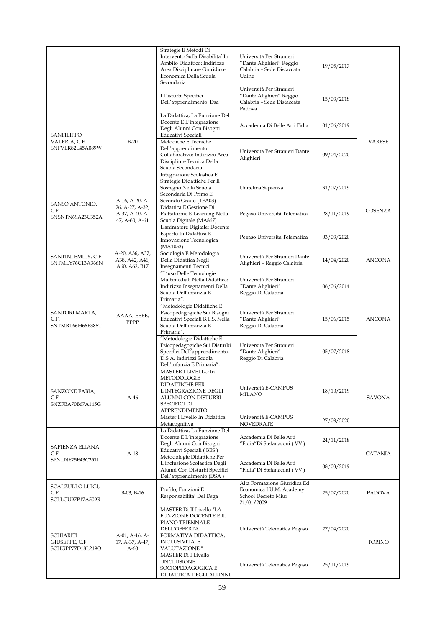|                                                        |                                                     | Strategie E Metodi Di<br>Intervento Sulla Disabilita' In<br>Ambito Didattico: Indirizzo<br>Area Disciplinare Giuridico-<br>Economica Della Scuola<br>Secondaria | Università Per Stranieri<br>"Dante Alighieri" Reggio<br>Calabria - Sede Distaccata<br>Udine<br>Università Per Stranieri | 19/05/2017 |                |
|--------------------------------------------------------|-----------------------------------------------------|-----------------------------------------------------------------------------------------------------------------------------------------------------------------|-------------------------------------------------------------------------------------------------------------------------|------------|----------------|
|                                                        |                                                     | I Disturbi Specifici<br>Dell'apprendimento: Dsa                                                                                                                 | "Dante Alighieri" Reggio<br>Calabria - Sede Distaccata<br>Padova                                                        | 15/03/2018 |                |
| SANFILIPPO                                             |                                                     | La Didattica, La Funzione Del<br>Docente E L'integrazione<br>Degli Alunni Con Bisogni<br>Educativi Speciali                                                     | Accademia Di Belle Arti Fidia                                                                                           | 01/06/2019 |                |
| VALERIA, C.F.<br>SNFVLR82L45A089W                      | $B-20$                                              | Metodiche E Tecniche<br>Dell'apprendimento<br>Collaborativo: Indirizzo Area<br>Disciplinre Tecnica Della<br>Scuola Secondaria                                   | Università Per Stranieri Dante<br>Alighieri                                                                             | 09/04/2020 | <b>VARESE</b>  |
|                                                        | A-16, A-20, A-                                      | Integrazione Scolastica E<br>Strategie Didattiche Per Il<br>Sostegno Nella Scuola<br>Secondaria Di Primo E<br>Secondo Grado (TFA03)                             | Unitelma Sapienza                                                                                                       | 31/07/2019 |                |
| SANSO ANTONIO,<br>C.F.<br>SNSNTN69A23C352A             | 26, A-27, A-32,<br>A-37, A-40, A-<br>47, A-60, A-61 | Didattica E Gestione Di<br>Piattaforme E-Learning Nella<br>Scuola Digitale (MA867)                                                                              | Pegaso Università Telematica                                                                                            | 28/11/2019 | COSENZA        |
|                                                        |                                                     | L'animatore Digitale: Docente<br>Esperto In Didattica E<br>Innovazione Tecnologica<br>(MA1053)                                                                  | Pegaso Università Telematica                                                                                            | 03/03/2020 |                |
| SANTINI EMILY, C.F.<br>SNTMLY76C13A366N                | A-20, A36, A37,<br>A38, A42, A46,<br>A60, A62, B17  | Sociologia E Metodologia<br>Della Didattica Negli<br>Insegnamenti Tecnici.                                                                                      | Università Per Stranieri Dante<br>Alighieri - Reggio Calabria                                                           | 14/04/2020 | <b>ANCONA</b>  |
|                                                        |                                                     | "L'uso Delle Tecnologie<br>Multimediali Nella Didattica:<br>Indirizzo Insegnamenti Della<br>Scuola Dell'infanzia E<br>Primaria".                                | Università Per Stranieri<br>"Dante Alighieri"<br>Reggio Di Calabria                                                     | 06/06/2014 |                |
| SANTORI MARTA,<br>C.F.<br>SNTMRT66H66E388T             | AAAA, EEEE,<br>PPPP                                 | "Metodologie Didattiche E<br>Psicopedagogiche Sui Bisogni<br>Educativi Speciali B.E.S. Nella<br>Scuola Dell'infanzia E<br>Primaria".                            | Università Per Stranieri<br>"Dante Alighieri"<br>Reggio Di Calabria                                                     | 15/06/2015 | <b>ANCONA</b>  |
|                                                        |                                                     | "Metodologie Didattiche E<br>Psicopedagogiche Sui Disturbi<br>Specifici Dell'apprendimento.<br>D.S.A. Indirizzi Scuola<br>Dell'infanzia E Primaria".            | Università Per Stranieri<br>"Dante Alighieri"<br>Reggio Di Calabria                                                     | 05/07/2018 |                |
| SANZONE FABIA,<br>C.F.<br>SNZFBA70B67A145G             | $A-46$                                              | MASTER I LIVELLO In<br>METODOLOGIE<br><b>DIDATTICHE PER</b><br>L'INTEGRAZIONE DEGLI<br>ALUNNI CON DISTURBI<br><b>SPECIFICI DI</b><br><b>APPRENDIMENTO</b>       | Università E-CAMPUS<br>MILANO                                                                                           | 18/10/2019 | <b>SAVONA</b>  |
|                                                        |                                                     | Master I Livello In Didattica<br>Metacognitiva                                                                                                                  | Università E-CAMPUS<br><b>NOVEDRATE</b>                                                                                 | 27/03/2020 |                |
| SAPIENZA ELIANA,<br>C.F.                               | $A-18$                                              | La Didattica, La Funzione Del<br>Docente E L'integrazione<br>Degli Alunni Con Bisogni<br>Educativi Speciali (BES)                                               | Accademia Di Belle Arti<br>"Fidia"Di Stefanaconi (VV)                                                                   | 24/11/2018 | <b>CATANIA</b> |
| SPNLNE75E43C351I                                       |                                                     | Metodologie Didattiche Per<br>L'inclusione Scolastica Degli<br>Alunni Con Disturbi Specifici<br>Dell'apprendimento (DSA)                                        | Accademia Di Belle Arti<br>"Fidia"Di Stefanaconi (VV)                                                                   | 08/03/2019 |                |
| SCALZULLO LUIGI,<br>C.F.<br>SCLLGU97P17A509R           | B-03, B-16                                          | Profilo, Funzioni E<br>Responsabilita' Del Dsga                                                                                                                 | Alta Formazione Giuridica Ed<br>Economica I.U.M. Academy<br>School Decreto Miur<br>21/01/2009                           | 25/07/2020 | PADOVA         |
| <b>SCHIARITI</b><br>GIUSEPPE, C.F.<br>SCHGPP77D18L219O | A-01, A-16, A-<br>17, A-37, A-47,<br>$A-60$         | MASTER Di II Livello "LA<br>FUNZIONE DOCENTE E IL<br>PIANO TRIENNALE<br><b>DELL'OFFERTA</b><br>FORMATIVA DIDATTICA,<br>INCLUSIVITA' E<br>VALUTAZIONE "          | Università Telematica Pegaso                                                                                            | 27/04/2020 | TORINO         |
|                                                        |                                                     | MASTER Di I Livello<br>"INCLUSIONE<br>SOCIOPEDAGOGICA E<br>DIDATTICA DEGLI ALUNNI                                                                               | Università Telematica Pegaso                                                                                            | 25/11/2019 |                |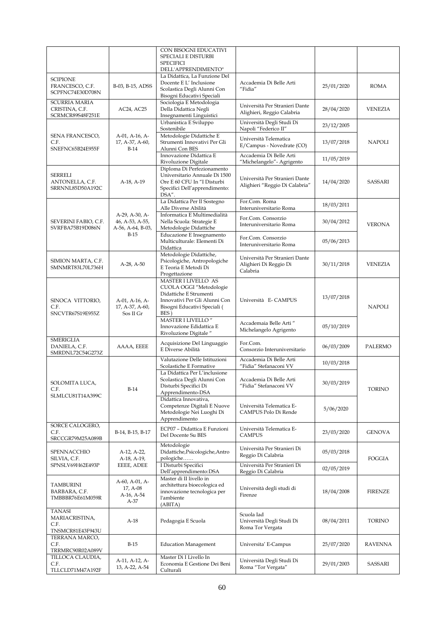|                                                             |                                                        | CON BISOGNI EDUCATIVI<br>SPECIALI E DISTURBI<br><b>SPECIFICI</b><br>DELL'APPRENDIMENTO"                                                           |                                                                      |            |                |
|-------------------------------------------------------------|--------------------------------------------------------|---------------------------------------------------------------------------------------------------------------------------------------------------|----------------------------------------------------------------------|------------|----------------|
| <b>SCIPIONE</b><br>FRANCESCO, C.F.<br>SCPFNC74E30D708N      | B-03, B-15, ADSS                                       | La Didattica, La Funzione Del<br>Docente E L'Inclusione<br>Scolastica Degli Alunni Con<br>Bisogni Educativi Speciali                              | Accademia Di Belle Arti<br>"Fidia"                                   | 25/01/2020 | ROMA           |
| <b>SCURRIA MARIA</b><br>CRISTINA, C.F.<br>SCRMCR89S48F251E  | AC24, AC25                                             | Sociologia E Metodologia<br>Della Didattica Negli<br>Insegnamenti Linguistici                                                                     | Università Per Stranieri Dante<br>Alighieri, Reggio Calabria         | 28/04/2020 | <b>VENEZIA</b> |
|                                                             |                                                        | Urbanistica E Sviluppo<br>Sostenibile                                                                                                             | Università Degli Studi Di<br>Napoli "Federico II"                    | 23/12/2005 |                |
| SENA FRANCESCO,<br>C.F.<br>SNEFNC65B24E955F                 | A-01, A-16, A-<br>17, A-37, A-60,<br>$B-14$            | Metodologie Didattiche E<br>Strumenti Innovativi Per Gli<br>Alunni Con BES                                                                        | Università Telematica<br>E/Campus - Novedrate (CO)                   | 13/07/2018 | <b>NAPOLI</b>  |
|                                                             |                                                        | Innovazione Didattica E<br>Rivoluzione Digitale                                                                                                   | Accademia Di Belle Arti<br>"Michelangelo" - Agrigento                | 11/05/2019 |                |
| <b>SERRELI</b><br>ANTONELLA, C.F.<br>SRRNNL85D50A192C       | A-18, A-19                                             | Diploma Di Perfezionamento<br>Universitario Annuale Di 1500<br>Ore E 60 CFU In "I Disturbi<br>Specifici Dell'apprendimento:<br>DSA".              | Università Per Stranieri Dante<br>Alighieri "Reggio Di Calabria"     | 14/04/2020 | SASSARI        |
|                                                             |                                                        | La Didattica Per Il Sostegno<br>Alle Diverse Abilità                                                                                              | For.Com. Roma<br>Interuniversitario Roma                             | 18/03/2011 |                |
| SEVERINI FABIO, C.F.<br>SVRFBA75B19D086N                    | A-29, A-30, A-<br>46, A-53, A-55,<br>A-56, A-64, B-03, | Informatica E Multimedialità<br>Nella Scuola: Strategie E<br>Metodologie Didattiche                                                               | For.Com. Consorzio<br>Interuniversitario Roma                        | 30/04/2012 | <b>VERONA</b>  |
|                                                             | $B-15$                                                 | Educazione E Insegnamento<br>Multiculturale: Elementi Di<br>Didattica                                                                             | For.Com. Consorzio<br>Interuniversitario Roma                        | 05/06/2013 |                |
| SIMION MARTA, C.F.<br>SMNMRT83L70L736H                      | $A-28$ , $A-50$                                        | Metodologie Didattiche,<br>Psicologiche, Antropologiche<br>E Teoria E Metodi Di<br>Progettazione                                                  | Università Per Stranieri Dante<br>Alighieri Di Reggio Di<br>Calabria | 30/11/2018 | VENEZIA        |
| SINOCA VITTORIO,<br>C.F.<br>SNCVTR67S19E955Z                | A-01, A-16, A-<br>17, A-37, A-60,<br>Sos II Gr         | MASTER I LIVELLO AS<br>CUOLA OGGI "Metodologie<br>Didattiche E Strumenti<br>Innovativi Per Gli Alunni Con<br>Bisogni Educativi Speciali (<br>BES) | Università E-CAMPUS                                                  | 13/07/2018 | <b>NAPOLI</b>  |
|                                                             |                                                        | MASTER I LIVELLO "<br>Innovazione Edidattica E<br>Rivoluzione Digitale"                                                                           | Accademaia Belle Arti "<br>Michelangelo Agrigento                    | 05/10/2019 |                |
| <b>SMERIGLIA</b><br>DANIELA, C.F.<br>SMRDNL72C54G273Z       | AAAA, EEEE                                             | Acquisizione Del Linguaggio<br>E Diverse Abilità                                                                                                  | For.Com.<br>Consorzio Interuniversitario                             | 06/03/2009 | <b>PALERMO</b> |
|                                                             |                                                        | Valutazione Delle Istituzioni<br>Scolastiche E Formative                                                                                          | Accademia Di Belle Arti<br>"Fidia" Stefanaconi VV                    | 10/03/2018 |                |
| SOLOMITA LUCA,<br>C.F.<br>SLMLCU81T14A399C                  | $B-14$                                                 | La Didattica Per L'inclusione<br>Scolastica Degli Alunni Con<br>Disturbi Specifici Di<br>Apprendimento-DSA                                        | Accademia Di Belle Arti<br>"Fidia" Stefanaconi VV                    | 30/03/2019 | <b>TORINO</b>  |
|                                                             |                                                        | Didattica Innovativa,<br>Competenze Digitali E Nuove<br>Metodologie Nei Luoghi Di<br>Apprendimento                                                | Università Telematica E-<br>CAMPUS Polo Di Rende                     | 5/06/2020  |                |
| SORCE CALOGERO,<br>C.F.<br>SRCCGR79M25A089B                 | B-14, B-15, B-17                                       | ECP07 - Didattica E Funzioni<br>Del Docente Su BES                                                                                                | Università Telematica E-<br><b>CAMPUS</b>                            | 23/03/2020 | <b>GENOVA</b>  |
| SPENNACCHIO<br>SILVIA, C.F.                                 | A-12, A-22,<br>A-18, A-19,                             | Metodologie<br>Didattiche, Psicologiche, Antro<br>pologiche                                                                                       | Università Per Stranieri Di<br>Reggio Di Calabria                    | 05/03/2018 | FOGGIA         |
| SPNSLV69H62E493P                                            | EEEE, ADEE                                             | I Disturbi Specifici<br>Dell'apprendimento:DSA                                                                                                    | Università Per Stranieri Di<br>Reggio Di Calabria                    | 02/05/2019 |                |
| TAMBURINI<br>BARBARA, C.F.<br>TMBBBR76E61M059R              | A-60, A-01, A-<br>17, A-08<br>A-16, A-54<br>A-37       | Master di II livello in<br>architettura bioecologica ed<br>innovazione tecnologica per<br><i>l'ambiente</i><br>(ABITA)                            | Università degli studi di<br>Firenze                                 | 18/04/2008 | <b>FIRENZE</b> |
| <b>TANASI</b><br>MARIACRISTINA,<br>C.F.<br>TNSMCR81E43F943U | $A-18$                                                 | Pedagogia E Scuola                                                                                                                                | Scuola Iad<br>Università Degli Studi Di<br>Roma Tor Vergata          | 08/04/2011 | TORINO         |
| TERRANA MARCO,<br>C.F.<br>TRRMRC90R02A089V                  | $B-15$                                                 | <b>Education Management</b>                                                                                                                       | Universita' E-Campus                                                 | 25/07/2020 | <b>RAVENNA</b> |
| TILLOCA CLAUDIA,<br>C.F.<br>TLLCLD71M47A192F                | A-11, A-12, A-<br>13, A-22, A-54                       | Master Di I Livello In<br>Economia E Gestione Dei Beni<br>Culturali                                                                               | Università Degli Studi Di<br>Roma "Tor Vergata"                      | 29/01/2003 | SASSARI        |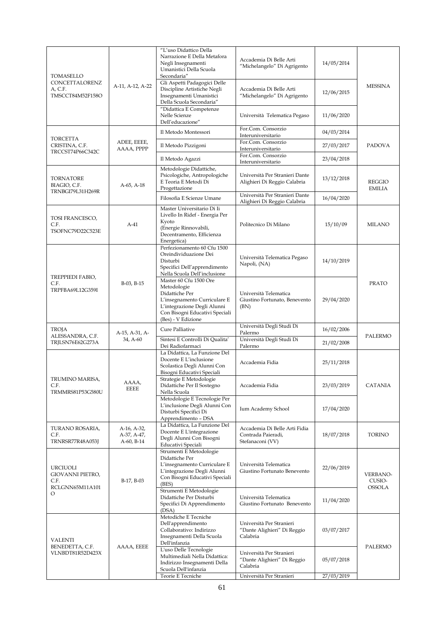| TOMASELLO                                                    |                                          | "L'uso Didattico Della<br>Narrazione E Della Metafora<br>Negli Insegnamenti<br>Umanistici Della Scuola<br>Secondaria"                                                          | Accademia Di Belle Arti<br>"Michelangelo" Di Agrigento                  | 14/05/2014 | <b>MESSINA</b>                 |
|--------------------------------------------------------------|------------------------------------------|--------------------------------------------------------------------------------------------------------------------------------------------------------------------------------|-------------------------------------------------------------------------|------------|--------------------------------|
| CONCETTALORENZ<br>A, C.F.<br>TMSCCT84M52F158O                | A-11, A-12, A-22                         | Gli Aspetti Padagogici Delle<br>Discipline Artistiche Negli<br>Insegnamenti Umanistici<br>Della Scuola Secondaria"                                                             | Accademia Di Belle Arti<br>"Michelangelo" Di Agrigento                  | 12/06/2015 |                                |
|                                                              |                                          | "Didattica E Competenze<br>Nelle Scienze<br>Dell'educazione"                                                                                                                   | Università Telematica Pegaso                                            | 11/06/2020 |                                |
| <b>TORCETTA</b>                                              |                                          | Il Metodo Montessori                                                                                                                                                           | For.Com. Consorzio<br>Interuniversitario                                | 04/03/2014 |                                |
| CRISTINA, C.F.<br>TRCCST74P66C342C                           | ADEE, EEEE,<br>AAAA, PPPP                | Il Metodo Pizzigoni                                                                                                                                                            | For.Com. Consorzio<br>Interuniversitario                                | 27/03/2017 | PADOVA                         |
|                                                              |                                          | Il Metodo Agazzi                                                                                                                                                               | For.Com. Consorzio<br>Interuniversitario                                | 23/04/2018 |                                |
| TORNATORE<br>BIAGIO, C.F.<br>TRNBGI79L31H269R                | A-65, A-18                               | Metodologie Didattiche,<br>Psicologiche, Antropologiche<br>E Teoria E Metodi Di<br>Progettazione                                                                               | Università Per Stranieri Dante<br>Alighieri Di Reggio Calabria          | 13/12/2018 | <b>REGGIO</b><br><b>EMILIA</b> |
|                                                              |                                          | Filosofia E Scienze Umane                                                                                                                                                      | Università Per Stranieri Dante<br>Alighieri Di Reggio Calabria          | 16/04/2020 |                                |
| TOSI FRANCESCO,<br>C.F.<br>TSOFNC79D22C523E                  | $A-41$                                   | Master Universitario Di Ii<br>Livello In Ridef - Energia Per<br>Kyoto<br>(Energie Rinnovabili,<br>Decentramento, Efficienza<br>Energetica)                                     | Politecnico Di Milano                                                   | 15/10/09   | <b>MILANO</b>                  |
|                                                              | B-03, B-15                               | Perfezionamento 60 Cfu 1500<br>Oreindividuazione Dei<br>Disturbi<br>Specifici Dell'apprendimento<br>Nella Scuola Dell'inclusione                                               | Università Telematica Pegaso<br>Napoli, (NA)                            | 14/10/2019 | <b>PRATO</b>                   |
| TREPPIEDI FABIO,<br>C.F.<br>TRPFBA69L12G359I                 |                                          | Master 60 Cfu 1500 Ore<br>Metodologie<br>Didattiche Per<br>L'insegnamento Curriculare E<br>L'integrazione Degli Alunni<br>Con Bisogni Educativi Speciali<br>(Bes) - V Edizione | Università Telematica<br>Giustino Fortunato, Benevento<br>(BN)          | 29/04/2020 |                                |
| <b>TROJA</b>                                                 | A-15, A-31, A-                           | Cure Palliative                                                                                                                                                                | Università Degli Studi Di<br>Palermo                                    | 16/02/2006 | PALERMO                        |
| ALESSANDRA, C.F.<br>TRJLSN76E62G273A                         | 34, A-60                                 | Sintesi E Controlli Di Qualita'<br>Dei Radiofarmaci                                                                                                                            | Università Degli Studi Di<br>Palermo                                    | 21/02/2008 |                                |
|                                                              | AAAA,<br><b>EEEE</b>                     | La Didattica, La Funzione Del<br>Docente E L'inclusione<br>Scolastica Degli Alunni Con<br>Bisogni Educativi Speciali                                                           | Accademia Fidia                                                         | 25/11/2018 |                                |
| TRUMINO MARISA,<br>C.F.<br><b>TRMMRS81P53G580U</b>           |                                          | Strategie E Metodologie<br>Didattiche Per Il Sostegno<br>Nella Scuola                                                                                                          | Accademia Fidia                                                         | 23/03/2019 | CATANIA                        |
|                                                              |                                          | Metodologie E Tecnologie Per<br>L'inclusione Degli Alunni Con<br>Disturbi Specifici Di<br>Apprendimento - DSA                                                                  | Ium Academy School                                                      | 17/04/2020 |                                |
| TURANO ROSARIA,<br>C.F.<br>TRNRSR77R48A053J                  | A-16, A-32,<br>A-37, A-47,<br>A-60, B-14 | La Didattica, La Funzione Del<br>Docente E L'integrazione<br>Degli Alunni Con Bisogni<br>Educativi Speciali                                                                    | Accademia Di Belle Arti Fidia<br>Contrada Paieradi,<br>Stefanaconi (VV) | 18/07/2018 | TORINO                         |
| URCIUOLI<br>GIOVANNI PIETRO,<br>C.F.<br>RCLGNN65M11A101<br>O | B-17, B-03                               | Strumenti E Metodologie<br>Didattiche Per<br>L'insegnamento Curriculare E<br>L'integrazione Degli Alunni<br>Con Bisogni Educativi Speciali<br>(BES)                            | Università Telematica<br>Giustino Fortunato Benevento                   | 22/06/2019 | <b>VERBANO-</b><br>CUSIO-      |
|                                                              |                                          | Strumenti E Metodologie<br>Didattiche Per Disturbi<br>Specifici Di Apprendimento<br>(DSA)                                                                                      | Università Telematica<br>Giustino Fortunato Benevento                   | 11/04/2020 | <b>OSSOLA</b>                  |
| <b>VALENTI</b><br>BENEDETTA, C.F.                            | AAAA, EEEE                               | Metodiche E Tecniche<br>Dell'apprendimento<br>Collaborativo: Indirizzo<br>Insegnamenti Della Scuola<br>Dell'infanzia                                                           | Università Per Stranieri<br>"Dante Alighieri" Di Reggio<br>Calabria     | 03/07/2017 | PALERMO                        |
| VLNBDT81R52D423X                                             |                                          | L'uso Delle Tecnologie<br>Multimediali Nella Didattica:<br>Indirizzo Insegnamenti Della<br>Scuola Dell'infanzia                                                                | Università Per Stranieri<br>"Dante Alighieri" Di Reggio<br>Calabria     | 05/07/2018 |                                |
|                                                              |                                          | Teorie E Tecniche                                                                                                                                                              | Università Per Stranieri                                                | 27/03/2019 |                                |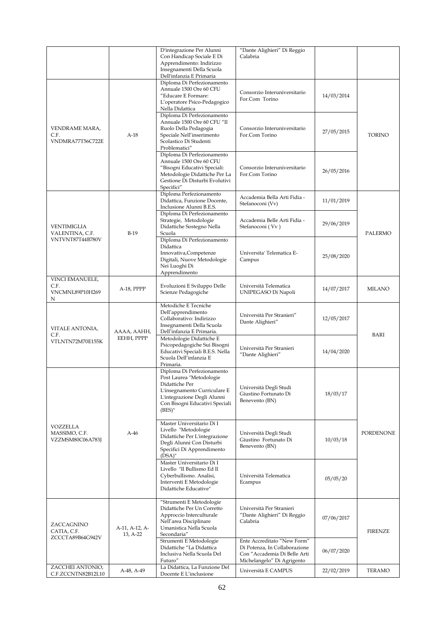|                                        |                | D'integrazione Per Alunni                                       | "Dante Alighieri" Di Reggio                     |            |                  |
|----------------------------------------|----------------|-----------------------------------------------------------------|-------------------------------------------------|------------|------------------|
|                                        |                | Con Handicap Sociale E Di                                       | Calabria                                        |            |                  |
|                                        |                | Apprendimento: Indirizzo                                        |                                                 |            |                  |
|                                        |                | Insegnamenti Della Scuola<br>Dell'infanzia E Primaria           |                                                 |            |                  |
|                                        |                | Diploma Di Perfezionamento                                      |                                                 |            |                  |
|                                        |                | Annuale 1500 Ore 60 CFU                                         | Consorzio Interuniversitario                    |            |                  |
|                                        |                | "Educare E Formare:                                             | For.Com Torino                                  | 14/03/2014 |                  |
|                                        |                | L'operatore Psico-Pedagogico                                    |                                                 |            |                  |
|                                        |                | Nella Didattica<br>Diploma Di Perfezionamento                   |                                                 |            |                  |
|                                        |                | Annuale 1500 Ore 60 CFU "Il                                     |                                                 |            |                  |
| VENDRAME MARA,                         |                | Ruolo Della Pedagogia                                           | Consorzio Interuniversitario                    | 27/05/2015 |                  |
| C.F.                                   | $A-18$         | Speciale Nell'inserimento                                       | For.Com Torino                                  |            | <b>TORINO</b>    |
| VNDMRA77T56C722E                       |                | Scolastico Di Studenti<br>Problematici"                         |                                                 |            |                  |
|                                        |                | Diploma Di Perfezionamento                                      |                                                 |            |                  |
|                                        |                | Annuale 1500 Ore 60 CFU                                         |                                                 |            |                  |
|                                        |                | "Bisogni Educativi Speciali:                                    | Consorzio Interuniversitario                    | 26/05/2016 |                  |
|                                        |                | Metodologie Didattiche Per La<br>Gestione Di Disturbi Evolutivi | For.Com Torino                                  |            |                  |
|                                        |                | Specifici"                                                      |                                                 |            |                  |
|                                        |                | Diploma Perfezionamento                                         | Accademia Bella Arti Fidia -                    |            |                  |
|                                        |                | Didattica, Funzione Docente,                                    | Stefanoconi (Vv)                                | 11/01/2019 |                  |
|                                        |                | Inclusione Alunni B.E.S.                                        |                                                 |            |                  |
|                                        |                | Diploma Di Perfezionamento<br>Strategie, Metodologie            | Accademia Belle Arti Fidia -                    |            |                  |
| VENTIMIGLIA                            |                | Didattiche Sostegno Nella                                       | Stefanoconi (Vv)                                | 29/06/2019 |                  |
| VALENTINA, C.F.                        | $B-19$         | Scuola                                                          |                                                 |            | PALERMO          |
| VNTVNT87T44B780V                       |                | Diploma Di Perfezionamento<br>Didattica                         |                                                 |            |                  |
|                                        |                | Innovativa, Competenze                                          | Universita' Telematica E-                       |            |                  |
|                                        |                | Digitali, Nuove Metodologie                                     | Campus                                          | 25/08/2020 |                  |
|                                        |                | Nei Luoghi Di                                                   |                                                 |            |                  |
|                                        |                | Apprendimento                                                   |                                                 |            |                  |
| VINCI EMANUELE,<br>C.F.                |                | Evoluzioni E Sviluppo Delle                                     | Università Telematica                           |            |                  |
| VNCMNL89P10H269                        | A-18, PPPP     | Scienze Pedagogiche                                             | UNIPEGASO Di Napoli                             | 14/07/2017 | <b>MILANO</b>    |
| N                                      |                |                                                                 |                                                 |            |                  |
|                                        |                | Metodiche E Tecniche                                            |                                                 |            |                  |
|                                        |                | Dell'apprendimento<br>Collaborativo: Indirizzo                  | Università Per Stranieri"                       | 12/05/2017 |                  |
|                                        |                | Insegnamenti Della Scuola                                       | Dante Alighieri"                                |            |                  |
| VITALE ANTONIA,<br>C.F.                | AAAA, AAHH,    | Dell'infanzia E Primaria.                                       |                                                 |            | BARI             |
| VTLNTN72M70E155K                       | EEHH, PPPP     | Metodologie Didattiche E                                        |                                                 |            |                  |
|                                        |                | Psicopedagogiche Sui Bisogni<br>Educativi Speciali B.E.S. Nella | Università Per Stranieri                        | 14/04/2020 |                  |
|                                        |                | Scuola Dell'infanzia E                                          | "Dante Alighieri"                               |            |                  |
|                                        |                | Primaria.                                                       |                                                 |            |                  |
|                                        |                | Diploma Di Perfezionamento                                      |                                                 |            |                  |
|                                        |                | Post Laurea "Metodologie<br>Didattiche Per                      |                                                 |            |                  |
|                                        |                | L'insegnamento Curriculare E                                    | Università Degli Studi<br>Giustino Fortunato Di | 18/03/17   |                  |
|                                        |                | L'integrazione Degli Alunni                                     | Benevento (BN)                                  |            |                  |
|                                        |                | Con Bisogni Educativi Speciali<br>$(BES)^"$                     |                                                 |            |                  |
|                                        |                |                                                                 |                                                 |            |                  |
| VOZZELLA                               |                | Master Universitario Di I                                       |                                                 |            |                  |
| MASSIMO, C.F.                          | $A-46$         | Livello "Metodologie                                            | Università Degli Studi                          |            | <b>PORDENONE</b> |
| VZZMSM80C06A783J                       |                | Didattiche Per L'integrazione<br>Degli Alunni Con Disturbi      | Giustino Fortunato Di                           | 10/03/18   |                  |
|                                        |                | Specifici Di Apprendimento                                      | Benevento (BN)                                  |            |                  |
|                                        |                | $(DSA)$ "                                                       |                                                 |            |                  |
|                                        |                | Master Universitario Di I                                       |                                                 |            |                  |
|                                        |                | Livello "Il Bullismo Ed Il<br>Cyberbullismo. Analisi,           | Università Telematica                           |            |                  |
|                                        |                | Interventi E Metodologie                                        | Ecampus                                         | 05/05/20   |                  |
|                                        |                | Didattiche Educative"                                           |                                                 |            |                  |
|                                        |                |                                                                 |                                                 |            |                  |
|                                        |                | "Strumenti E Metodologie<br>Didattiche Per Un Corretto          | Università Per Stranieri                        |            |                  |
|                                        |                | Approccio Interculturale                                        | "Dante Alighieri" Di Reggio                     |            |                  |
| ZACCAGNINO                             |                | Nell'area Disciplinare                                          | Calabria                                        | 07/06/2017 |                  |
| CATIA, C.F.                            | A-11, A-12, A- | Umanistica Nella Scuola                                         |                                                 |            | <b>FIRENZE</b>   |
| ZCCCTA89B64G942V                       | 13, A-22       | Secondaria"<br>Strumenti E Metodologie                          | Ente Accreditato "New Form"                     |            |                  |
|                                        |                | Didattiche "La Didattica                                        | Di Potenza, In Collaborazione                   |            |                  |
|                                        |                | Inclusiva Nella Scuola Del                                      | Con "Accademia Di Belle Arti                    | 06/07/2020 |                  |
|                                        |                | Futuro"                                                         | Michelangelo" Di Agrigento                      |            |                  |
| ZACCHEI ANTONIO,<br>C.F.ZCCNTN82B12L10 | A-48, A-49     | La Didattica, La Funzione Del<br>Docente E L'inclusione         | Università E CAMPUS                             | 22/02/2019 | <b>TERAMO</b>    |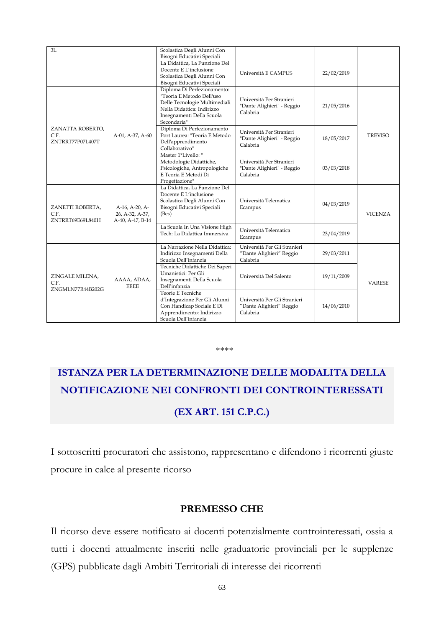| 3L                                           |                                                       | Scolastica Degli Alunni Con<br>Bisogni Educativi Speciali                                                                                                           |                                                                      |            |                |
|----------------------------------------------|-------------------------------------------------------|---------------------------------------------------------------------------------------------------------------------------------------------------------------------|----------------------------------------------------------------------|------------|----------------|
|                                              |                                                       | La Didattica, La Funzione Del<br>Docente E L'inclusione<br>Scolastica Degli Alunni Con<br>Bisogni Educativi Speciali                                                | Università E CAMPUS                                                  | 22/02/2019 |                |
|                                              |                                                       | Diploma Di Perfezionamento:<br>"Teoria E Metodo Dell'uso<br>Delle Tecnologie Multimediali<br>Nella Didattica: Indirizzo<br>Insegnamenti Della Scuola<br>Secondaria" | Università Per Stranieri<br>"Dante Alighieri" - Reggio<br>Calabria   | 21/05/2016 | <b>TREVISO</b> |
| ZANATTA ROBERTO,<br>C.F.<br>ZNTRRT77P07L407T | A-01, A-37, A-60                                      | Diploma Di Perfezionamento<br>Port Laurea: "Teoria E Metodo<br>Dell'apprendimento<br>Collaborativo"                                                                 | Università Per Stranieri<br>"Dante Alighieri" - Reggio<br>Calabria   | 18/05/2017 |                |
|                                              |                                                       | Master 1°Livello: "<br>Metodologie Didattiche,<br>Psicologiche, Antropologiche<br>E Teoria E Metodi Di<br>Progettazione"                                            | Università Per Stranieri<br>"Dante Alighieri" - Reggio<br>Calabria   | 03/03/2018 |                |
| ZANETTI ROBERTA,<br>C.F.<br>ZNTRRT69E69L840H | A-16, A-20, A-<br>26, A-32, A-37,<br>A-40, A-47, B-14 | La Didattica. La Funzione Del<br>Docente E L'inclusione<br>Scolastica Degli Alunni Con<br>Bisogni Educativi Speciali<br>(Bes)                                       | Università Telematica<br>Ecampus                                     | 04/03/2019 | <b>VICENZA</b> |
|                                              |                                                       | La Scuola In Una Visione High<br>Tech: La Didattica Immersiva                                                                                                       | Università Telematica<br>Ecampus                                     | 23/04/2019 |                |
|                                              |                                                       | La Narrazione Nella Didattica:<br>Indirizzo Insegnamenti Della<br>Scuola Dell'infanzia                                                                              | Università Per Gli Stranieri<br>"Dante Alighieri" Reggio<br>Calabria | 29/03/2011 |                |
| ZINGALE MILENA,<br>C.F.<br>ZNGMLN77R44B202G  | AAAA, ADAA,<br><b>EEEE</b>                            | Tecniche Didattiche Dei Saperi<br>Umanistici: Per Gli<br>Insegnamenti Della Scuola<br>Dell'infanzia                                                                 | Università Del Salento                                               | 19/11/2009 | <b>VARESE</b>  |
|                                              |                                                       | Teorie E Tecniche<br>d'Integrazione Per Gli Alunni<br>Con Handicap Sociale E Di<br>Apprendimento: Indirizzo<br>Scuola Dell'infanzia                                 | Università Per Gli Stranieri<br>"Dante Alighieri" Reggio<br>Calabria | 14/06/2010 |                |

#### \*\*\*\*

# **ISTANZA PER LA DETERMINAZIONE DELLE MODALITA DELLA NOTIFICAZIONE NEI CONFRONTI DEI CONTROINTERESSATI**

## **(EX ART. 151 C.P.C.)**

I sottoscritti procuratori che assistono, rappresentano e difendono i ricorrenti giuste procure in calce al presente ricorso

## **PREMESSO CHE**

Il ricorso deve essere notificato ai docenti potenzialmente controinteressati, ossia a tutti i docenti attualmente inseriti nelle graduatorie provinciali per le supplenze (GPS) pubblicate dagli Ambiti Territoriali di interesse dei ricorrenti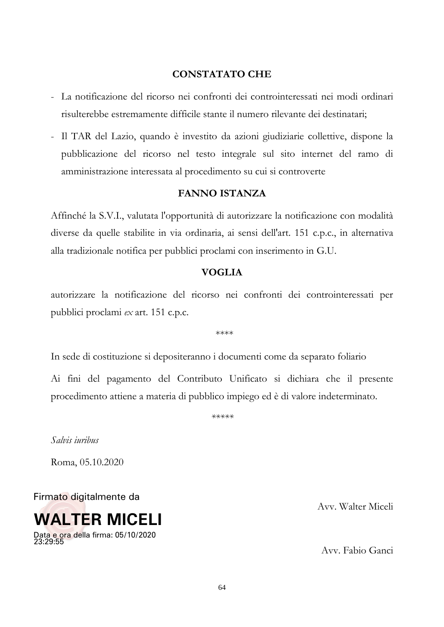## **CONSTATATO CHE**

- La notificazione del ricorso nei confronti dei controinteressati nei modi ordinari risulterebbe estremamente difficile stante il numero rilevante dei destinatari;
- Il TAR del Lazio, quando è investito da azioni giudiziarie collettive, dispone la pubblicazione del ricorso nel testo integrale sul sito internet del ramo di amministrazione interessata al procedimento su cui si controverte

## **FANNO ISTANZA**

Affinché la S.V.I., valutata l'opportunità di autorizzare la notificazione con modalità diverse da quelle stabilite in via ordinaria, ai sensi dell'art. 151 c.p.c., in alternativa alla tradizionale notifica per pubblici proclami con inserimento in G.U.

#### **VOGLIA**

autorizzare la notificazione del ricorso nei confronti dei controinteressati per pubblici proclami *ex* art. 151 c.p.c.

\*\*\*\*

In sede di costituzione si depositeranno i documenti come da separato foliario

Ai fini del pagamento del Contributo Unificato si dichiara che il presente procedimento attiene a materia di pubblico impiego ed è di valore indeterminato.

*\*\*\*\*\**

*Salvis iuribus*

Roma, 05.10.2020

Firmato digitalmente da



Avv. Walter Miceli

Avv. Fabio Ganci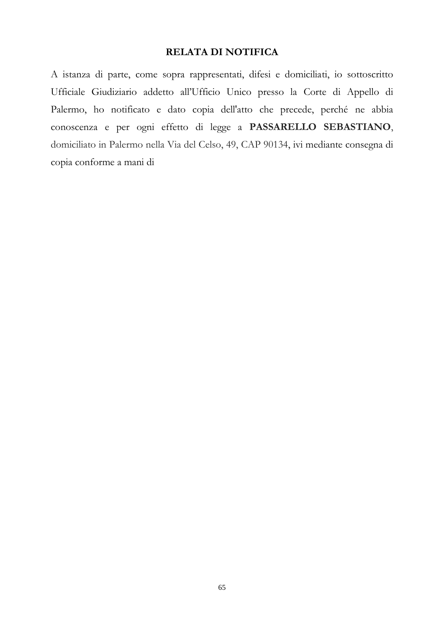## **RELATA DI NOTIFICA**

A istanza di parte, come sopra rappresentati, difesi e domiciliati, io sottoscritto Ufficiale Giudiziario addetto all'Ufficio Unico presso la Corte di Appello di Palermo, ho notificato e dato copia dell'atto che precede, perché ne abbia conoscenza e per ogni effetto di legge a **PASSARELLO SEBASTIANO**, domiciliato in Palermo nella Via del Celso, 49, CAP 90134, ivi mediante consegna di copia conforme a mani di